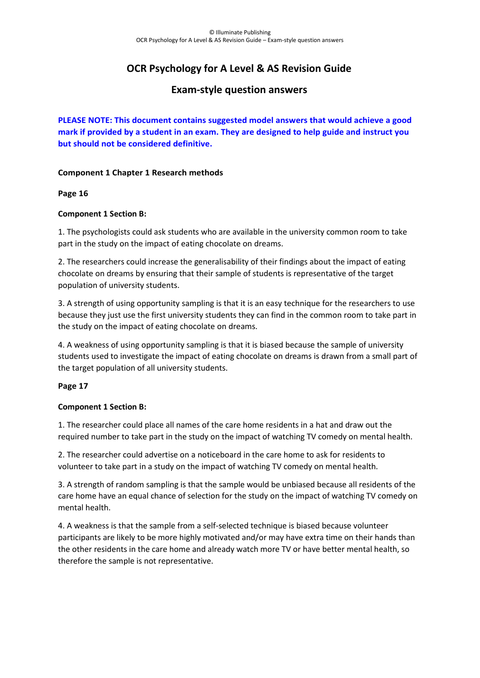# **OCR Psychology for A Level & AS Revision Guide**

# **Exam-style question answers**

**PLEASE NOTE: This document contains suggested model answers that would achieve a good mark if provided by a student in an exam. They are designed to help guide and instruct you but should not be considered definitive.**

## **Component 1 Chapter 1 Research methods**

## **Page 16**

# **Component 1 Section B:**

1. The psychologists could ask students who are available in the university common room to take part in the study on the impact of eating chocolate on dreams.

2. The researchers could increase the generalisability of their findings about the impact of eating chocolate on dreams by ensuring that their sample of students is representative of the target population of university students.

3. A strength of using opportunity sampling is that it is an easy technique for the researchers to use because they just use the first university students they can find in the common room to take part in the study on the impact of eating chocolate on dreams.

4. A weakness of using opportunity sampling is that it is biased because the sample of university students used to investigate the impact of eating chocolate on dreams is drawn from a small part of the target population of all university students.

## **Page 17**

## **Component 1 Section B:**

1. The researcher could place all names of the care home residents in a hat and draw out the required number to take part in the study on the impact of watching TV comedy on mental health.

2. The researcher could advertise on a noticeboard in the care home to ask for residents to volunteer to take part in a study on the impact of watching TV comedy on mental health*.*

3. A strength of random sampling is that the sample would be unbiased because all residents of the care home have an equal chance of selection for the study on the impact of watching TV comedy on mental health.

4. A weakness is that the sample from a self-selected technique is biased because volunteer participants are likely to be more highly motivated and/or may have extra time on their hands than the other residents in the care home and already watch more TV or have better mental health, so therefore the sample is not representative.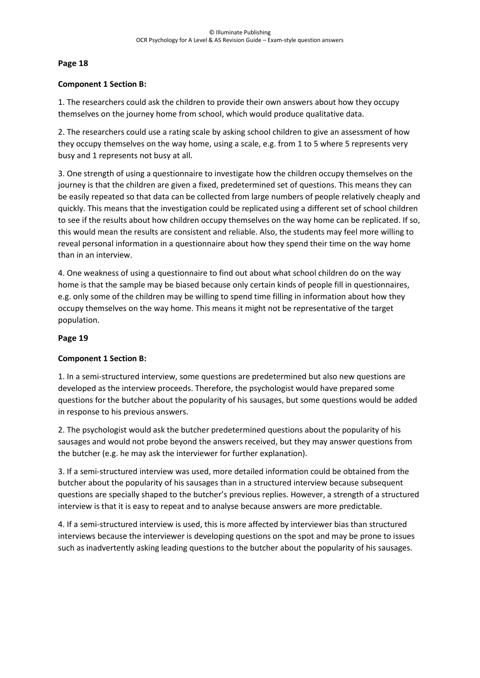#### **Component 1 Section B:**

1. The researchers could ask the children to provide their own answers about how they occupy themselves on the journey home from school, which would produce qualitative data.

2. The researchers could use a rating scale by asking school children to give an assessment of how they occupy themselves on the way home, using a scale, e.g. from 1 to 5 where 5 represents very busy and 1 represents not busy at all.

3. One strength of using a questionnaire to investigate how the children occupy themselves on the journey is that the children are given a fixed, predetermined set of questions. This means they can be easily repeated so that data can be collected from large numbers of people relatively cheaply and quickly. This means that the investigation could be replicated using a different set of school children to see if the results about how children occupy themselves on the way home can be replicated. If so, this would mean the results are consistent and reliable. Also, the students may feel more willing to reveal personal information in a questionnaire about how they spend their time on the way home than in an interview.

4. One weakness of using a questionnaire to find out about what school children do on the way home is that the sample may be biased because only certain kinds of people fill in questionnaires, e.g. only some of the children may be willing to spend time filling in information about how they occupy themselves on the way home. This means it might not be representative of the target population.

#### **Page 19**

## **Component 1 Section B:**

1. In a semi-structured interview, some questions are predetermined but also new questions are developed as the interview proceeds. Therefore, the psychologist would have prepared some questions for the butcher about the popularity of his sausages, but some questions would be added in response to his previous answers.

2. The psychologist would ask the butcher predetermined questions about the popularity of his sausages and would not probe beyond the answers received, but they may answer questions from the butcher (e.g. he may ask the interviewer for further explanation).

3. If a semi-structured interview was used, more detailed information could be obtained from the butcher about the popularity of his sausages than in a structured interview because subsequent questions are specially shaped to the butcher's previous replies. However, a strength of a structured interview is that it is easy to repeat and to analyse because answers are more predictable.

4. If a semi-structured interview is used, this is more affected by interviewer bias than structured interviews because the interviewer is developing questions on the spot and may be prone to issues such as inadvertently asking leading questions to the butcher about the popularity of his sausages.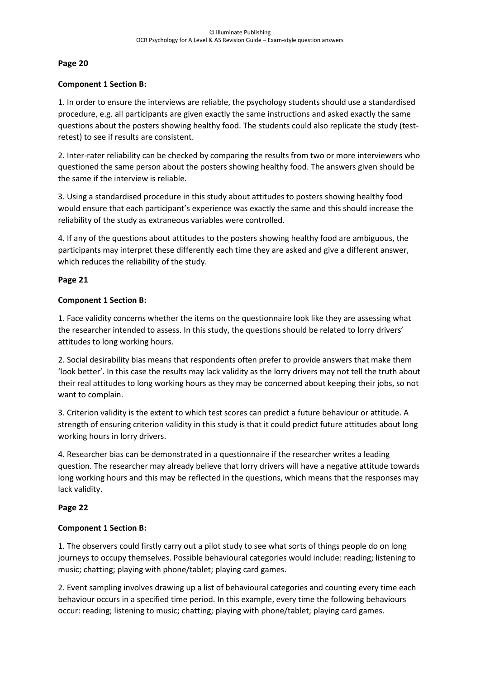#### **Component 1 Section B:**

1. In order to ensure the interviews are reliable, the psychology students should use a standardised procedure, e.g. all participants are given exactly the same instructions and asked exactly the same questions about the posters showing healthy food. The students could also replicate the study (testretest) to see if results are consistent.

2. Inter-rater reliability can be checked by comparing the results from two or more interviewers who questioned the same person about the posters showing healthy food. The answers given should be the same if the interview is reliable.

3. Using a standardised procedure in this study about attitudes to posters showing healthy food would ensure that each participant's experience was exactly the same and this should increase the reliability of the study as extraneous variables were controlled.

4. If any of the questions about attitudes to the posters showing healthy food are ambiguous, the participants may interpret these differently each time they are asked and give a different answer, which reduces the reliability of the study.

#### **Page 21**

#### **Component 1 Section B:**

1. Face validity concerns whether the items on the questionnaire look like they are assessing what the researcher intended to assess. In this study, the questions should be related to lorry drivers' attitudes to long working hours.

2. Social desirability bias means that respondents often prefer to provide answers that make them 'look better'. In this case the results may lack validity as the lorry drivers may not tell the truth about their real attitudes to long working hours as they may be concerned about keeping their jobs, so not want to complain.

3. Criterion validity is the extent to which test scores can predict a future behaviour or attitude. A strength of ensuring criterion validity in this study is that it could predict future attitudes about long working hours in lorry drivers.

4. Researcher bias can be demonstrated in a questionnaire if the researcher writes a leading question. The researcher may already believe that lorry drivers will have a negative attitude towards long working hours and this may be reflected in the questions, which means that the responses may lack validity.

## **Page 22**

## **Component 1 Section B:**

1. The observers could firstly carry out a pilot study to see what sorts of things people do on long journeys to occupy themselves. Possible behavioural categories would include: reading; listening to music; chatting; playing with phone/tablet; playing card games.

2. Event sampling involves drawing up a list of behavioural categories and counting every time each behaviour occurs in a specified time period. In this example, every time the following behaviours occur: reading; listening to music; chatting; playing with phone/tablet; playing card games.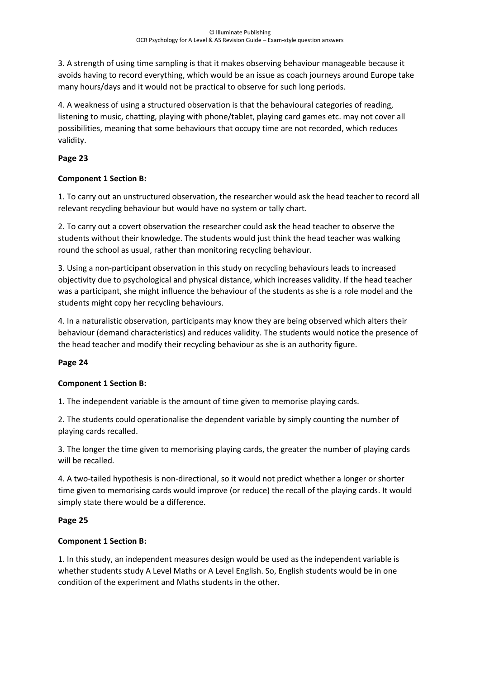3. A strength of using time sampling is that it makes observing behaviour manageable because it avoids having to record everything, which would be an issue as coach journeys around Europe take many hours/days and it would not be practical to observe for such long periods.

4. A weakness of using a structured observation is that the behavioural categories of reading, listening to music, chatting, playing with phone/tablet, playing card games etc. may not cover all possibilities, meaning that some behaviours that occupy time are not recorded, which reduces validity.

## **Page 23**

## **Component 1 Section B:**

1. To carry out an unstructured observation, the researcher would ask the head teacher to record all relevant recycling behaviour but would have no system or tally chart.

2. To carry out a covert observation the researcher could ask the head teacher to observe the students without their knowledge. The students would just think the head teacher was walking round the school as usual, rather than monitoring recycling behaviour.

3. Using a non-participant observation in this study on recycling behaviours leads to increased objectivity due to psychological and physical distance, which increases validity. If the head teacher was a participant, she might influence the behaviour of the students as she is a role model and the students might copy her recycling behaviours.

4. In a naturalistic observation, participants may know they are being observed which alters their behaviour (demand characteristics) and reduces validity. The students would notice the presence of the head teacher and modify their recycling behaviour as she is an authority figure.

# **Page 24**

## **Component 1 Section B:**

1. The independent variable is the amount of time given to memorise playing cards.

2. The students could operationalise the dependent variable by simply counting the number of playing cards recalled.

3. The longer the time given to memorising playing cards, the greater the number of playing cards will be recalled*.*

4. A two-tailed hypothesis is non-directional, so it would not predict whether a longer or shorter time given to memorising cards would improve (or reduce) the recall of the playing cards. It would simply state there would be a difference.

## **Page 25**

## **Component 1 Section B:**

1. In this study, an independent measures design would be used as the independent variable is whether students study A Level Maths or A Level English. So, English students would be in one condition of the experiment and Maths students in the other.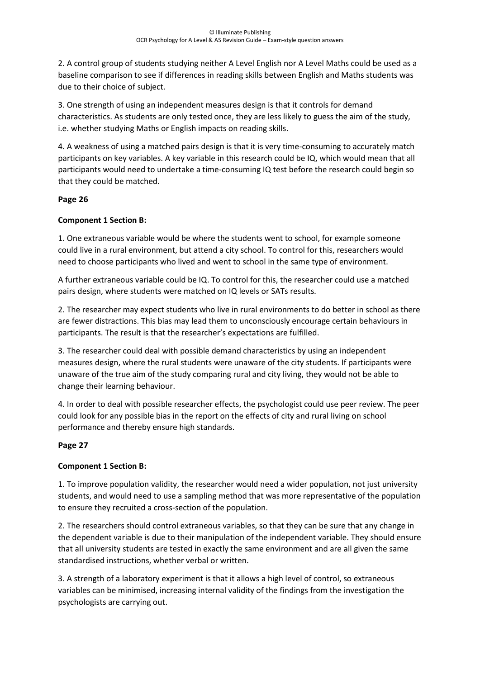2. A control group of students studying neither A Level English nor A Level Maths could be used as a baseline comparison to see if differences in reading skills between English and Maths students was due to their choice of subject.

3. One strength of using an independent measures design is that it controls for demand characteristics. As students are only tested once, they are less likely to guess the aim of the study, i.e. whether studying Maths or English impacts on reading skills.

4. A weakness of using a matched pairs design is that it is very time-consuming to accurately match participants on key variables. A key variable in this research could be IQ, which would mean that all participants would need to undertake a time-consuming IQ test before the research could begin so that they could be matched.

# **Page 26**

# **Component 1 Section B:**

1. One extraneous variable would be where the students went to school, for example someone could live in a rural environment, but attend a city school. To control for this, researchers would need to choose participants who lived and went to school in the same type of environment.

A further extraneous variable could be IQ. To control for this, the researcher could use a matched pairs design, where students were matched on IQ levels or SATs results*.*

2. The researcher may expect students who live in rural environments to do better in school as there are fewer distractions. This bias may lead them to unconsciously encourage certain behaviours in participants. The result is that the researcher's expectations are fulfilled.

3. The researcher could deal with possible demand characteristics by using an independent measures design, where the rural students were unaware of the city students. If participants were unaware of the true aim of the study comparing rural and city living, they would not be able to change their learning behaviour.

4. In order to deal with possible researcher effects, the psychologist could use peer review. The peer could look for any possible bias in the report on the effects of city and rural living on school performance and thereby ensure high standards.

## **Page 27**

## **Component 1 Section B:**

1. To improve population validity, the researcher would need a wider population, not just university students, and would need to use a sampling method that was more representative of the population to ensure they recruited a cross-section of the population.

2. The researchers should control extraneous variables, so that they can be sure that any change in the dependent variable is due to their manipulation of the independent variable. They should ensure that all university students are tested in exactly the same environment and are all given the same standardised instructions, whether verbal or written.

3. A strength of a laboratory experiment is that it allows a high level of control, so extraneous variables can be minimised, increasing internal validity of the findings from the investigation the psychologists are carrying out.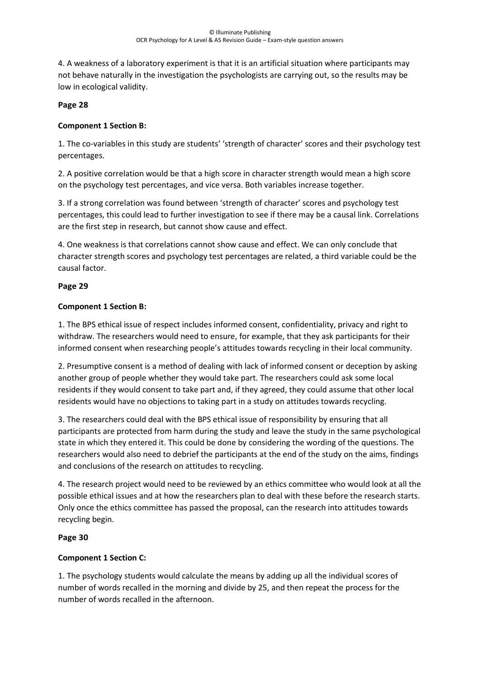4. A weakness of a laboratory experiment is that it is an artificial situation where participants may not behave naturally in the investigation the psychologists are carrying out, so the results may be low in ecological validity.

## **Page 28**

#### **Component 1 Section B:**

1. The co-variables in this study are students' 'strength of character' scores and their psychology test percentages.

2. A positive correlation would be that a high score in character strength would mean a high score on the psychology test percentages, and vice versa. Both variables increase together.

3. If a strong correlation was found between 'strength of character' scores and psychology test percentages, this could lead to further investigation to see if there may be a causal link. Correlations are the first step in research, but cannot show cause and effect.

4. One weakness is that correlations cannot show cause and effect. We can only conclude that character strength scores and psychology test percentages are related, a third variable could be the causal factor.

#### **Page 29**

#### **Component 1 Section B:**

1. The BPS ethical issue of respect includes informed consent, confidentiality, privacy and right to withdraw. The researchers would need to ensure, for example, that they ask participants for their informed consent when researching people's attitudes towards recycling in their local community.

2. Presumptive consent is a method of dealing with lack of informed consent or deception by asking another group of people whether they would take part. The researchers could ask some local residents if they would consent to take part and, if they agreed, they could assume that other local residents would have no objections to taking part in a study on attitudes towards recycling.

3. The researchers could deal with the BPS ethical issue of responsibility by ensuring that all participants are protected from harm during the study and leave the study in the same psychological state in which they entered it. This could be done by considering the wording of the questions. The researchers would also need to debrief the participants at the end of the study on the aims, findings and conclusions of the research on attitudes to recycling.

4. The research project would need to be reviewed by an ethics committee who would look at all the possible ethical issues and at how the researchers plan to deal with these before the research starts. Only once the ethics committee has passed the proposal, can the research into attitudes towards recycling begin.

## **Page 30**

## **Component 1 Section C:**

1. The psychology students would calculate the means by adding up all the individual scores of number of words recalled in the morning and divide by 25, and then repeat the process for the number of words recalled in the afternoon.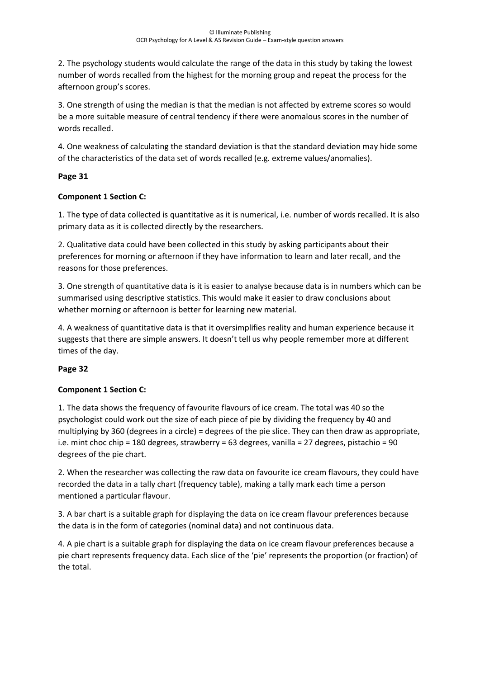2. The psychology students would calculate the range of the data in this study by taking the lowest number of words recalled from the highest for the morning group and repeat the process for the afternoon group's scores.

3. One strength of using the median is that the median is not affected by extreme scores so would be a more suitable measure of central tendency if there were anomalous scores in the number of words recalled.

4. One weakness of calculating the standard deviation is that the standard deviation may hide some of the characteristics of the data set of words recalled (e.g. extreme values/anomalies).

# **Page 31**

# **Component 1 Section C:**

1. The type of data collected is quantitative as it is numerical, i.e. number of words recalled. It is also primary data as it is collected directly by the researchers.

2. Qualitative data could have been collected in this study by asking participants about their preferences for morning or afternoon if they have information to learn and later recall, and the reasons for those preferences.

3. One strength of quantitative data is it is easier to analyse because data is in numbers which can be summarised using descriptive statistics. This would make it easier to draw conclusions about whether morning or afternoon is better for learning new material.

4. A weakness of quantitative data is that it oversimplifies reality and human experience because it suggests that there are simple answers. It doesn't tell us why people remember more at different times of the day.

## **Page 32**

# **Component 1 Section C:**

1. The data shows the frequency of favourite flavours of ice cream. The total was 40 so the psychologist could work out the size of each piece of pie by dividing the frequency by 40 and multiplying by 360 (degrees in a circle) = degrees of the pie slice. They can then draw as appropriate, i.e. mint choc chip = 180 degrees, strawberry = 63 degrees, vanilla = 27 degrees, pistachio = 90 degrees of the pie chart.

2. When the researcher was collecting the raw data on favourite ice cream flavours, they could have recorded the data in a tally chart (frequency table), making a tally mark each time a person mentioned a particular flavour.

3. A bar chart is a suitable graph for displaying the data on ice cream flavour preferences because the data is in the form of categories (nominal data) and not continuous data.

4. A pie chart is a suitable graph for displaying the data on ice cream flavour preferences because a pie chart represents frequency data. Each slice of the 'pie' represents the proportion (or fraction) of the total.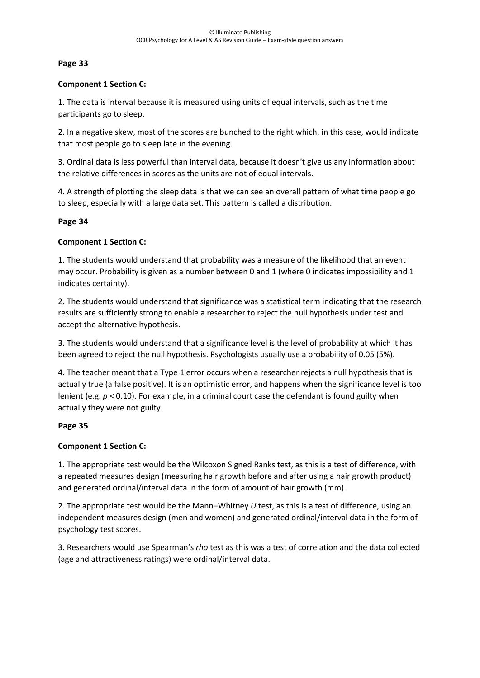## **Component 1 Section C:**

1. The data is interval because it is measured using units of equal intervals, such as the time participants go to sleep.

2. In a negative skew, most of the scores are bunched to the right which, in this case, would indicate that most people go to sleep late in the evening.

3. Ordinal data is less powerful than interval data, because it doesn't give us any information about the relative differences in scores as the units are not of equal intervals.

4. A strength of plotting the sleep data is that we can see an overall pattern of what time people go to sleep, especially with a large data set. This pattern is called a distribution.

#### **Page 34**

## **Component 1 Section C:**

1. The students would understand that probability was a measure of the likelihood that an event may occur. Probability is given as a number between 0 and 1 (where 0 indicates impossibility and 1 indicates certainty).

2. The students would understand that significance was a statistical term indicating that the research results are sufficiently strong to enable a researcher to reject the null hypothesis under test and accept the alternative hypothesis.

3. The students would understand that a significance level is the level of probability at which it has been agreed to reject the null hypothesis. Psychologists usually use a probability of 0.05 (5%).

4. The teacher meant that a Type 1 error occurs when a researcher rejects a null hypothesis that is actually true (a false positive). It is an optimistic error, and happens when the significance level is too lenient (e.g. *p* < 0.10). For example, in a criminal court case the defendant is found guilty when actually they were not guilty.

## **Page 35**

## **Component 1 Section C:**

1. The appropriate test would be the Wilcoxon Signed Ranks test, as this is a test of difference, with a repeated measures design (measuring hair growth before and after using a hair growth product) and generated ordinal/interval data in the form of amount of hair growth (mm).

2. The appropriate test would be the Mann–Whitney *U* test, as this is a test of difference, using an independent measures design (men and women) and generated ordinal/interval data in the form of psychology test scores.

3. Researchers would use Spearman's *rho* test as this was a test of correlation and the data collected (age and attractiveness ratings) were ordinal/interval data.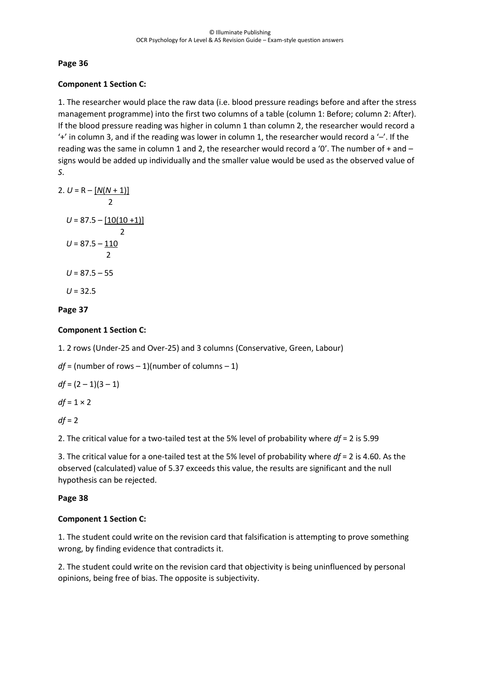## **Component 1 Section C:**

1. The researcher would place the raw data (i.e. blood pressure readings before and after the stress management programme) into the first two columns of a table (column 1: Before; column 2: After). If the blood pressure reading was higher in column 1 than column 2, the researcher would record a  $'$ +' in column 3, and if the reading was lower in column 1, the researcher would record a  $-$ '. If the reading was the same in column 1 and 2, the researcher would record a '0'. The number of + and – signs would be added up individually and the smaller value would be used as the observed value of *S*.

2. 
$$
U = R - [N(N + 1)]
$$
  
\n2  
\n $U = 87.5 - [10(10 + 1)]$   
\n2  
\n $U = 87.5 - 110$   
\n2  
\n $U = 87.5 - 55$   
\n $U = 32.5$ 

## **Page 37**

## **Component 1 Section C:**

1. 2 rows (Under-25 and Over-25) and 3 columns (Conservative, Green, Labour)

*df* = (number of rows – 1)(number of columns – 1)

 $df = (2 - 1)(3 - 1)$ 

 $df = 1 \times 2$ 

 $df = 2$ 

2. The critical value for a two-tailed test at the 5% level of probability where *df* = 2 is 5.99

3. The critical value for a one-tailed test at the 5% level of probability where *df* = 2 is 4.60. As the observed (calculated) value of 5.37 exceeds this value, the results are significant and the null hypothesis can be rejected.

## **Page 38**

## **Component 1 Section C:**

1. The student could write on the revision card that falsification is attempting to prove something wrong, by finding evidence that contradicts it.

2. The student could write on the revision card that objectivity is being uninfluenced by personal opinions, being free of bias. The opposite is subjectivity.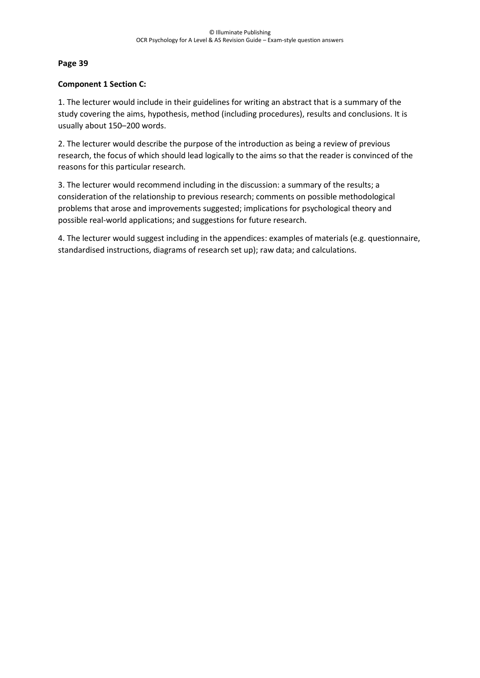## **Component 1 Section C:**

1. The lecturer would include in their guidelines for writing an abstract that is a summary of the study covering the aims, hypothesis, method (including procedures), results and conclusions. It is usually about 150–200 words.

2. The lecturer would describe the purpose of the introduction as being a review of previous research, the focus of which should lead logically to the aims so that the reader is convinced of the reasons for this particular research*.*

3. The lecturer would recommend including in the discussion: a summary of the results; a consideration of the relationship to previous research; comments on possible methodological problems that arose and improvements suggested; implications for psychological theory and possible real-world applications; and suggestions for future research.

4. The lecturer would suggest including in the appendices: examples of materials (e.g. questionnaire, standardised instructions, diagrams of research set up); raw data; and calculations.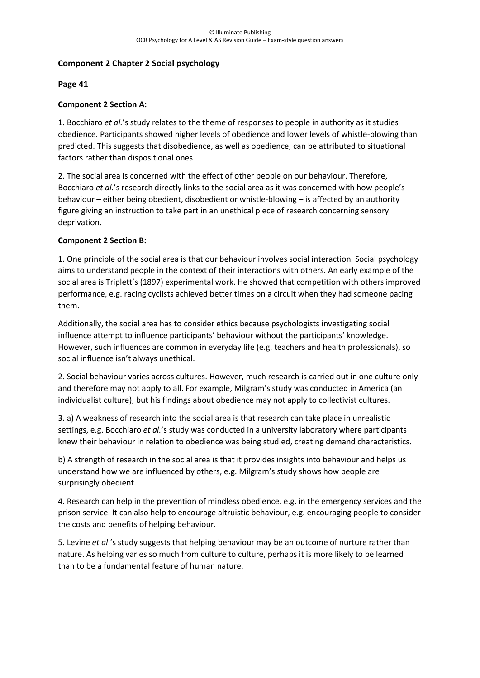## **Component 2 Chapter 2 Social psychology**

## **Page 41**

# **Component 2 Section A:**

1. Bocchiaro *et al.*'s study relates to the theme of responses to people in authority as it studies obedience. Participants showed higher levels of obedience and lower levels of whistle-blowing than predicted. This suggests that disobedience, as well as obedience, can be attributed to situational factors rather than dispositional ones.

2. The social area is concerned with the effect of other people on our behaviour. Therefore, Bocchiaro *et al.*'s research directly links to the social area as it was concerned with how people's behaviour – either being obedient, disobedient or whistle-blowing – is affected by an authority figure giving an instruction to take part in an unethical piece of research concerning sensory deprivation.

# **Component 2 Section B:**

1. One principle of the social area is that our behaviour involves social interaction. Social psychology aims to understand people in the context of their interactions with others. An early example of the social area is Triplett's (1897) experimental work. He showed that competition with others improved performance, e.g. racing cyclists achieved better times on a circuit when they had someone pacing them.

Additionally, the social area has to consider ethics because psychologists investigating social influence attempt to influence participants' behaviour without the participants' knowledge. However, such influences are common in everyday life (e.g. teachers and health professionals), so social influence isn't always unethical.

2. Social behaviour varies across cultures. However, much research is carried out in one culture only and therefore may not apply to all. For example, Milgram's study was conducted in America (an individualist culture), but his findings about obedience may not apply to collectivist cultures.

3. a) A weakness of research into the social area is that research can take place in unrealistic settings, e.g. Bocchiaro *et al.*'s study was conducted in a university laboratory where participants knew their behaviour in relation to obedience was being studied, creating demand characteristics.

b) A strength of research in the social area is that it provides insights into behaviour and helps us understand how we are influenced by others, e.g. Milgram's study shows how people are surprisingly obedient.

4. Research can help in the prevention of mindless obedience, e.g. in the emergency services and the prison service. It can also help to encourage altruistic behaviour, e.g. encouraging people to consider the costs and benefits of helping behaviour.

5. Levine *et al*.'s study suggests that helping behaviour may be an outcome of nurture rather than nature. As helping varies so much from culture to culture, perhaps it is more likely to be learned than to be a fundamental feature of human nature.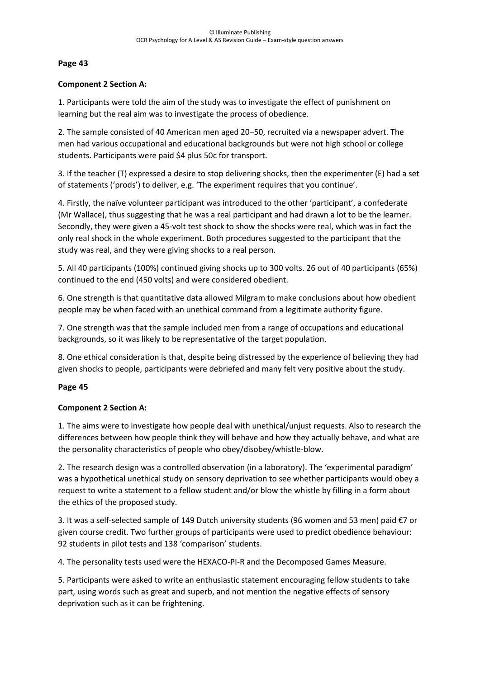#### **Component 2 Section A:**

1. Participants were told the aim of the study was to investigate the effect of punishment on learning but the real aim was to investigate the process of obedience.

2. The sample consisted of 40 American men aged 20–50, recruited via a newspaper advert. The men had various occupational and educational backgrounds but were not high school or college students. Participants were paid \$4 plus 50c for transport.

3. If the teacher (T) expressed a desire to stop delivering shocks, then the experimenter (E) had a set of statements ('prods') to deliver, e.g. 'The experiment requires that you continue'.

4. Firstly, the naïve volunteer participant was introduced to the other 'participant', a confederate (Mr Wallace), thus suggesting that he was a real participant and had drawn a lot to be the learner. Secondly, they were given a 45-volt test shock to show the shocks were real, which was in fact the only real shock in the whole experiment. Both procedures suggested to the participant that the study was real, and they were giving shocks to a real person.

5. All 40 participants (100%) continued giving shocks up to 300 volts. 26 out of 40 participants (65%) continued to the end (450 volts) and were considered obedient.

6. One strength is that quantitative data allowed Milgram to make conclusions about how obedient people may be when faced with an unethical command from a legitimate authority figure.

7. One strength was that the sample included men from a range of occupations and educational backgrounds, so it was likely to be representative of the target population.

8. One ethical consideration is that, despite being distressed by the experience of believing they had given shocks to people, participants were debriefed and many felt very positive about the study.

## **Page 45**

## **Component 2 Section A:**

1. The aims were to investigate how people deal with unethical/unjust requests. Also to research the differences between how people think they will behave and how they actually behave, and what are the personality characteristics of people who obey/disobey/whistle-blow.

2. The research design was a controlled observation (in a laboratory). The 'experimental paradigm' was a hypothetical unethical study on sensory deprivation to see whether participants would obey a request to write a statement to a fellow student and/or blow the whistle by filling in a form about the ethics of the proposed study.

3. It was a self-selected sample of 149 Dutch university students (96 women and 53 men) paid €7 or given course credit. Two further groups of participants were used to predict obedience behaviour: 92 students in pilot tests and 138 'comparison' students.

4. The personality tests used were the HEXACO-PI-R and the Decomposed Games Measure.

5. Participants were asked to write an enthusiastic statement encouraging fellow students to take part, using words such as great and superb, and not mention the negative effects of sensory deprivation such as it can be frightening.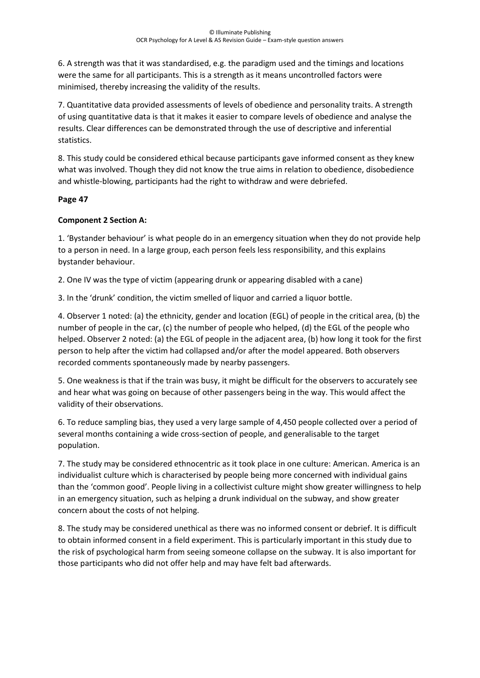6. A strength was that it was standardised, e.g. the paradigm used and the timings and locations were the same for all participants. This is a strength as it means uncontrolled factors were minimised, thereby increasing the validity of the results.

7. Quantitative data provided assessments of levels of obedience and personality traits. A strength of using quantitative data is that it makes it easier to compare levels of obedience and analyse the results. Clear differences can be demonstrated through the use of descriptive and inferential statistics.

8. This study could be considered ethical because participants gave informed consent as they knew what was involved. Though they did not know the true aims in relation to obedience, disobedience and whistle-blowing, participants had the right to withdraw and were debriefed.

# **Page 47**

# **Component 2 Section A:**

1. 'Bystander behaviour' is what people do in an emergency situation when they do not provide help to a person in need. In a large group, each person feels less responsibility, and this explains bystander behaviour.

2. One IV was the type of victim (appearing drunk or appearing disabled with a cane)

3. In the 'drunk' condition, the victim smelled of liquor and carried a liquor bottle.

4. Observer 1 noted: (a) the ethnicity, gender and location (EGL) of people in the critical area, (b) the number of people in the car, (c) the number of people who helped, (d) the EGL of the people who helped. Observer 2 noted: (a) the EGL of people in the adjacent area, (b) how long it took for the first person to help after the victim had collapsed and/or after the model appeared. Both observers recorded comments spontaneously made by nearby passengers.

5. One weakness is that if the train was busy, it might be difficult for the observers to accurately see and hear what was going on because of other passengers being in the way. This would affect the validity of their observations.

6. To reduce sampling bias, they used a very large sample of 4,450 people collected over a period of several months containing a wide cross-section of people, and generalisable to the target population.

7. The study may be considered ethnocentric as it took place in one culture: American. America is an individualist culture which is characterised by people being more concerned with individual gains than the 'common good'. People living in a collectivist culture might show greater willingness to help in an emergency situation, such as helping a drunk individual on the subway, and show greater concern about the costs of not helping.

8. The study may be considered unethical as there was no informed consent or debrief. It is difficult to obtain informed consent in a field experiment. This is particularly important in this study due to the risk of psychological harm from seeing someone collapse on the subway. It is also important for those participants who did not offer help and may have felt bad afterwards.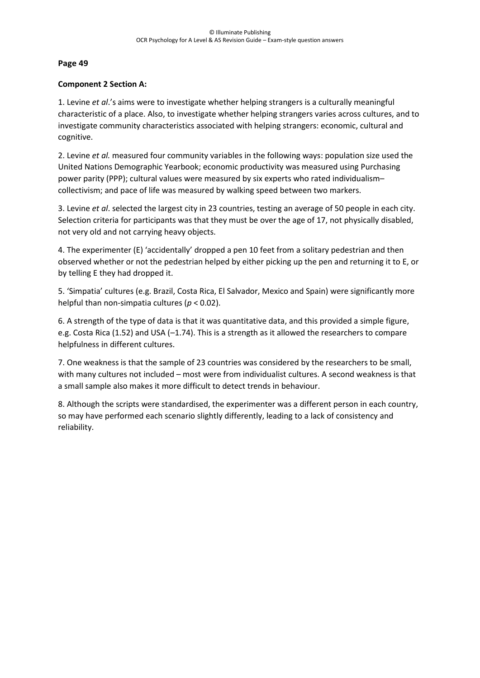## **Component 2 Section A:**

1. Levine *et al*.'s aims were to investigate whether helping strangers is a culturally meaningful characteristic of a place. Also, to investigate whether helping strangers varies across cultures, and to investigate community characteristics associated with helping strangers: economic, cultural and cognitive.

2. Levine *et al.* measured four community variables in the following ways: population size used the United Nations Demographic Yearbook; economic productivity was measured using Purchasing power parity (PPP); cultural values were measured by six experts who rated individualism– collectivism; and pace of life was measured by walking speed between two markers.

3. Levine *et al*. selected the largest city in 23 countries, testing an average of 50 people in each city. Selection criteria for participants was that they must be over the age of 17, not physically disabled, not very old and not carrying heavy objects.

4. The experimenter (E) 'accidentally' dropped a pen 10 feet from a solitary pedestrian and then observed whether or not the pedestrian helped by either picking up the pen and returning it to E, or by telling E they had dropped it.

5. 'Simpatia' cultures (e.g. Brazil, Costa Rica, El Salvador, Mexico and Spain) were significantly more helpful than non-simpatia cultures (*p* < 0.02).

6. A strength of the type of data is that it was quantitative data, and this provided a simple figure, e.g. Costa Rica (1.52) and USA (–1.74). This is a strength as it allowed the researchers to compare helpfulness in different cultures.

7. One weakness is that the sample of 23 countries was considered by the researchers to be small, with many cultures not included – most were from individualist cultures. A second weakness is that a small sample also makes it more difficult to detect trends in behaviour.

8. Although the scripts were standardised, the experimenter was a different person in each country, so may have performed each scenario slightly differently, leading to a lack of consistency and reliability.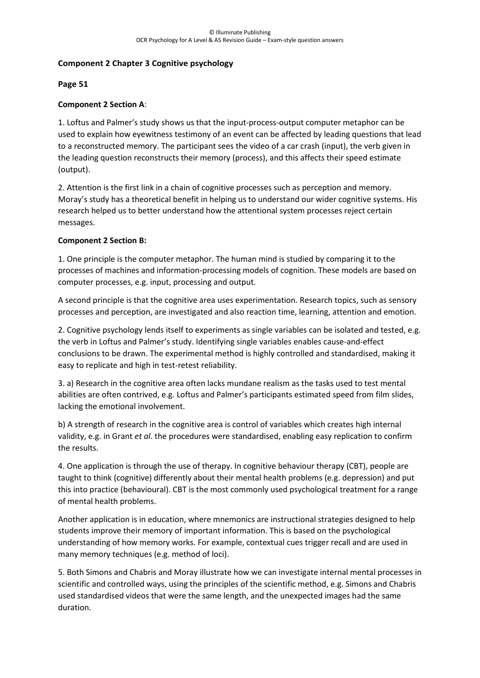## **Component 2 Chapter 3 Cognitive psychology**

## **Page 51**

# **Component 2 Section A**:

1. Loftus and Palmer's study shows us that the input-process-output computer metaphor can be used to explain how eyewitness testimony of an event can be affected by leading questions that lead to a reconstructed memory. The participant sees the video of a car crash (input), the verb given in the leading question reconstructs their memory (process), and this affects their speed estimate (output).

2. Attention is the first link in a chain of cognitive processes such as perception and memory. Moray's study has a theoretical benefit in helping us to understand our wider cognitive systems. His research helped us to better understand how the attentional system processes reject certain messages.

## **Component 2 Section B:**

1. One principle is the computer metaphor. The human mind is studied by comparing it to the processes of machines and information-processing models of cognition. These models are based on computer processes, e.g. input, processing and output.

A second principle is that the cognitive area uses experimentation. Research topics, such as sensory processes and perception, are investigated and also reaction time, learning, attention and emotion.

2. Cognitive psychology lends itself to experiments as single variables can be isolated and tested, e.g. the verb in Loftus and Palmer's study. Identifying single variables enables cause-and-effect conclusions to be drawn. The experimental method is highly controlled and standardised, making it easy to replicate and high in test-retest reliability.

3. a) Research in the cognitive area often lacks mundane realism as the tasks used to test mental abilities are often contrived, e.g. Loftus and Palmer's participants estimated speed from film slides, lacking the emotional involvement.

b) A strength of research in the cognitive area is control of variables which creates high internal validity, e.g. in Grant *et al*. the procedures were standardised, enabling easy replication to confirm the results.

4. One application is through the use of therapy. In cognitive behaviour therapy (CBT), people are taught to think (cognitive) differently about their mental health problems (e.g. depression) and put this into practice (behavioural). CBT is the most commonly used psychological treatment for a range of mental health problems.

Another application is in education, where mnemonics are instructional strategies designed to help students improve their memory of important information. This is based on the psychological understanding of how memory works. For example, contextual cues trigger recall and are used in many memory techniques (e.g. method of loci).

5. Both Simons and Chabris and Moray illustrate how we can investigate internal mental processes in scientific and controlled ways, using the principles of the scientific method, e.g. Simons and Chabris used standardised videos that were the same length, and the unexpected images had the same duration.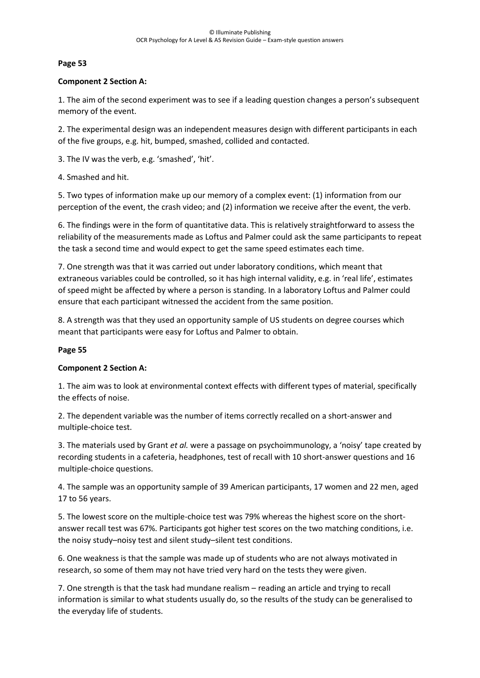#### **Component 2 Section A:**

1. The aim of the second experiment was to see if a leading question changes a person's subsequent memory of the event.

2. The experimental design was an independent measures design with different participants in each of the five groups, e.g. hit, bumped, smashed, collided and contacted.

- 3. The IV was the verb, e.g. 'smashed', 'hit'.
- 4. Smashed and hit.

5. Two types of information make up our memory of a complex event: (1) information from our perception of the event, the crash video; and (2) information we receive after the event, the verb.

6. The findings were in the form of quantitative data. This is relatively straightforward to assess the reliability of the measurements made as Loftus and Palmer could ask the same participants to repeat the task a second time and would expect to get the same speed estimates each time.

7. One strength was that it was carried out under laboratory conditions, which meant that extraneous variables could be controlled, so it has high internal validity, e.g. in 'real life', estimates of speed might be affected by where a person is standing. In a laboratory Loftus and Palmer could ensure that each participant witnessed the accident from the same position.

8. A strength was that they used an opportunity sample of US students on degree courses which meant that participants were easy for Loftus and Palmer to obtain.

## **Page 55**

## **Component 2 Section A:**

1. The aim was to look at environmental context effects with different types of material, specifically the effects of noise.

2. The dependent variable was the number of items correctly recalled on a short-answer and multiple-choice test.

3. The materials used by Grant *et al.* were a passage on psychoimmunology, a 'noisy' tape created by recording students in a cafeteria, headphones, test of recall with 10 short-answer questions and 16 multiple-choice questions.

4. The sample was an opportunity sample of 39 American participants, 17 women and 22 men, aged 17 to 56 years.

5. The lowest score on the multiple-choice test was 79% whereas the highest score on the shortanswer recall test was 67%. Participants got higher test scores on the two matching conditions, i.e. the noisy study–noisy test and silent study–silent test conditions.

6. One weakness is that the sample was made up of students who are not always motivated in research, so some of them may not have tried very hard on the tests they were given.

7. One strength is that the task had mundane realism – reading an article and trying to recall information is similar to what students usually do, so the results of the study can be generalised to the everyday life of students.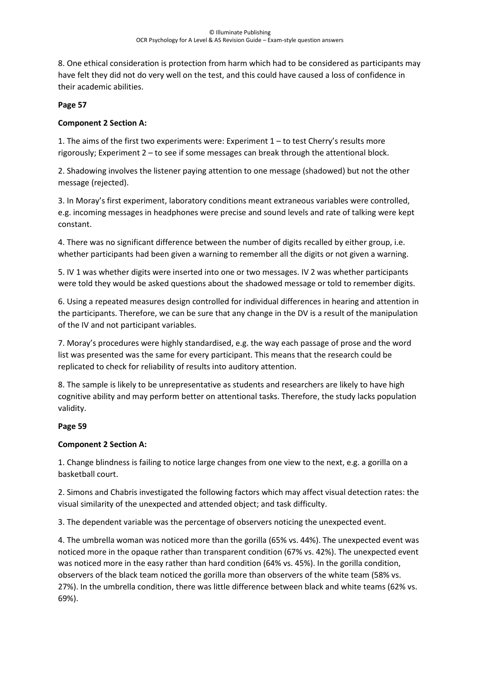8. One ethical consideration is protection from harm which had to be considered as participants may have felt they did not do very well on the test, and this could have caused a loss of confidence in their academic abilities.

#### **Page 57**

#### **Component 2 Section A:**

1. The aims of the first two experiments were: Experiment 1 – to test Cherry's results more rigorously; Experiment 2 – to see if some messages can break through the attentional block.

2. Shadowing involves the listener paying attention to one message (shadowed) but not the other message (rejected).

3. In Moray's first experiment, laboratory conditions meant extraneous variables were controlled, e.g. incoming messages in headphones were precise and sound levels and rate of talking were kept constant.

4. There was no significant difference between the number of digits recalled by either group, i.e. whether participants had been given a warning to remember all the digits or not given a warning.

5. IV 1 was whether digits were inserted into one or two messages. IV 2 was whether participants were told they would be asked questions about the shadowed message or told to remember digits.

6. Using a repeated measures design controlled for individual differences in hearing and attention in the participants. Therefore, we can be sure that any change in the DV is a result of the manipulation of the IV and not participant variables.

7. Moray's procedures were highly standardised, e.g. the way each passage of prose and the word list was presented was the same for every participant. This means that the research could be replicated to check for reliability of results into auditory attention.

8. The sample is likely to be unrepresentative as students and researchers are likely to have high cognitive ability and may perform better on attentional tasks. Therefore, the study lacks population validity.

## **Page 59**

## **Component 2 Section A:**

1. Change blindness is failing to notice large changes from one view to the next, e.g. a gorilla on a basketball court.

2. Simons and Chabris investigated the following factors which may affect visual detection rates: the visual similarity of the unexpected and attended object; and task difficulty.

3. The dependent variable was the percentage of observers noticing the unexpected event.

4. The umbrella woman was noticed more than the gorilla (65% vs. 44%). The unexpected event was noticed more in the opaque rather than transparent condition (67% vs. 42%). The unexpected event was noticed more in the easy rather than hard condition (64% vs. 45%). In the gorilla condition, observers of the black team noticed the gorilla more than observers of the white team (58% vs. 27%). In the umbrella condition, there was little difference between black and white teams (62% vs. 69%).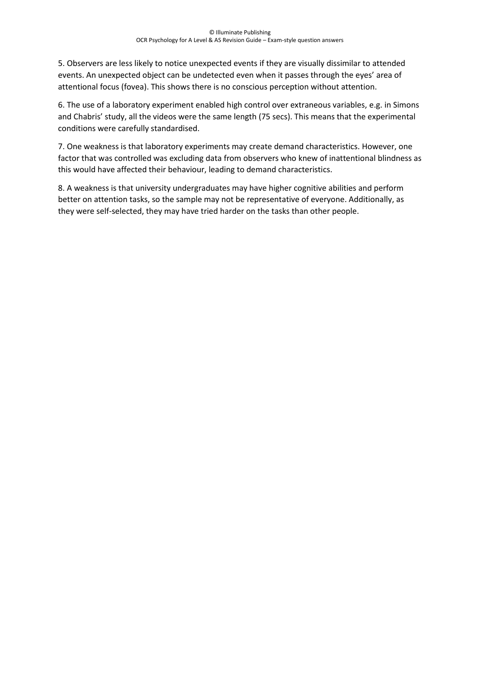5. Observers are less likely to notice unexpected events if they are visually dissimilar to attended events. An unexpected object can be undetected even when it passes through the eyes' area of attentional focus (fovea). This shows there is no conscious perception without attention.

6. The use of a laboratory experiment enabled high control over extraneous variables, e.g. in Simons and Chabris' study, all the videos were the same length (75 secs). This means that the experimental conditions were carefully standardised.

7. One weakness is that laboratory experiments may create demand characteristics. However, one factor that was controlled was excluding data from observers who knew of inattentional blindness as this would have affected their behaviour, leading to demand characteristics.

8. A weakness is that university undergraduates may have higher cognitive abilities and perform better on attention tasks, so the sample may not be representative of everyone. Additionally, as they were self-selected, they may have tried harder on the tasks than other people.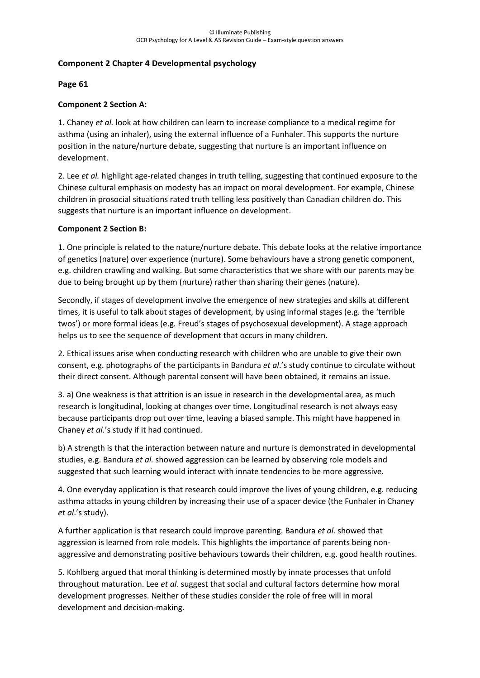## **Component 2 Chapter 4 Developmental psychology**

#### **Page 61**

## **Component 2 Section A:**

1. Chaney *et al.* look at how children can learn to increase compliance to a medical regime for asthma (using an inhaler), using the external influence of a Funhaler. This supports the nurture position in the nature/nurture debate, suggesting that nurture is an important influence on development.

2. Lee *et al.* highlight age-related changes in truth telling, suggesting that continued exposure to the Chinese cultural emphasis on modesty has an impact on moral development. For example, Chinese children in prosocial situations rated truth telling less positively than Canadian children do. This suggests that nurture is an important influence on development.

#### **Component 2 Section B:**

1. One principle is related to the nature/nurture debate. This debate looks at the relative importance of genetics (nature) over experience (nurture). Some behaviours have a strong genetic component, e.g. children crawling and walking. But some characteristics that we share with our parents may be due to being brought up by them (nurture) rather than sharing their genes (nature).

Secondly, if stages of development involve the emergence of new strategies and skills at different times, it is useful to talk about stages of development, by using informal stages (e.g. the 'terrible twos') or more formal ideas (e.g. Freud's stages of psychosexual development). A stage approach helps us to see the sequence of development that occurs in many children.

2. Ethical issues arise when conducting research with children who are unable to give their own consent, e.g. photographs of the participants in Bandura *et al*.'s study continue to circulate without their direct consent. Although parental consent will have been obtained, it remains an issue.

3. a) One weakness is that attrition is an issue in research in the developmental area, as much research is longitudinal, looking at changes over time. Longitudinal research is not always easy because participants drop out over time, leaving a biased sample. This might have happened in Chaney *et al.*'s study if it had continued.

b) A strength is that the interaction between nature and nurture is demonstrated in developmental studies, e.g. Bandura *et al.* showed aggression can be learned by observing role models and suggested that such learning would interact with innate tendencies to be more aggressive.

4. One everyday application is that research could improve the lives of young children, e.g. reducing asthma attacks in young children by increasing their use of a spacer device (the Funhaler in Chaney *et al*.'s study).

A further application is that research could improve parenting. Bandura *et al.* showed that aggression is learned from role models. This highlights the importance of parents being nonaggressive and demonstrating positive behaviours towards their children, e.g. good health routines.

5. Kohlberg argued that moral thinking is determined mostly by innate processes that unfold throughout maturation. Lee *et al.* suggest that social and cultural factors determine how moral development progresses. Neither of these studies consider the role of free will in moral development and decision-making.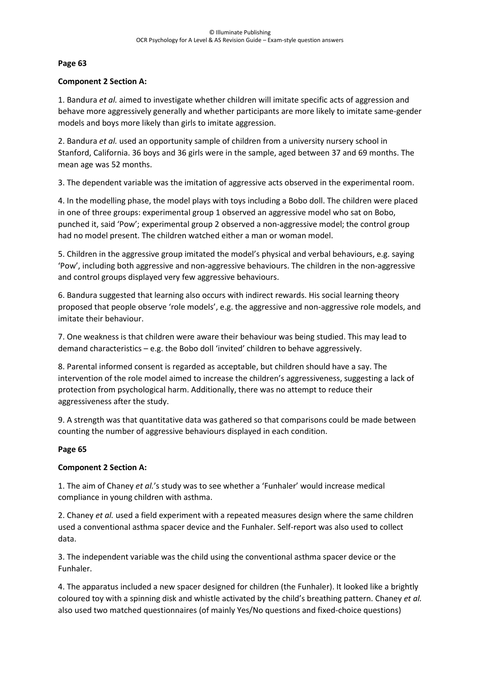#### **Component 2 Section A:**

1. Bandura *et al.* aimed to investigate whether children will imitate specific acts of aggression and behave more aggressively generally and whether participants are more likely to imitate same-gender models and boys more likely than girls to imitate aggression.

2. Bandura *et al.* used an opportunity sample of children from a university nursery school in Stanford, California. 36 boys and 36 girls were in the sample, aged between 37 and 69 months. The mean age was 52 months.

3. The dependent variable was the imitation of aggressive acts observed in the experimental room.

4. In the modelling phase, the model plays with toys including a Bobo doll. The children were placed in one of three groups: experimental group 1 observed an aggressive model who sat on Bobo, punched it, said 'Pow'; experimental group 2 observed a non-aggressive model; the control group had no model present. The children watched either a man or woman model.

5. Children in the aggressive group imitated the model's physical and verbal behaviours, e.g. saying 'Pow', including both aggressive and non-aggressive behaviours. The children in the non-aggressive and control groups displayed very few aggressive behaviours.

6. Bandura suggested that learning also occurs with indirect rewards. His social learning theory proposed that people observe 'role models', e.g. the aggressive and non-aggressive role models, and imitate their behaviour.

7. One weakness is that children were aware their behaviour was being studied. This may lead to demand characteristics – e.g. the Bobo doll 'invited' children to behave aggressively.

8. Parental informed consent is regarded as acceptable, but children should have a say. The intervention of the role model aimed to increase the children's aggressiveness, suggesting a lack of protection from psychological harm. Additionally, there was no attempt to reduce their aggressiveness after the study.

9. A strength was that quantitative data was gathered so that comparisons could be made between counting the number of aggressive behaviours displayed in each condition.

## **Page 65**

## **Component 2 Section A:**

1. The aim of Chaney *et al.*'s study was to see whether a 'Funhaler' would increase medical compliance in young children with asthma.

2. Chaney *et al.* used a field experiment with a repeated measures design where the same children used a conventional asthma spacer device and the Funhaler. Self-report was also used to collect data.

3. The independent variable was the child using the conventional asthma spacer device or the Funhaler.

4. The apparatus included a new spacer designed for children (the Funhaler). It looked like a brightly coloured toy with a spinning disk and whistle activated by the child's breathing pattern. Chaney *et al.* also used two matched questionnaires (of mainly Yes/No questions and fixed-choice questions)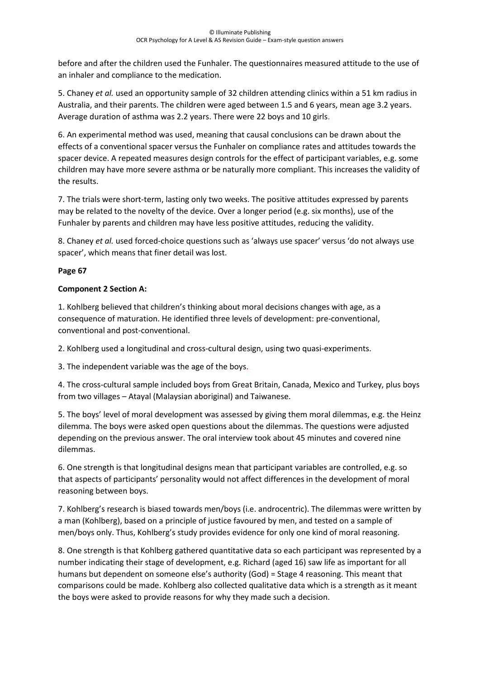before and after the children used the Funhaler. The questionnaires measured attitude to the use of an inhaler and compliance to the medication.

5. Chaney *et al.* used an opportunity sample of 32 children attending clinics within a 51 km radius in Australia, and their parents. The children were aged between 1.5 and 6 years, mean age 3.2 years. Average duration of asthma was 2.2 years. There were 22 boys and 10 girls.

6. An experimental method was used, meaning that causal conclusions can be drawn about the effects of a conventional spacer versus the Funhaler on compliance rates and attitudes towards the spacer device. A repeated measures design controls for the effect of participant variables, e.g. some children may have more severe asthma or be naturally more compliant. This increases the validity of the results.

7. The trials were short-term, lasting only two weeks. The positive attitudes expressed by parents may be related to the novelty of the device. Over a longer period (e.g. six months), use of the Funhaler by parents and children may have less positive attitudes, reducing the validity.

8. Chaney *et al.* used forced-choice questions such as 'always use spacer' versus 'do not always use spacer', which means that finer detail was lost.

# **Page 67**

# **Component 2 Section A:**

1. Kohlberg believed that children's thinking about moral decisions changes with age, as a consequence of maturation. He identified three levels of development: pre-conventional, conventional and post-conventional.

2. Kohlberg used a longitudinal and cross-cultural design, using two quasi-experiments.

3. The independent variable was the age of the boys.

4. The cross-cultural sample included boys from Great Britain, Canada, Mexico and Turkey, plus boys from two villages – Atayal (Malaysian aboriginal) and Taiwanese.

5. The boys' level of moral development was assessed by giving them moral dilemmas, e.g. the Heinz dilemma. The boys were asked open questions about the dilemmas. The questions were adjusted depending on the previous answer. The oral interview took about 45 minutes and covered nine dilemmas.

6. One strength is that longitudinal designs mean that participant variables are controlled, e.g. so that aspects of participants' personality would not affect differences in the development of moral reasoning between boys.

7. Kohlberg's research is biased towards men/boys (i.e. androcentric). The dilemmas were written by a man (Kohlberg), based on a principle of justice favoured by men, and tested on a sample of men/boys only. Thus, Kohlberg's study provides evidence for only one kind of moral reasoning.

8. One strength is that Kohlberg gathered quantitative data so each participant was represented by a number indicating their stage of development, e.g. Richard (aged 16) saw life as important for all humans but dependent on someone else's authority (God) = Stage 4 reasoning. This meant that comparisons could be made. Kohlberg also collected qualitative data which is a strength as it meant the boys were asked to provide reasons for why they made such a decision.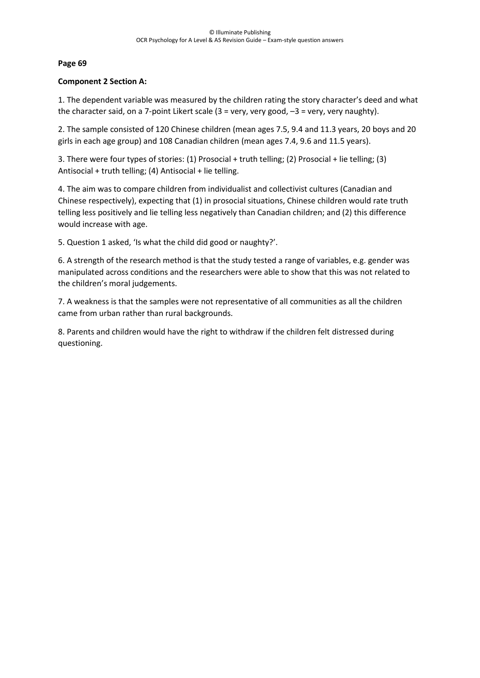## **Component 2 Section A:**

1. The dependent variable was measured by the children rating the story character's deed and what the character said, on a 7-point Likert scale (3 = very, very good, –3 = very, very naughty).

2. The sample consisted of 120 Chinese children (mean ages 7.5, 9.4 and 11.3 years, 20 boys and 20 girls in each age group) and 108 Canadian children (mean ages 7.4, 9.6 and 11.5 years).

3. There were four types of stories: (1) Prosocial + truth telling; (2) Prosocial + lie telling; (3) Antisocial + truth telling; (4) Antisocial + lie telling.

4. The aim was to compare children from individualist and collectivist cultures (Canadian and Chinese respectively), expecting that (1) in prosocial situations, Chinese children would rate truth telling less positively and lie telling less negatively than Canadian children; and (2) this difference would increase with age.

5. Question 1 asked, 'Is what the child did good or naughty?'.

6. A strength of the research method is that the study tested a range of variables, e.g. gender was manipulated across conditions and the researchers were able to show that this was not related to the children's moral judgements.

7. A weakness is that the samples were not representative of all communities as all the children came from urban rather than rural backgrounds.

8. Parents and children would have the right to withdraw if the children felt distressed during questioning.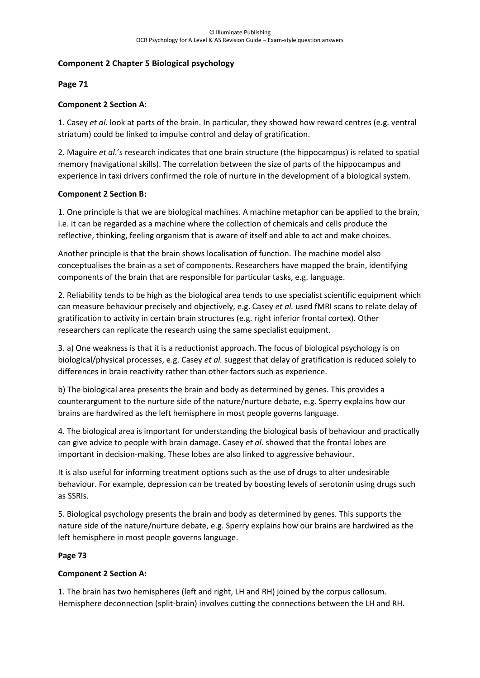## **Component 2 Chapter 5 Biological psychology**

## **Page 71**

# **Component 2 Section A:**

1. Casey *et al.* look at parts of the brain. In particular, they showed how reward centres (e.g. ventral striatum) could be linked to impulse control and delay of gratification.

2. Maguire *et al*.'s research indicates that one brain structure (the hippocampus) is related to spatial memory (navigational skills). The correlation between the size of parts of the hippocampus and experience in taxi drivers confirmed the role of nurture in the development of a biological system.

## **Component 2 Section B:**

1. One principle is that we are biological machines. A machine metaphor can be applied to the brain, i.e. it can be regarded as a machine where the collection of chemicals and cells produce the reflective, thinking, feeling organism that is aware of itself and able to act and make choices.

Another principle is that the brain shows localisation of function. The machine model also conceptualises the brain as a set of components. Researchers have mapped the brain, identifying components of the brain that are responsible for particular tasks, e.g. language.

2. Reliability tends to be high as the biological area tends to use specialist scientific equipment which can measure behaviour precisely and objectively, e.g. Casey *et al.* used fMRI scans to relate delay of gratification to activity in certain brain structures (e.g. right inferior frontal cortex). Other researchers can replicate the research using the same specialist equipment.

3. a) One weakness is that it is a reductionist approach. The focus of biological psychology is on biological/physical processes, e.g. Casey *et al.* suggest that delay of gratification is reduced solely to differences in brain reactivity rather than other factors such as experience.

b) The biological area presents the brain and body as determined by genes. This provides a counterargument to the nurture side of the nature/nurture debate, e.g. Sperry explains how our brains are hardwired as the left hemisphere in most people governs language.

4. The biological area is important for understanding the biological basis of behaviour and practically can give advice to people with brain damage. Casey *et al*. showed that the frontal lobes are important in decision-making. These lobes are also linked to aggressive behaviour.

It is also useful for informing treatment options such as the use of drugs to alter undesirable behaviour. For example, depression can be treated by boosting levels of serotonin using drugs such as SSRIs.

5. Biological psychology presents the brain and body as determined by genes. This supports the nature side of the nature/nurture debate, e.g. Sperry explains how our brains are hardwired as the left hemisphere in most people governs language.

## **Page 73**

## **Component 2 Section A:**

1. The brain has two hemispheres (left and right, LH and RH) joined by the corpus callosum. Hemisphere deconnection (split-brain) involves cutting the connections between the LH and RH.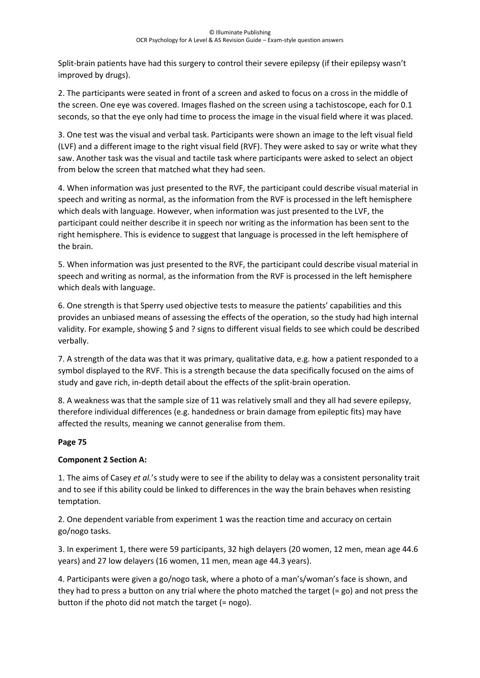Split-brain patients have had this surgery to control their severe epilepsy (if their epilepsy wasn't improved by drugs).

2. The participants were seated in front of a screen and asked to focus on a cross in the middle of the screen. One eye was covered. Images flashed on the screen using a tachistoscope, each for 0.1 seconds, so that the eye only had time to process the image in the visual field where it was placed.

3. One test was the visual and verbal task. Participants were shown an image to the left visual field (LVF) and a different image to the right visual field (RVF). They were asked to say or write what they saw. Another task was the visual and tactile task where participants were asked to select an object from below the screen that matched what they had seen.

4. When information was just presented to the RVF, the participant could describe visual material in speech and writing as normal, as the information from the RVF is processed in the left hemisphere which deals with language. However, when information was just presented to the LVF, the participant could neither describe it in speech nor writing as the information has been sent to the right hemisphere. This is evidence to suggest that language is processed in the left hemisphere of the brain.

5. When information was just presented to the RVF, the participant could describe visual material in speech and writing as normal, as the information from the RVF is processed in the left hemisphere which deals with language.

6. One strength is that Sperry used objective tests to measure the patients' capabilities and this provides an unbiased means of assessing the effects of the operation, so the study had high internal validity. For example, showing \$ and ? signs to different visual fields to see which could be described verbally.

7. A strength of the data was that it was primary, qualitative data, e.g. how a patient responded to a symbol displayed to the RVF. This is a strength because the data specifically focused on the aims of study and gave rich, in-depth detail about the effects of the split-brain operation.

8. A weakness was that the sample size of 11 was relatively small and they all had severe epilepsy, therefore individual differences (e.g. handedness or brain damage from epileptic fits) may have affected the results, meaning we cannot generalise from them.

# **Page 75**

# **Component 2 Section A:**

1. The aims of Casey *et al.*'s study were to see if the ability to delay was a consistent personality trait and to see if this ability could be linked to differences in the way the brain behaves when resisting temptation.

2. One dependent variable from experiment 1 was the reaction time and accuracy on certain go/nogo tasks.

3. In experiment 1, there were 59 participants, 32 high delayers (20 women, 12 men, mean age 44.6 years) and 27 low delayers (16 women, 11 men, mean age 44.3 years).

4. Participants were given a go/nogo task, where a photo of a man's/woman's face is shown, and they had to press a button on any trial where the photo matched the target (= go) and not press the button if the photo did not match the target (= nogo).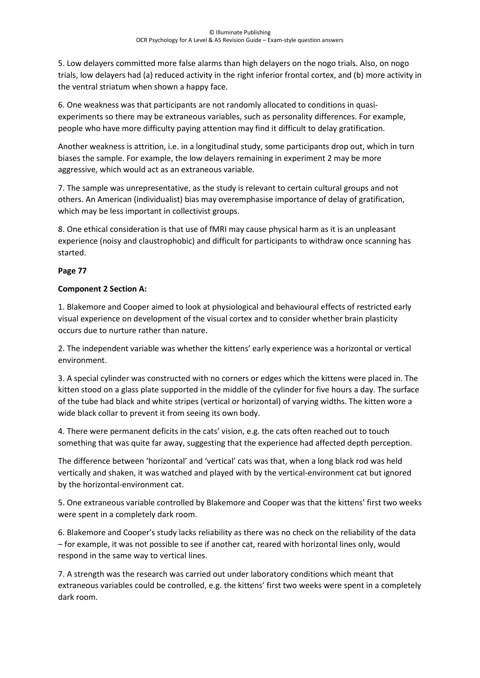5. Low delayers committed more false alarms than high delayers on the nogo trials. Also, on nogo trials, low delayers had (a) reduced activity in the right inferior frontal cortex, and (b) more activity in the ventral striatum when shown a happy face.

6. One weakness was that participants are not randomly allocated to conditions in quasiexperiments so there may be extraneous variables, such as personality differences. For example, people who have more difficulty paying attention may find it difficult to delay gratification.

Another weakness is attrition, i.e. in a longitudinal study, some participants drop out, which in turn biases the sample. For example, the low delayers remaining in experiment 2 may be more aggressive, which would act as an extraneous variable.

7. The sample was unrepresentative, as the study is relevant to certain cultural groups and not others. An American (individualist) bias may overemphasise importance of delay of gratification, which may be less important in collectivist groups.

8. One ethical consideration is that use of fMRI may cause physical harm as it is an unpleasant experience (noisy and claustrophobic) and difficult for participants to withdraw once scanning has started.

# **Page 77**

# **Component 2 Section A:**

1. Blakemore and Cooper aimed to look at physiological and behavioural effects of restricted early visual experience on development of the visual cortex and to consider whether brain plasticity occurs due to nurture rather than nature.

2. The independent variable was whether the kittens' early experience was a horizontal or vertical environment.

3. A special cylinder was constructed with no corners or edges which the kittens were placed in. The kitten stood on a glass plate supported in the middle of the cylinder for five hours a day. The surface of the tube had black and white stripes (vertical or horizontal) of varying widths. The kitten wore a wide black collar to prevent it from seeing its own body.

4. There were permanent deficits in the cats' vision, e.g. the cats often reached out to touch something that was quite far away, suggesting that the experience had affected depth perception.

The difference between 'horizontal' and 'vertical' cats was that, when a long black rod was held vertically and shaken, it was watched and played with by the vertical-environment cat but ignored by the horizontal-environment cat.

5. One extraneous variable controlled by Blakemore and Cooper was that the kittens' first two weeks were spent in a completely dark room.

6. Blakemore and Cooper's study lacks reliability as there was no check on the reliability of the data – for example, it was not possible to see if another cat, reared with horizontal lines only, would respond in the same way to vertical lines.

7. A strength was the research was carried out under laboratory conditions which meant that extraneous variables could be controlled, e.g. the kittens' first two weeks were spent in a completely dark room.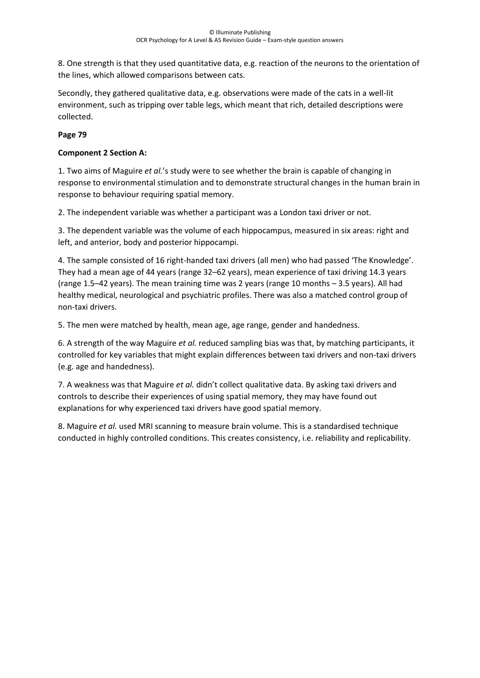8. One strength is that they used quantitative data, e.g. reaction of the neurons to the orientation of the lines, which allowed comparisons between cats.

Secondly, they gathered qualitative data, e.g. observations were made of the cats in a well-lit environment, such as tripping over table legs, which meant that rich, detailed descriptions were collected.

# **Page 79**

# **Component 2 Section A:**

1. Two aims of Maguire *et al.*'s study were to see whether the brain is capable of changing in response to environmental stimulation and to demonstrate structural changes in the human brain in response to behaviour requiring spatial memory.

2. The independent variable was whether a participant was a London taxi driver or not.

3. The dependent variable was the volume of each hippocampus, measured in six areas: right and left, and anterior, body and posterior hippocampi.

4. The sample consisted of 16 right-handed taxi drivers (all men) who had passed 'The Knowledge'. They had a mean age of 44 years (range 32–62 years), mean experience of taxi driving 14.3 years (range 1.5–42 years). The mean training time was 2 years (range 10 months – 3.5 years). All had healthy medical, neurological and psychiatric profiles. There was also a matched control group of non-taxi drivers.

5. The men were matched by health, mean age, age range, gender and handedness.

6. A strength of the way Maguire *et al.* reduced sampling bias was that, by matching participants, it controlled for key variables that might explain differences between taxi drivers and non-taxi drivers (e.g. age and handedness).

7. A weakness was that Maguire *et al.* didn't collect qualitative data. By asking taxi drivers and controls to describe their experiences of using spatial memory, they may have found out explanations for why experienced taxi drivers have good spatial memory.

8. Maguire *et al.* used MRI scanning to measure brain volume. This is a standardised technique conducted in highly controlled conditions. This creates consistency, i.e. reliability and replicability.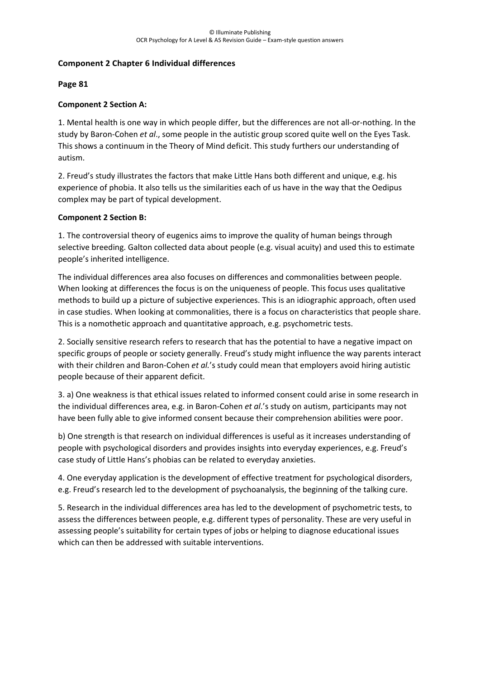## **Component 2 Chapter 6 Individual differences**

#### **Page 81**

## **Component 2 Section A:**

1. Mental health is one way in which people differ, but the differences are not all-or-nothing. In the study by Baron-Cohen *et al*., some people in the autistic group scored quite well on the Eyes Task. This shows a continuum in the Theory of Mind deficit. This study furthers our understanding of autism.

2. Freud's study illustrates the factors that make Little Hans both different and unique, e.g. his experience of phobia. It also tells us the similarities each of us have in the way that the Oedipus complex may be part of typical development.

#### **Component 2 Section B:**

1. The controversial theory of eugenics aims to improve the quality of human beings through selective breeding. Galton collected data about people (e.g. visual acuity) and used this to estimate people's inherited intelligence.

The individual differences area also focuses on differences and commonalities between people. When looking at differences the focus is on the uniqueness of people. This focus uses qualitative methods to build up a picture of subjective experiences. This is an idiographic approach, often used in case studies. When looking at commonalities, there is a focus on characteristics that people share. This is a nomothetic approach and quantitative approach, e.g. psychometric tests.

2. Socially sensitive research refers to research that has the potential to have a negative impact on specific groups of people or society generally. Freud's study might influence the way parents interact with their children and Baron-Cohen *et al.*'s study could mean that employers avoid hiring autistic people because of their apparent deficit.

3. a) One weakness is that ethical issues related to informed consent could arise in some research in the individual differences area, e.g. in Baron-Cohen *et al*.'s study on autism, participants may not have been fully able to give informed consent because their comprehension abilities were poor.

b) One strength is that research on individual differences is useful as it increases understanding of people with psychological disorders and provides insights into everyday experiences, e.g. Freud's case study of Little Hans's phobias can be related to everyday anxieties.

4. One everyday application is the development of effective treatment for psychological disorders, e.g. Freud's research led to the development of psychoanalysis, the beginning of the talking cure.

5. Research in the individual differences area has led to the development of psychometric tests, to assess the differences between people, e.g. different types of personality. These are very useful in assessing people's suitability for certain types of jobs or helping to diagnose educational issues which can then be addressed with suitable interventions.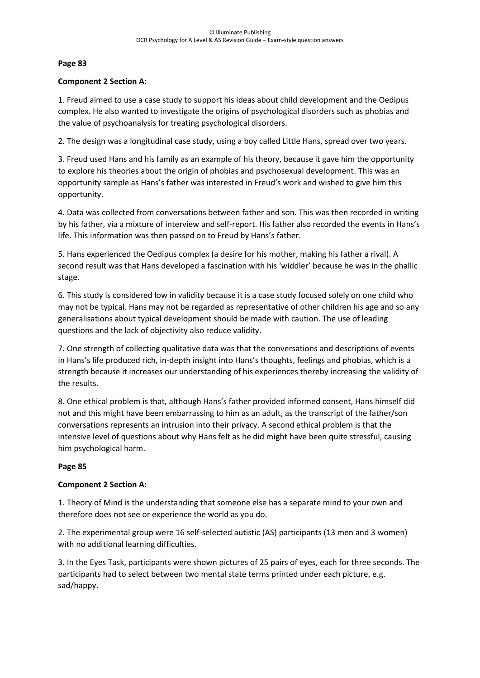#### **Component 2 Section A:**

1. Freud aimed to use a case study to support his ideas about child development and the Oedipus complex. He also wanted to investigate the origins of psychological disorders such as phobias and the value of psychoanalysis for treating psychological disorders.

2. The design was a longitudinal case study, using a boy called Little Hans, spread over two years.

3. Freud used Hans and his family as an example of his theory, because it gave him the opportunity to explore his theories about the origin of phobias and psychosexual development. This was an opportunity sample as Hans's father was interested in Freud's work and wished to give him this opportunity.

4. Data was collected from conversations between father and son. This was then recorded in writing by his father, via a mixture of interview and self-report. His father also recorded the events in Hans's life. This information was then passed on to Freud by Hans's father.

5. Hans experienced the Oedipus complex (a desire for his mother, making his father a rival). A second result was that Hans developed a fascination with his 'widdler' because he was in the phallic stage.

6. This study is considered low in validity because it is a case study focused solely on one child who may not be typical. Hans may not be regarded as representative of other children his age and so any generalisations about typical development should be made with caution. The use of leading questions and the lack of objectivity also reduce validity.

7. One strength of collecting qualitative data was that the conversations and descriptions of events in Hans's life produced rich, in-depth insight into Hans's thoughts, feelings and phobias, which is a strength because it increases our understanding of his experiences thereby increasing the validity of the results.

8. One ethical problem is that, although Hans's father provided informed consent, Hans himself did not and this might have been embarrassing to him as an adult, as the transcript of the father/son conversations represents an intrusion into their privacy. A second ethical problem is that the intensive level of questions about why Hans felt as he did might have been quite stressful, causing him psychological harm.

## **Page 85**

## **Component 2 Section A:**

1. Theory of Mind is the understanding that someone else has a separate mind to your own and therefore does not see or experience the world as you do.

2. The experimental group were 16 self-selected autistic (AS) participants (13 men and 3 women) with no additional learning difficulties.

3. In the Eyes Task, participants were shown pictures of 25 pairs of eyes, each for three seconds. The participants had to select between two mental state terms printed under each picture, e.g. sad/happy.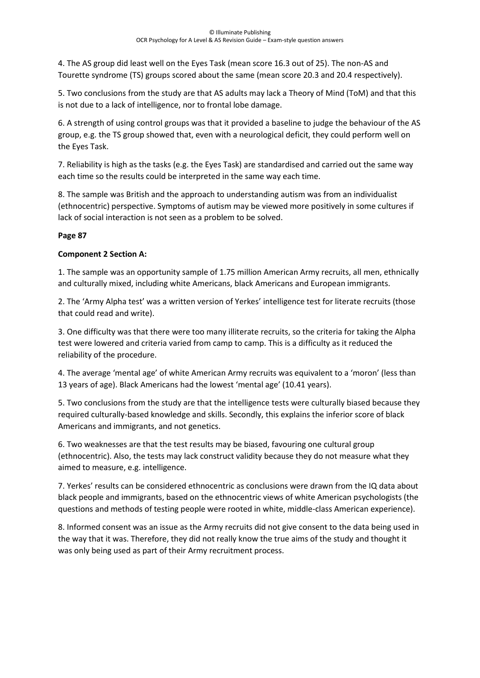4. The AS group did least well on the Eyes Task (mean score 16.3 out of 25). The non-AS and Tourette syndrome (TS) groups scored about the same (mean score 20.3 and 20.4 respectively).

5. Two conclusions from the study are that AS adults may lack a Theory of Mind (ToM) and that this is not due to a lack of intelligence, nor to frontal lobe damage.

6. A strength of using control groups was that it provided a baseline to judge the behaviour of the AS group, e.g. the TS group showed that, even with a neurological deficit, they could perform well on the Eyes Task.

7. Reliability is high as the tasks (e.g. the Eyes Task) are standardised and carried out the same way each time so the results could be interpreted in the same way each time.

8. The sample was British and the approach to understanding autism was from an individualist (ethnocentric) perspective. Symptoms of autism may be viewed more positively in some cultures if lack of social interaction is not seen as a problem to be solved.

# **Page 87**

# **Component 2 Section A:**

1. The sample was an opportunity sample of 1.75 million American Army recruits, all men, ethnically and culturally mixed, including white Americans, black Americans and European immigrants.

2. The 'Army Alpha test' was a written version of Yerkes' intelligence test for literate recruits (those that could read and write).

3. One difficulty was that there were too many illiterate recruits, so the criteria for taking the Alpha test were lowered and criteria varied from camp to camp. This is a difficulty as it reduced the reliability of the procedure.

4. The average 'mental age' of white American Army recruits was equivalent to a 'moron' (less than 13 years of age). Black Americans had the lowest 'mental age' (10.41 years).

5. Two conclusions from the study are that the intelligence tests were culturally biased because they required culturally-based knowledge and skills. Secondly, this explains the inferior score of black Americans and immigrants, and not genetics.

6. Two weaknesses are that the test results may be biased, favouring one cultural group (ethnocentric). Also, the tests may lack construct validity because they do not measure what they aimed to measure, e.g. intelligence.

7. Yerkes' results can be considered ethnocentric as conclusions were drawn from the IQ data about black people and immigrants, based on the ethnocentric views of white American psychologists (the questions and methods of testing people were rooted in white, middle-class American experience).

8. Informed consent was an issue as the Army recruits did not give consent to the data being used in the way that it was. Therefore, they did not really know the true aims of the study and thought it was only being used as part of their Army recruitment process.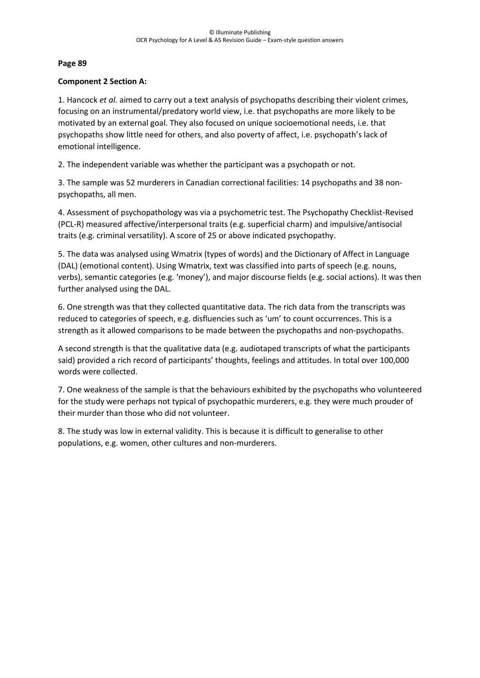#### **Component 2 Section A:**

1. Hancock *et al.* aimed to carry out a text analysis of psychopaths describing their violent crimes, focusing on an instrumental/predatory world view, i.e. that psychopaths are more likely to be motivated by an external goal. They also focused on unique socioemotional needs, i.e. that psychopaths show little need for others, and also poverty of affect, i.e. psychopath's lack of emotional intelligence.

2. The independent variable was whether the participant was a psychopath or not.

3. The sample was 52 murderers in Canadian correctional facilities: 14 psychopaths and 38 nonpsychopaths, all men.

4. Assessment of psychopathology was via a psychometric test. The Psychopathy Checklist-Revised (PCL-R) measured affective/interpersonal traits (e.g. superficial charm) and impulsive/antisocial traits (e.g. criminal versatility). A score of 25 or above indicated psychopathy.

5. The data was analysed using Wmatrix (types of words) and the Dictionary of Affect in Language (DAL) (emotional content). Using Wmatrix, text was classified into parts of speech (e.g. nouns, verbs), semantic categories (e.g. 'money'), and major discourse fields (e.g. social actions). It was then further analysed using the DAL.

6. One strength was that they collected quantitative data. The rich data from the transcripts was reduced to categories of speech, e.g. disfluencies such as 'um' to count occurrences. This is a strength as it allowed comparisons to be made between the psychopaths and non-psychopaths.

A second strength is that the qualitative data (e.g. audiotaped transcripts of what the participants said) provided a rich record of participants' thoughts, feelings and attitudes. In total over 100,000 words were collected.

7. One weakness of the sample is that the behaviours exhibited by the psychopaths who volunteered for the study were perhaps not typical of psychopathic murderers, e.g. they were much prouder of their murder than those who did not volunteer.

8. The study was low in external validity. This is because it is difficult to generalise to other populations, e.g. women, other cultures and non-murderers.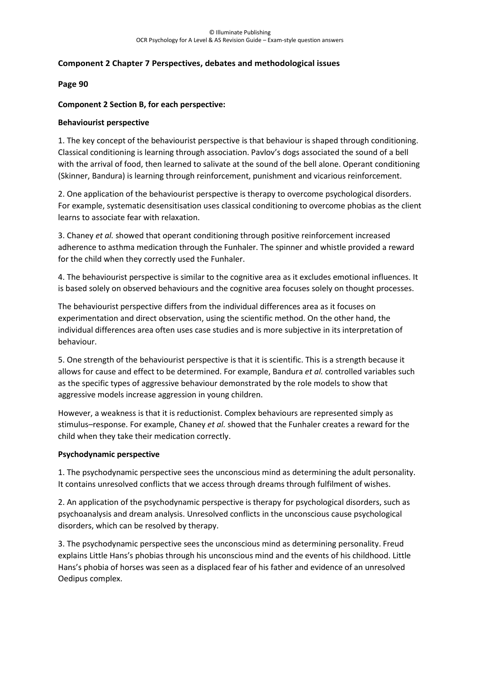#### **Component 2 Chapter 7 Perspectives, debates and methodological issues**

#### **Page 90**

#### **Component 2 Section B, for each perspective:**

#### **Behaviourist perspective**

1. The key concept of the behaviourist perspective is that behaviour is shaped through conditioning. Classical conditioning is learning through association. Pavlov's dogs associated the sound of a bell with the arrival of food, then learned to salivate at the sound of the bell alone. Operant conditioning (Skinner, Bandura) is learning through reinforcement, punishment and vicarious reinforcement.

2. One application of the behaviourist perspective is therapy to overcome psychological disorders. For example, systematic desensitisation uses classical conditioning to overcome phobias as the client learns to associate fear with relaxation.

3. Chaney *et al.* showed that operant conditioning through positive reinforcement increased adherence to asthma medication through the Funhaler. The spinner and whistle provided a reward for the child when they correctly used the Funhaler.

4. The behaviourist perspective is similar to the cognitive area as it excludes emotional influences. It is based solely on observed behaviours and the cognitive area focuses solely on thought processes.

The behaviourist perspective differs from the individual differences area as it focuses on experimentation and direct observation, using the scientific method. On the other hand, the individual differences area often uses case studies and is more subjective in its interpretation of behaviour.

5. One strength of the behaviourist perspective is that it is scientific. This is a strength because it allows for cause and effect to be determined. For example, Bandura *et al.* controlled variables such as the specific types of aggressive behaviour demonstrated by the role models to show that aggressive models increase aggression in young children.

However, a weakness is that it is reductionist. Complex behaviours are represented simply as stimulus–response. For example, Chaney *et al.* showed that the Funhaler creates a reward for the child when they take their medication correctly.

#### **Psychodynamic perspective**

1. The psychodynamic perspective sees the unconscious mind as determining the adult personality. It contains unresolved conflicts that we access through dreams through fulfilment of wishes.

2. An application of the psychodynamic perspective is therapy for psychological disorders, such as psychoanalysis and dream analysis. Unresolved conflicts in the unconscious cause psychological disorders, which can be resolved by therapy.

3. The psychodynamic perspective sees the unconscious mind as determining personality. Freud explains Little Hans's phobias through his unconscious mind and the events of his childhood. Little Hans's phobia of horses was seen as a displaced fear of his father and evidence of an unresolved Oedipus complex.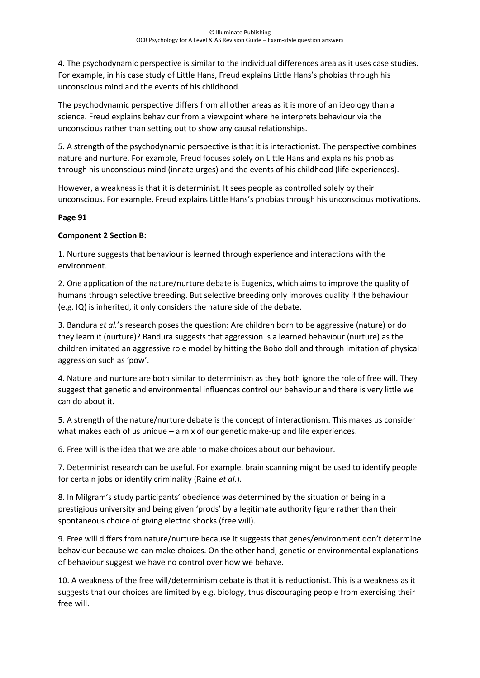4. The psychodynamic perspective is similar to the individual differences area as it uses case studies. For example, in his case study of Little Hans, Freud explains Little Hans's phobias through his unconscious mind and the events of his childhood.

The psychodynamic perspective differs from all other areas as it is more of an ideology than a science. Freud explains behaviour from a viewpoint where he interprets behaviour via the unconscious rather than setting out to show any causal relationships.

5. A strength of the psychodynamic perspective is that it is interactionist. The perspective combines nature and nurture. For example, Freud focuses solely on Little Hans and explains his phobias through his unconscious mind (innate urges) and the events of his childhood (life experiences).

However, a weakness is that it is determinist. It sees people as controlled solely by their unconscious. For example, Freud explains Little Hans's phobias through his unconscious motivations.

# **Page 91**

# **Component 2 Section B:**

1. Nurture suggests that behaviour is learned through experience and interactions with the environment.

2. One application of the nature/nurture debate is Eugenics, which aims to improve the quality of humans through selective breeding. But selective breeding only improves quality if the behaviour (e.g. IQ) is inherited, it only considers the nature side of the debate.

3. Bandura *et al.*'s research poses the question: Are children born to be aggressive (nature) or do they learn it (nurture)? Bandura suggests that aggression is a learned behaviour (nurture) as the children imitated an aggressive role model by hitting the Bobo doll and through imitation of physical aggression such as 'pow'.

4. Nature and nurture are both similar to determinism as they both ignore the role of free will. They suggest that genetic and environmental influences control our behaviour and there is very little we can do about it.

5. A strength of the nature/nurture debate is the concept of interactionism. This makes us consider what makes each of us unique – a mix of our genetic make-up and life experiences.

6. Free will is the idea that we are able to make choices about our behaviour.

7. Determinist research can be useful. For example, brain scanning might be used to identify people for certain jobs or identify criminality (Raine *et al*.).

8. In Milgram's study participants' obedience was determined by the situation of being in a prestigious university and being given 'prods' by a legitimate authority figure rather than their spontaneous choice of giving electric shocks (free will).

9. Free will differs from nature/nurture because it suggests that genes/environment don't determine behaviour because we can make choices. On the other hand, genetic or environmental explanations of behaviour suggest we have no control over how we behave.

10. A weakness of the free will/determinism debate is that it is reductionist. This is a weakness as it suggests that our choices are limited by e.g. biology, thus discouraging people from exercising their free will.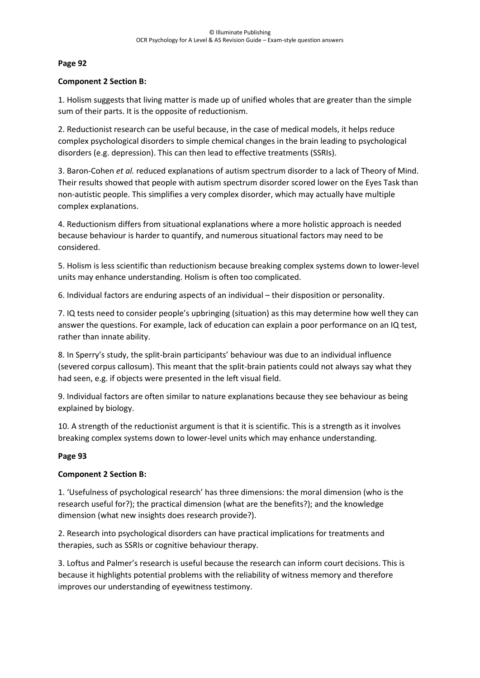#### **Component 2 Section B:**

1. Holism suggests that living matter is made up of unified wholes that are greater than the simple sum of their parts. It is the opposite of reductionism.

2. Reductionist research can be useful because, in the case of medical models, it helps reduce complex psychological disorders to simple chemical changes in the brain leading to psychological disorders (e.g. depression). This can then lead to effective treatments (SSRIs).

3. Baron-Cohen *et al.* reduced explanations of autism spectrum disorder to a lack of Theory of Mind. Their results showed that people with autism spectrum disorder scored lower on the Eyes Task than non-autistic people. This simplifies a very complex disorder, which may actually have multiple complex explanations.

4. Reductionism differs from situational explanations where a more holistic approach is needed because behaviour is harder to quantify, and numerous situational factors may need to be considered.

5. Holism is less scientific than reductionism because breaking complex systems down to lower-level units may enhance understanding. Holism is often too complicated.

6. Individual factors are enduring aspects of an individual – their disposition or personality.

7. IQ tests need to consider people's upbringing (situation) as this may determine how well they can answer the questions. For example, lack of education can explain a poor performance on an IQ test, rather than innate ability.

8. In Sperry's study, the split-brain participants' behaviour was due to an individual influence (severed corpus callosum). This meant that the split-brain patients could not always say what they had seen, e.g. if objects were presented in the left visual field.

9. Individual factors are often similar to nature explanations because they see behaviour as being explained by biology.

10. A strength of the reductionist argument is that it is scientific. This is a strength as it involves breaking complex systems down to lower-level units which may enhance understanding.

#### **Page 93**

## **Component 2 Section B:**

1. 'Usefulness of psychological research' has three dimensions: the moral dimension (who is the research useful for?); the practical dimension (what are the benefits?); and the knowledge dimension (what new insights does research provide?).

2. Research into psychological disorders can have practical implications for treatments and therapies, such as SSRIs or cognitive behaviour therapy.

3. Loftus and Palmer's research is useful because the research can inform court decisions. This is because it highlights potential problems with the reliability of witness memory and therefore improves our understanding of eyewitness testimony.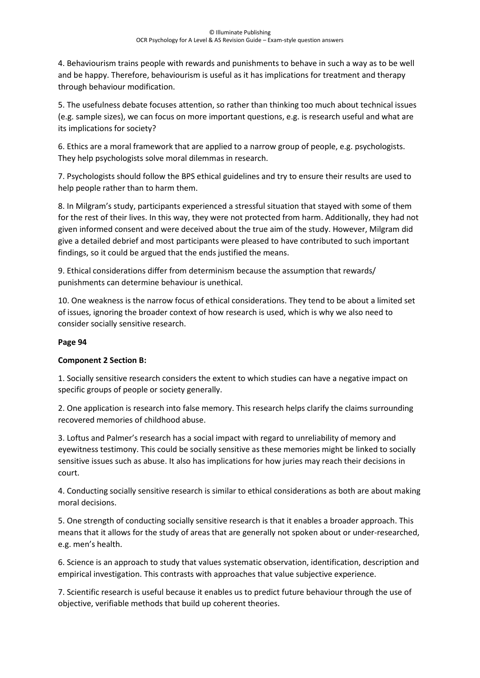4. Behaviourism trains people with rewards and punishments to behave in such a way as to be well and be happy. Therefore, behaviourism is useful as it has implications for treatment and therapy through behaviour modification.

5. The usefulness debate focuses attention, so rather than thinking too much about technical issues (e.g. sample sizes), we can focus on more important questions, e.g. is research useful and what are its implications for society?

6. Ethics are a moral framework that are applied to a narrow group of people, e.g. psychologists. They help psychologists solve moral dilemmas in research.

7. Psychologists should follow the BPS ethical guidelines and try to ensure their results are used to help people rather than to harm them.

8. In Milgram's study, participants experienced a stressful situation that stayed with some of them for the rest of their lives. In this way, they were not protected from harm. Additionally, they had not given informed consent and were deceived about the true aim of the study. However, Milgram did give a detailed debrief and most participants were pleased to have contributed to such important findings, so it could be argued that the ends justified the means.

9. Ethical considerations differ from determinism because the assumption that rewards/ punishments can determine behaviour is unethical.

10. One weakness is the narrow focus of ethical considerations. They tend to be about a limited set of issues, ignoring the broader context of how research is used, which is why we also need to consider socially sensitive research.

## **Page 94**

# **Component 2 Section B:**

1. Socially sensitive research considers the extent to which studies can have a negative impact on specific groups of people or society generally.

2. One application is research into false memory. This research helps clarify the claims surrounding recovered memories of childhood abuse.

3. Loftus and Palmer's research has a social impact with regard to unreliability of memory and eyewitness testimony. This could be socially sensitive as these memories might be linked to socially sensitive issues such as abuse. It also has implications for how juries may reach their decisions in court.

4. Conducting socially sensitive research is similar to ethical considerations as both are about making moral decisions.

5. One strength of conducting socially sensitive research is that it enables a broader approach. This means that it allows for the study of areas that are generally not spoken about or under-researched, e.g. men's health.

6. Science is an approach to study that values systematic observation, identification, description and empirical investigation. This contrasts with approaches that value subjective experience.

7. Scientific research is useful because it enables us to predict future behaviour through the use of objective, verifiable methods that build up coherent theories.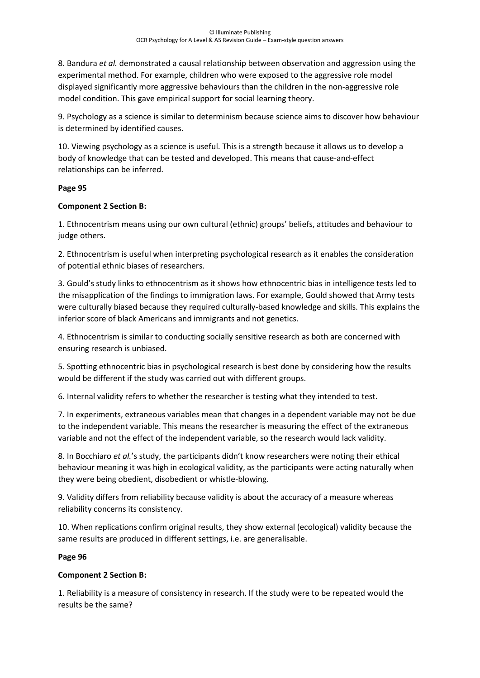8. Bandura *et al.* demonstrated a causal relationship between observation and aggression using the experimental method. For example, children who were exposed to the aggressive role model displayed significantly more aggressive behaviours than the children in the non-aggressive role model condition. This gave empirical support for social learning theory.

9. Psychology as a science is similar to determinism because science aims to discover how behaviour is determined by identified causes.

10. Viewing psychology as a science is useful. This is a strength because it allows us to develop a body of knowledge that can be tested and developed. This means that cause-and-effect relationships can be inferred.

## **Page 95**

## **Component 2 Section B:**

1. Ethnocentrism means using our own cultural (ethnic) groups' beliefs, attitudes and behaviour to judge others.

2. Ethnocentrism is useful when interpreting psychological research as it enables the consideration of potential ethnic biases of researchers.

3. Gould's study links to ethnocentrism as it shows how ethnocentric bias in intelligence tests led to the misapplication of the findings to immigration laws. For example, Gould showed that Army tests were culturally biased because they required culturally-based knowledge and skills. This explains the inferior score of black Americans and immigrants and not genetics.

4. Ethnocentrism is similar to conducting socially sensitive research as both are concerned with ensuring research is unbiased.

5. Spotting ethnocentric bias in psychological research is best done by considering how the results would be different if the study was carried out with different groups.

6. Internal validity refers to whether the researcher is testing what they intended to test.

7. In experiments, extraneous variables mean that changes in a dependent variable may not be due to the independent variable. This means the researcher is measuring the effect of the extraneous variable and not the effect of the independent variable, so the research would lack validity.

8. In Bocchiaro *et al.*'s study, the participants didn't know researchers were noting their ethical behaviour meaning it was high in ecological validity, as the participants were acting naturally when they were being obedient, disobedient or whistle-blowing.

9. Validity differs from reliability because validity is about the accuracy of a measure whereas reliability concerns its consistency.

10. When replications confirm original results, they show external (ecological) validity because the same results are produced in different settings, i.e. are generalisable.

## **Page 96**

## **Component 2 Section B:**

1. Reliability is a measure of consistency in research. If the study were to be repeated would the results be the same?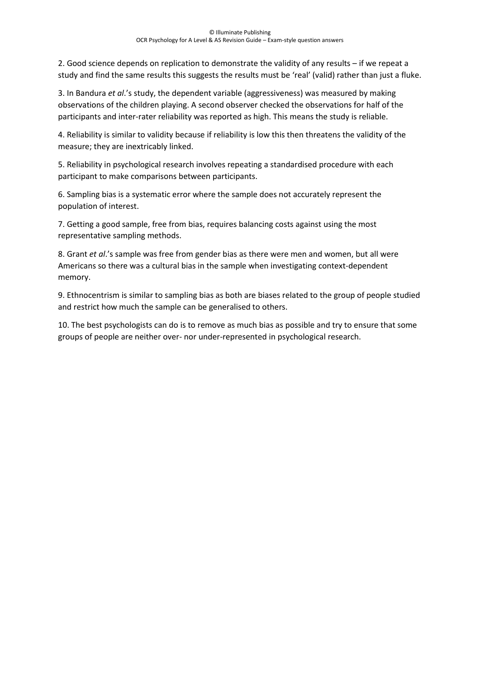2. Good science depends on replication to demonstrate the validity of any results – if we repeat a study and find the same results this suggests the results must be 'real' (valid) rather than just a fluke.

3. In Bandura *et al*.'s study, the dependent variable (aggressiveness) was measured by making observations of the children playing. A second observer checked the observations for half of the participants and inter-rater reliability was reported as high. This means the study is reliable.

4. Reliability is similar to validity because if reliability is low this then threatens the validity of the measure; they are inextricably linked.

5. Reliability in psychological research involves repeating a standardised procedure with each participant to make comparisons between participants.

6. Sampling bias is a systematic error where the sample does not accurately represent the population of interest.

7. Getting a good sample, free from bias, requires balancing costs against using the most representative sampling methods.

8. Grant *et al*.'s sample was free from gender bias as there were men and women, but all were Americans so there was a cultural bias in the sample when investigating context-dependent memory.

9. Ethnocentrism is similar to sampling bias as both are biases related to the group of people studied and restrict how much the sample can be generalised to others.

10. The best psychologists can do is to remove as much bias as possible and try to ensure that some groups of people are neither over- nor under-represented in psychological research.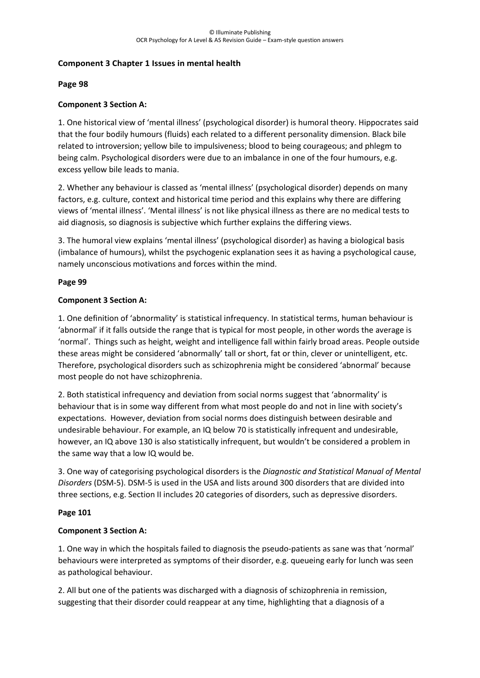#### **Component 3 Chapter 1 Issues in mental health**

#### **Page 98**

#### **Component 3 Section A:**

1. One historical view of 'mental illness' (psychological disorder) is humoral theory. Hippocrates said that the four bodily humours (fluids) each related to a different personality dimension. Black bile related to introversion; yellow bile to impulsiveness; blood to being courageous; and phlegm to being calm. Psychological disorders were due to an imbalance in one of the four humours, e.g. excess yellow bile leads to mania.

2. Whether any behaviour is classed as 'mental illness' (psychological disorder) depends on many factors, e.g. culture, context and historical time period and this explains why there are differing views of 'mental illness'. 'Mental illness' is not like physical illness as there are no medical tests to aid diagnosis, so diagnosis is subjective which further explains the differing views.

3. The humoral view explains 'mental illness' (psychological disorder) as having a biological basis (imbalance of humours), whilst the psychogenic explanation sees it as having a psychological cause, namely unconscious motivations and forces within the mind.

#### **Page 99**

#### **Component 3 Section A:**

1. One definition of 'abnormality' is statistical infrequency. In statistical terms, human behaviour is 'abnormal' if it falls outside the range that is typical for most people, in other words the average is 'normal'. Things such as height, weight and intelligence fall within fairly broad areas. People outside these areas might be considered 'abnormally' tall or short, fat or thin, clever or unintelligent, etc. Therefore, psychological disorders such as schizophrenia might be considered 'abnormal' because most people do not have schizophrenia.

2. Both statistical infrequency and deviation from social norms suggest that 'abnormality' is behaviour that is in some way different from what most people do and not in line with society's expectations. However, deviation from social norms does distinguish between desirable and undesirable behaviour. For example, an IQ below 70 is statistically infrequent and undesirable, however, an IQ above 130 is also statistically infrequent, but wouldn't be considered a problem in the same way that a low IQ would be.

3. One way of categorising psychological disorders is the *Diagnostic and Statistical Manual of Mental Disorders* (DSM-5). DSM-5 is used in the USA and lists around 300 disorders that are divided into three sections, e.g. Section II includes 20 categories of disorders, such as depressive disorders.

#### **Page 101**

#### **Component 3 Section A:**

1. One way in which the hospitals failed to diagnosis the pseudo-patients as sane was that 'normal' behaviours were interpreted as symptoms of their disorder, e.g. queueing early for lunch was seen as pathological behaviour.

2. All but one of the patients was discharged with a diagnosis of schizophrenia in remission, suggesting that their disorder could reappear at any time, highlighting that a diagnosis of a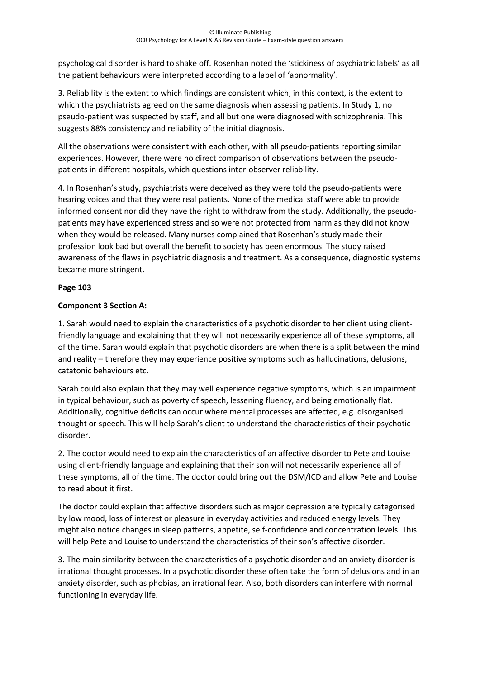psychological disorder is hard to shake off. Rosenhan noted the 'stickiness of psychiatric labels' as all the patient behaviours were interpreted according to a label of 'abnormality'.

3. Reliability is the extent to which findings are consistent which, in this context, is the extent to which the psychiatrists agreed on the same diagnosis when assessing patients. In Study 1, no pseudo-patient was suspected by staff, and all but one were diagnosed with schizophrenia. This suggests 88% consistency and reliability of the initial diagnosis.

All the observations were consistent with each other, with all pseudo-patients reporting similar experiences. However, there were no direct comparison of observations between the pseudopatients in different hospitals, which questions inter-observer reliability.

4. In Rosenhan's study, psychiatrists were deceived as they were told the pseudo-patients were hearing voices and that they were real patients. None of the medical staff were able to provide informed consent nor did they have the right to withdraw from the study. Additionally, the pseudopatients may have experienced stress and so were not protected from harm as they did not know when they would be released. Many nurses complained that Rosenhan's study made their profession look bad but overall the benefit to society has been enormous. The study raised awareness of the flaws in psychiatric diagnosis and treatment. As a consequence, diagnostic systems became more stringent.

# **Page 103**

## **Component 3 Section A:**

1. Sarah would need to explain the characteristics of a psychotic disorder to her client using clientfriendly language and explaining that they will not necessarily experience all of these symptoms, all of the time. Sarah would explain that psychotic disorders are when there is a split between the mind and reality – therefore they may experience positive symptoms such as hallucinations, delusions, catatonic behaviours etc.

Sarah could also explain that they may well experience negative symptoms, which is an impairment in typical behaviour, such as poverty of speech, lessening fluency, and being emotionally flat. Additionally, cognitive deficits can occur where mental processes are affected, e.g. disorganised thought or speech. This will help Sarah's client to understand the characteristics of their psychotic disorder.

2. The doctor would need to explain the characteristics of an affective disorder to Pete and Louise using client-friendly language and explaining that their son will not necessarily experience all of these symptoms, all of the time. The doctor could bring out the DSM/ICD and allow Pete and Louise to read about it first.

The doctor could explain that affective disorders such as major depression are typically categorised by low mood, loss of interest or pleasure in everyday activities and reduced energy levels. They might also notice changes in sleep patterns, appetite, self-confidence and concentration levels. This will help Pete and Louise to understand the characteristics of their son's affective disorder.

3. The main similarity between the characteristics of a psychotic disorder and an anxiety disorder is irrational thought processes. In a psychotic disorder these often take the form of delusions and in an anxiety disorder, such as phobias, an irrational fear. Also, both disorders can interfere with normal functioning in everyday life.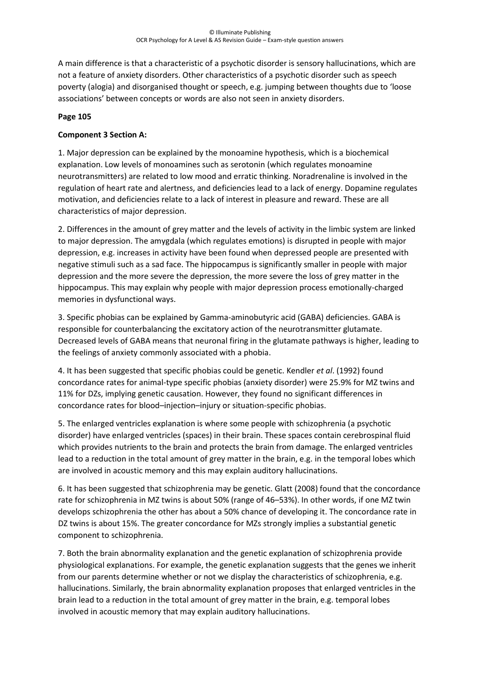A main difference is that a characteristic of a psychotic disorder is sensory hallucinations, which are not a feature of anxiety disorders. Other characteristics of a psychotic disorder such as speech poverty (alogia) and disorganised thought or speech, e.g. jumping between thoughts due to 'loose associations' between concepts or words are also not seen in anxiety disorders.

#### **Page 105**

### **Component 3 Section A:**

1. Major depression can be explained by the monoamine hypothesis, which is a biochemical explanation. Low levels of monoamines such as serotonin (which regulates monoamine neurotransmitters) are related to low mood and erratic thinking. Noradrenaline is involved in the regulation of heart rate and alertness, and deficiencies lead to a lack of energy. Dopamine regulates motivation, and deficiencies relate to a lack of interest in pleasure and reward. These are all characteristics of major depression.

2. Differences in the amount of grey matter and the levels of activity in the limbic system are linked to major depression. The amygdala (which regulates emotions) is disrupted in people with major depression, e.g. increases in activity have been found when depressed people are presented with negative stimuli such as a sad face. The hippocampus is significantly smaller in people with major depression and the more severe the depression, the more severe the loss of grey matter in the hippocampus. This may explain why people with major depression process emotionally-charged memories in dysfunctional ways.

3. Specific phobias can be explained by Gamma-aminobutyric acid (GABA) deficiencies. GABA is responsible for counterbalancing the excitatory action of the neurotransmitter glutamate. Decreased levels of GABA means that neuronal firing in the glutamate pathways is higher, leading to the feelings of anxiety commonly associated with a phobia.

4. It has been suggested that specific phobias could be genetic. Kendler *et al*. (1992) found concordance rates for animal-type specific phobias (anxiety disorder) were 25.9% for MZ twins and 11% for DZs, implying genetic causation. However, they found no significant differences in concordance rates for blood–injection–injury or situation-specific phobias.

5. The enlarged ventricles explanation is where some people with schizophrenia (a psychotic disorder) have enlarged ventricles (spaces) in their brain. These spaces contain cerebrospinal fluid which provides nutrients to the brain and protects the brain from damage. The enlarged ventricles lead to a reduction in the total amount of grey matter in the brain, e.g. in the temporal lobes which are involved in acoustic memory and this may explain auditory hallucinations.

6. It has been suggested that schizophrenia may be genetic. Glatt (2008) found that the concordance rate for schizophrenia in MZ twins is about 50% (range of 46–53%). In other words, if one MZ twin develops schizophrenia the other has about a 50% chance of developing it. The concordance rate in DZ twins is about 15%. The greater concordance for MZs strongly implies a substantial genetic component to schizophrenia.

7. Both the brain abnormality explanation and the genetic explanation of schizophrenia provide physiological explanations. For example, the genetic explanation suggests that the genes we inherit from our parents determine whether or not we display the characteristics of schizophrenia, e.g. hallucinations. Similarly, the brain abnormality explanation proposes that enlarged ventricles in the brain lead to a reduction in the total amount of grey matter in the brain, e.g. temporal lobes involved in acoustic memory that may explain auditory hallucinations.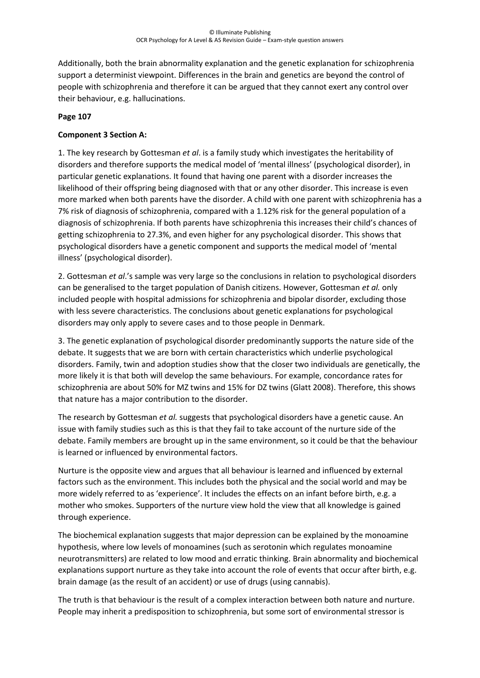Additionally, both the brain abnormality explanation and the genetic explanation for schizophrenia support a determinist viewpoint. Differences in the brain and genetics are beyond the control of people with schizophrenia and therefore it can be argued that they cannot exert any control over their behaviour, e.g. hallucinations.

#### **Page 107**

## **Component 3 Section A:**

1. The key research by Gottesman *et al*. is a family study which investigates the heritability of disorders and therefore supports the medical model of 'mental illness' (psychological disorder), in particular genetic explanations. It found that having one parent with a disorder increases the likelihood of their offspring being diagnosed with that or any other disorder. This increase is even more marked when both parents have the disorder. A child with one parent with schizophrenia has a 7% risk of diagnosis of schizophrenia, compared with a 1.12% risk for the general population of a diagnosis of schizophrenia. If both parents have schizophrenia this increases their child's chances of getting schizophrenia to 27.3%, and even higher for any psychological disorder. This shows that psychological disorders have a genetic component and supports the medical model of 'mental illness' (psychological disorder).

2. Gottesman *et al*.'s sample was very large so the conclusions in relation to psychological disorders can be generalised to the target population of Danish citizens. However, Gottesman *et al.* only included people with hospital admissions for schizophrenia and bipolar disorder, excluding those with less severe characteristics. The conclusions about genetic explanations for psychological disorders may only apply to severe cases and to those people in Denmark.

3. The genetic explanation of psychological disorder predominantly supports the nature side of the debate. It suggests that we are born with certain characteristics which underlie psychological disorders. Family, twin and adoption studies show that the closer two individuals are genetically, the more likely it is that both will develop the same behaviours. For example, concordance rates for schizophrenia are about 50% for MZ twins and 15% for DZ twins (Glatt 2008). Therefore, this shows that nature has a major contribution to the disorder.

The research by Gottesman *et al.* suggests that psychological disorders have a genetic cause. An issue with family studies such as this is that they fail to take account of the nurture side of the debate. Family members are brought up in the same environment, so it could be that the behaviour is learned or influenced by environmental factors.

Nurture is the opposite view and argues that all behaviour is learned and influenced by external factors such as the environment. This includes both the physical and the social world and may be more widely referred to as 'experience'. It includes the effects on an infant before birth, e.g. a mother who smokes. Supporters of the nurture view hold the view that all knowledge is gained through experience.

The biochemical explanation suggests that major depression can be explained by the monoamine hypothesis, where low levels of monoamines (such as serotonin which regulates monoamine neurotransmitters) are related to low mood and erratic thinking. Brain abnormality and biochemical explanations support nurture as they take into account the role of events that occur after birth, e.g. brain damage (as the result of an accident) or use of drugs (using cannabis).

The truth is that behaviour is the result of a complex interaction between both nature and nurture. People may inherit a predisposition to schizophrenia, but some sort of environmental stressor is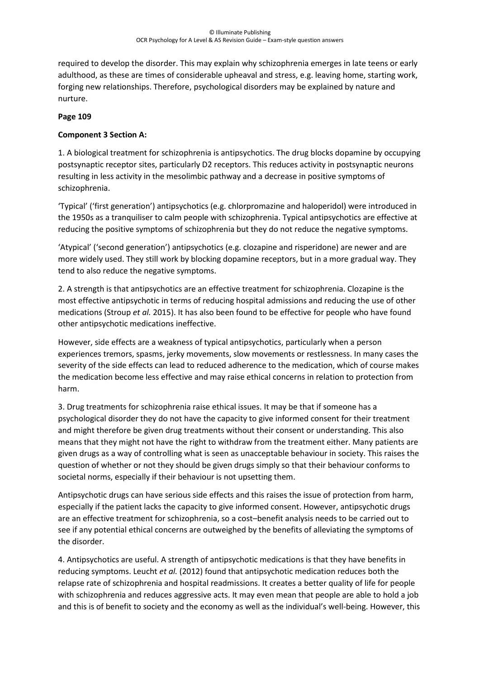required to develop the disorder. This may explain why schizophrenia emerges in late teens or early adulthood, as these are times of considerable upheaval and stress, e.g. leaving home, starting work, forging new relationships. Therefore, psychological disorders may be explained by nature and nurture.

#### **Page 109**

## **Component 3 Section A:**

1. A biological treatment for schizophrenia is antipsychotics. The drug blocks dopamine by occupying postsynaptic receptor sites, particularly D2 receptors. This reduces activity in postsynaptic neurons resulting in less activity in the mesolimbic pathway and a decrease in positive symptoms of schizophrenia.

'Typical' ('first generation') antipsychotics (e.g. chlorpromazine and haloperidol) were introduced in the 1950s as a tranquiliser to calm people with schizophrenia. Typical antipsychotics are effective at reducing the positive symptoms of schizophrenia but they do not reduce the negative symptoms.

'Atypical' ('second generation') antipsychotics (e.g. clozapine and risperidone) are newer and are more widely used. They still work by blocking dopamine receptors, but in a more gradual way. They tend to also reduce the negative symptoms.

2. A strength is that antipsychotics are an effective treatment for schizophrenia. Clozapine is the most effective antipsychotic in terms of reducing hospital admissions and reducing the use of other medications (Stroup *et al.* 2015). It has also been found to be effective for people who have found other antipsychotic medications ineffective.

However, side effects are a weakness of typical antipsychotics, particularly when a person experiences tremors, spasms, jerky movements, slow movements or restlessness. In many cases the severity of the side effects can lead to reduced adherence to the medication, which of course makes the medication become less effective and may raise ethical concerns in relation to protection from harm.

3. Drug treatments for schizophrenia raise ethical issues. It may be that if someone has a psychological disorder they do not have the capacity to give informed consent for their treatment and might therefore be given drug treatments without their consent or understanding. This also means that they might not have the right to withdraw from the treatment either. Many patients are given drugs as a way of controlling what is seen as unacceptable behaviour in society. This raises the question of whether or not they should be given drugs simply so that their behaviour conforms to societal norms, especially if their behaviour is not upsetting them.

Antipsychotic drugs can have serious side effects and this raises the issue of protection from harm, especially if the patient lacks the capacity to give informed consent. However, antipsychotic drugs are an effective treatment for schizophrenia, so a cost–benefit analysis needs to be carried out to see if any potential ethical concerns are outweighed by the benefits of alleviating the symptoms of the disorder.

4. Antipsychotics are useful. A strength of antipsychotic medications is that they have benefits in reducing symptoms. Leucht *et al.* (2012) found that antipsychotic medication reduces both the relapse rate of schizophrenia and hospital readmissions. It creates a better quality of life for people with schizophrenia and reduces aggressive acts. It may even mean that people are able to hold a job and this is of benefit to society and the economy as well as the individual's well-being. However, this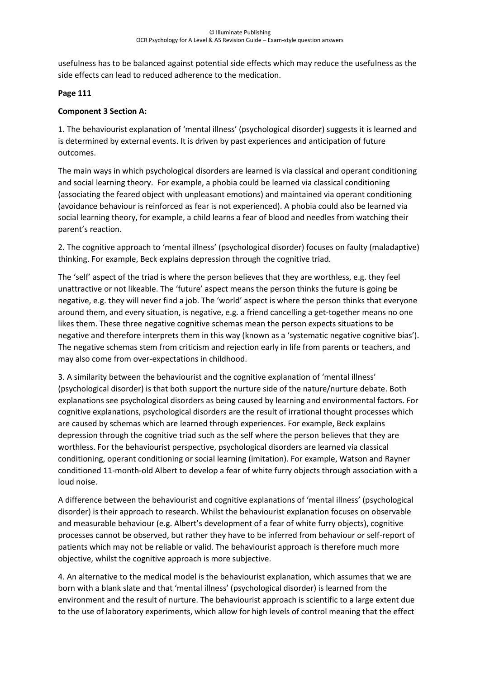usefulness has to be balanced against potential side effects which may reduce the usefulness as the side effects can lead to reduced adherence to the medication.

## **Page 111**

### **Component 3 Section A:**

1. The behaviourist explanation of 'mental illness' (psychological disorder) suggests it is learned and is determined by external events. It is driven by past experiences and anticipation of future outcomes.

The main ways in which psychological disorders are learned is via classical and operant conditioning and social learning theory. For example, a phobia could be learned via classical conditioning (associating the feared object with unpleasant emotions) and maintained via operant conditioning (avoidance behaviour is reinforced as fear is not experienced). A phobia could also be learned via social learning theory, for example, a child learns a fear of blood and needles from watching their parent's reaction.

2. The cognitive approach to 'mental illness' (psychological disorder) focuses on faulty (maladaptive) thinking. For example, Beck explains depression through the cognitive triad.

The 'self' aspect of the triad is where the person believes that they are worthless, e.g. they feel unattractive or not likeable. The 'future' aspect means the person thinks the future is going be negative, e.g. they will never find a job. The 'world' aspect is where the person thinks that everyone around them, and every situation, is negative, e.g. a friend cancelling a get-together means no one likes them. These three negative cognitive schemas mean the person expects situations to be negative and therefore interprets them in this way (known as a 'systematic negative cognitive bias'). The negative schemas stem from criticism and rejection early in life from parents or teachers, and may also come from over-expectations in childhood.

3. A similarity between the behaviourist and the cognitive explanation of 'mental illness' (psychological disorder) is that both support the nurture side of the nature/nurture debate. Both explanations see psychological disorders as being caused by learning and environmental factors. For cognitive explanations, psychological disorders are the result of irrational thought processes which are caused by schemas which are learned through experiences. For example, Beck explains depression through the cognitive triad such as the self where the person believes that they are worthless. For the behaviourist perspective, psychological disorders are learned via classical conditioning, operant conditioning or social learning (imitation). For example, Watson and Rayner conditioned 11-month-old Albert to develop a fear of white furry objects through association with a loud noise.

A difference between the behaviourist and cognitive explanations of 'mental illness' (psychological disorder) is their approach to research. Whilst the behaviourist explanation focuses on observable and measurable behaviour (e.g. Albert's development of a fear of white furry objects), cognitive processes cannot be observed, but rather they have to be inferred from behaviour or self-report of patients which may not be reliable or valid. The behaviourist approach is therefore much more objective, whilst the cognitive approach is more subjective.

4. An alternative to the medical model is the behaviourist explanation, which assumes that we are born with a blank slate and that 'mental illness' (psychological disorder) is learned from the environment and the result of nurture. The behaviourist approach is scientific to a large extent due to the use of laboratory experiments, which allow for high levels of control meaning that the effect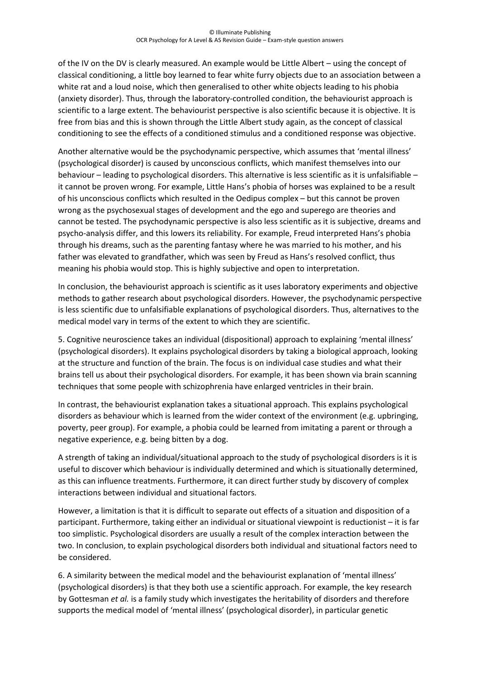of the IV on the DV is clearly measured. An example would be Little Albert – using the concept of classical conditioning, a little boy learned to fear white furry objects due to an association between a white rat and a loud noise, which then generalised to other white objects leading to his phobia (anxiety disorder). Thus, through the laboratory-controlled condition, the behaviourist approach is scientific to a large extent. The behaviourist perspective is also scientific because it is objective. It is free from bias and this is shown through the Little Albert study again, as the concept of classical conditioning to see the effects of a conditioned stimulus and a conditioned response was objective.

Another alternative would be the psychodynamic perspective, which assumes that 'mental illness' (psychological disorder) is caused by unconscious conflicts, which manifest themselves into our behaviour – leading to psychological disorders. This alternative is less scientific as it is unfalsifiable – it cannot be proven wrong. For example, Little Hans's phobia of horses was explained to be a result of his unconscious conflicts which resulted in the Oedipus complex – but this cannot be proven wrong as the psychosexual stages of development and the ego and superego are theories and cannot be tested. The psychodynamic perspective is also less scientific as it is subjective, dreams and psycho-analysis differ, and this lowers its reliability. For example, Freud interpreted Hans's phobia through his dreams, such as the parenting fantasy where he was married to his mother, and his father was elevated to grandfather, which was seen by Freud as Hans's resolved conflict, thus meaning his phobia would stop. This is highly subjective and open to interpretation.

In conclusion, the behaviourist approach is scientific as it uses laboratory experiments and objective methods to gather research about psychological disorders. However, the psychodynamic perspective is less scientific due to unfalsifiable explanations of psychological disorders. Thus, alternatives to the medical model vary in terms of the extent to which they are scientific.

5. Cognitive neuroscience takes an individual (dispositional) approach to explaining 'mental illness' (psychological disorders). It explains psychological disorders by taking a biological approach, looking at the structure and function of the brain. The focus is on individual case studies and what their brains tell us about their psychological disorders. For example, it has been shown via brain scanning techniques that some people with schizophrenia have enlarged ventricles in their brain.

In contrast, the behaviourist explanation takes a situational approach. This explains psychological disorders as behaviour which is learned from the wider context of the environment (e.g. upbringing, poverty, peer group). For example, a phobia could be learned from imitating a parent or through a negative experience, e.g. being bitten by a dog.

A strength of taking an individual/situational approach to the study of psychological disorders is it is useful to discover which behaviour is individually determined and which is situationally determined, as this can influence treatments. Furthermore, it can direct further study by discovery of complex interactions between individual and situational factors.

However, a limitation is that it is difficult to separate out effects of a situation and disposition of a participant. Furthermore, taking either an individual or situational viewpoint is reductionist – it is far too simplistic. Psychological disorders are usually a result of the complex interaction between the two. In conclusion, to explain psychological disorders both individual and situational factors need to be considered.

6. A similarity between the medical model and the behaviourist explanation of 'mental illness' (psychological disorders) is that they both use a scientific approach. For example, the key research by Gottesman *et al.* is a family study which investigates the heritability of disorders and therefore supports the medical model of 'mental illness' (psychological disorder), in particular genetic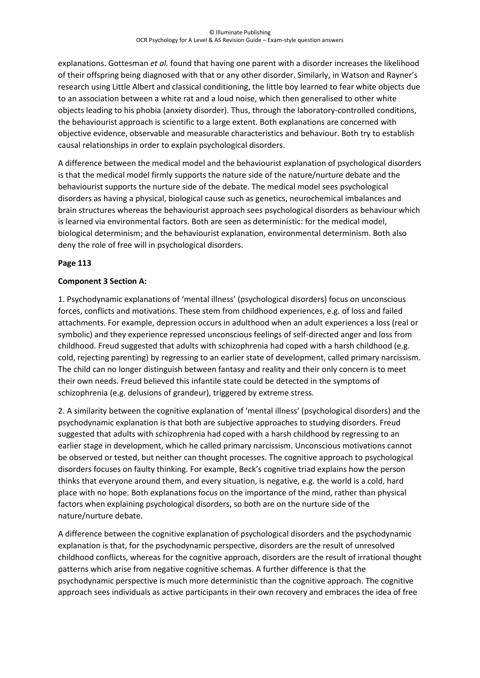explanations. Gottesman *et al.* found that having one parent with a disorder increases the likelihood of their offspring being diagnosed with that or any other disorder. Similarly, in Watson and Rayner's research using Little Albert and classical conditioning, the little boy learned to fear white objects due to an association between a white rat and a loud noise, which then generalised to other white objects leading to his phobia (anxiety disorder). Thus, through the laboratory-controlled conditions, the behaviourist approach is scientific to a large extent. Both explanations are concerned with objective evidence, observable and measurable characteristics and behaviour. Both try to establish causal relationships in order to explain psychological disorders.

A difference between the medical model and the behaviourist explanation of psychological disorders is that the medical model firmly supports the nature side of the nature/nurture debate and the behaviourist supports the nurture side of the debate. The medical model sees psychological disorders as having a physical, biological cause such as genetics, neurochemical imbalances and brain structures whereas the behaviourist approach sees psychological disorders as behaviour which is learned via environmental factors. Both are seen as deterministic: for the medical model, biological determinism; and the behaviourist explanation, environmental determinism. Both also deny the role of free will in psychological disorders.

## **Page 113**

#### **Component 3 Section A:**

1. Psychodynamic explanations of 'mental illness' (psychological disorders) focus on unconscious forces, conflicts and motivations. These stem from childhood experiences, e.g. of loss and failed attachments. For example, depression occurs in adulthood when an adult experiences a loss (real or symbolic) and they experience repressed unconscious feelings of self-directed anger and loss from childhood. Freud suggested that adults with schizophrenia had coped with a harsh childhood (e.g. cold, rejecting parenting) by regressing to an earlier state of development, called primary narcissism. The child can no longer distinguish between fantasy and reality and their only concern is to meet their own needs. Freud believed this infantile state could be detected in the symptoms of schizophrenia (e.g. delusions of grandeur), triggered by extreme stress.

2. A similarity between the cognitive explanation of 'mental illness' (psychological disorders) and the psychodynamic explanation is that both are subjective approaches to studying disorders. Freud suggested that adults with schizophrenia had coped with a harsh childhood by regressing to an earlier stage in development, which he called primary narcissism. Unconscious motivations cannot be observed or tested, but neither can thought processes. The cognitive approach to psychological disorders focuses on faulty thinking. For example, Beck's cognitive triad explains how the person thinks that everyone around them, and every situation, is negative, e.g. the world is a cold, hard place with no hope. Both explanations focus on the importance of the mind, rather than physical factors when explaining psychological disorders, so both are on the nurture side of the nature/nurture debate.

A difference between the cognitive explanation of psychological disorders and the psychodynamic explanation is that, for the psychodynamic perspective, disorders are the result of unresolved childhood conflicts, whereas for the cognitive approach, disorders are the result of irrational thought patterns which arise from negative cognitive schemas. A further difference is that the psychodynamic perspective is much more deterministic than the cognitive approach. The cognitive approach sees individuals as active participants in their own recovery and embraces the idea of free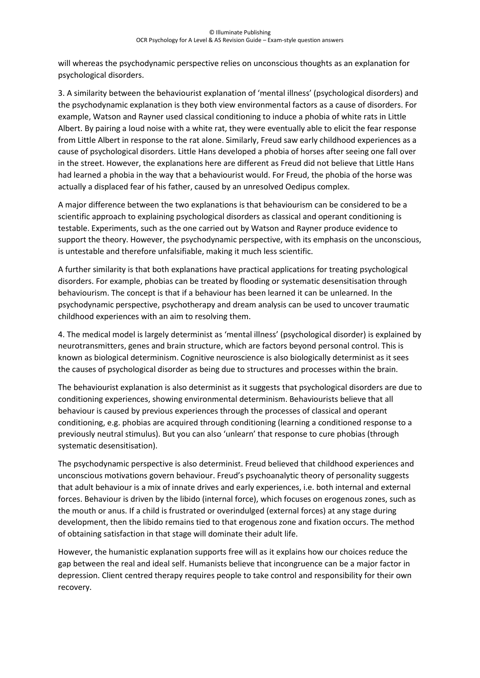will whereas the psychodynamic perspective relies on unconscious thoughts as an explanation for psychological disorders.

3. A similarity between the behaviourist explanation of 'mental illness' (psychological disorders) and the psychodynamic explanation is they both view environmental factors as a cause of disorders. For example, Watson and Rayner used classical conditioning to induce a phobia of white rats in Little Albert. By pairing a loud noise with a white rat, they were eventually able to elicit the fear response from Little Albert in response to the rat alone. Similarly, Freud saw early childhood experiences as a cause of psychological disorders. Little Hans developed a phobia of horses after seeing one fall over in the street. However, the explanations here are different as Freud did not believe that Little Hans had learned a phobia in the way that a behaviourist would. For Freud, the phobia of the horse was actually a displaced fear of his father, caused by an unresolved Oedipus complex.

A major difference between the two explanations is that behaviourism can be considered to be a scientific approach to explaining psychological disorders as classical and operant conditioning is testable. Experiments, such as the one carried out by Watson and Rayner produce evidence to support the theory. However, the psychodynamic perspective, with its emphasis on the unconscious, is untestable and therefore unfalsifiable, making it much less scientific.

A further similarity is that both explanations have practical applications for treating psychological disorders. For example, phobias can be treated by flooding or systematic desensitisation through behaviourism. The concept is that if a behaviour has been learned it can be unlearned. In the psychodynamic perspective, psychotherapy and dream analysis can be used to uncover traumatic childhood experiences with an aim to resolving them.

4. The medical model is largely determinist as 'mental illness' (psychological disorder) is explained by neurotransmitters, genes and brain structure, which are factors beyond personal control. This is known as biological determinism. Cognitive neuroscience is also biologically determinist as it sees the causes of psychological disorder as being due to structures and processes within the brain.

The behaviourist explanation is also determinist as it suggests that psychological disorders are due to conditioning experiences, showing environmental determinism. Behaviourists believe that all behaviour is caused by previous experiences through the processes of classical and operant conditioning, e.g. phobias are acquired through conditioning (learning a conditioned response to a previously neutral stimulus). But you can also 'unlearn' that response to cure phobias (through systematic desensitisation).

The psychodynamic perspective is also determinist. Freud believed that childhood experiences and unconscious motivations govern behaviour. Freud's psychoanalytic theory of personality suggests that adult behaviour is a mix of innate drives and early experiences, i.e. both internal and external forces. Behaviour is driven by the libido (internal force), which focuses on erogenous zones, such as the mouth or anus. If a child is frustrated or overindulged (external forces) at any stage during development, then the libido remains tied to that erogenous zone and fixation occurs. The method of obtaining satisfaction in that stage will dominate their adult life.

However, the humanistic explanation supports free will as it explains how our choices reduce the gap between the real and ideal self. Humanists believe that incongruence can be a major factor in depression. Client centred therapy requires people to take control and responsibility for their own recovery.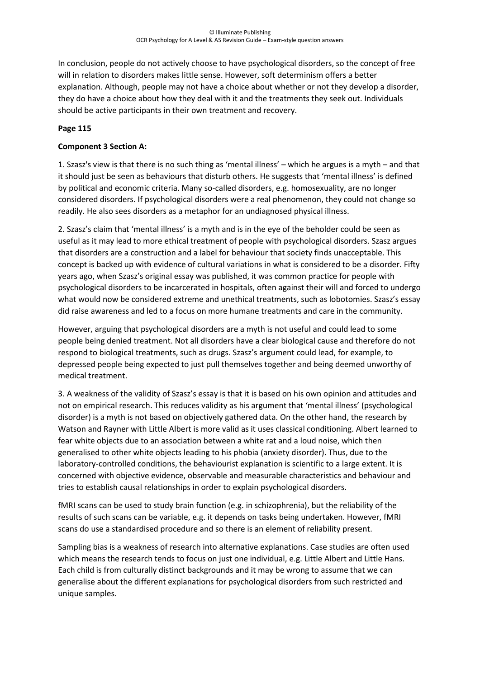In conclusion, people do not actively choose to have psychological disorders, so the concept of free will in relation to disorders makes little sense. However, soft determinism offers a better explanation. Although, people may not have a choice about whether or not they develop a disorder, they do have a choice about how they deal with it and the treatments they seek out. Individuals should be active participants in their own treatment and recovery.

### **Page 115**

### **Component 3 Section A:**

1. Szasz's view is that there is no such thing as 'mental illness' – which he argues is a myth – and that it should just be seen as behaviours that disturb others. He suggests that 'mental illness' is defined by political and economic criteria. Many so-called disorders, e.g. homosexuality, are no longer considered disorders. If psychological disorders were a real phenomenon, they could not change so readily. He also sees disorders as a metaphor for an undiagnosed physical illness.

2. Szasz's claim that 'mental illness' is a myth and is in the eye of the beholder could be seen as useful as it may lead to more ethical treatment of people with psychological disorders. Szasz argues that disorders are a construction and a label for behaviour that society finds unacceptable. This concept is backed up with evidence of cultural variations in what is considered to be a disorder. Fifty years ago, when Szasz's original essay was published, it was common practice for people with psychological disorders to be incarcerated in hospitals, often against their will and forced to undergo what would now be considered extreme and unethical treatments, such as lobotomies. Szasz's essay did raise awareness and led to a focus on more humane treatments and care in the community.

However, arguing that psychological disorders are a myth is not useful and could lead to some people being denied treatment. Not all disorders have a clear biological cause and therefore do not respond to biological treatments, such as drugs. Szasz's argument could lead, for example, to depressed people being expected to just pull themselves together and being deemed unworthy of medical treatment.

3. A weakness of the validity of Szasz's essay is that it is based on his own opinion and attitudes and not on empirical research. This reduces validity as his argument that 'mental illness' (psychological disorder) is a myth is not based on objectively gathered data. On the other hand, the research by Watson and Rayner with Little Albert is more valid as it uses classical conditioning. Albert learned to fear white objects due to an association between a white rat and a loud noise, which then generalised to other white objects leading to his phobia (anxiety disorder). Thus, due to the laboratory-controlled conditions, the behaviourist explanation is scientific to a large extent. It is concerned with objective evidence, observable and measurable characteristics and behaviour and tries to establish causal relationships in order to explain psychological disorders.

fMRI scans can be used to study brain function (e.g. in schizophrenia), but the reliability of the results of such scans can be variable, e.g. it depends on tasks being undertaken. However, fMRI scans do use a standardised procedure and so there is an element of reliability present.

Sampling bias is a weakness of research into alternative explanations. Case studies are often used which means the research tends to focus on just one individual, e.g. Little Albert and Little Hans. Each child is from culturally distinct backgrounds and it may be wrong to assume that we can generalise about the different explanations for psychological disorders from such restricted and unique samples.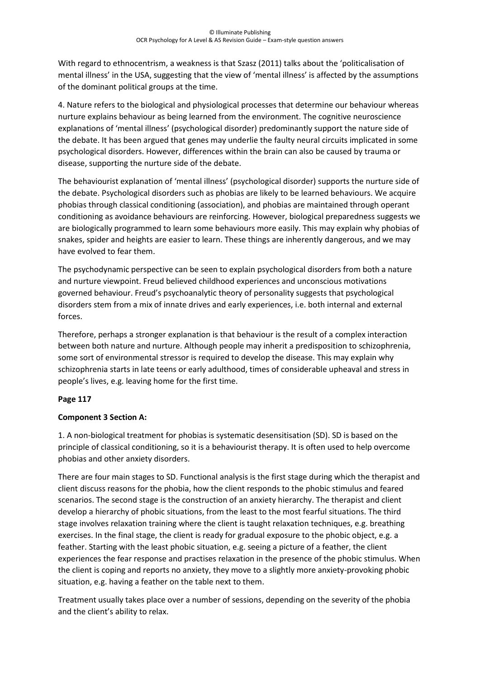With regard to ethnocentrism, a weakness is that Szasz (2011) talks about the 'politicalisation of mental illness' in the USA, suggesting that the view of 'mental illness' is affected by the assumptions of the dominant political groups at the time.

4. Nature refers to the biological and physiological processes that determine our behaviour whereas nurture explains behaviour as being learned from the environment. The cognitive neuroscience explanations of 'mental illness' (psychological disorder) predominantly support the nature side of the debate. It has been argued that genes may underlie the faulty neural circuits implicated in some psychological disorders. However, differences within the brain can also be caused by trauma or disease, supporting the nurture side of the debate.

The behaviourist explanation of 'mental illness' (psychological disorder) supports the nurture side of the debate. Psychological disorders such as phobias are likely to be learned behaviours. We acquire phobias through classical conditioning (association), and phobias are maintained through operant conditioning as avoidance behaviours are reinforcing. However, biological preparedness suggests we are biologically programmed to learn some behaviours more easily. This may explain why phobias of snakes, spider and heights are easier to learn. These things are inherently dangerous, and we may have evolved to fear them.

The psychodynamic perspective can be seen to explain psychological disorders from both a nature and nurture viewpoint. Freud believed childhood experiences and unconscious motivations governed behaviour. Freud's psychoanalytic theory of personality suggests that psychological disorders stem from a mix of innate drives and early experiences, i.e. both internal and external forces.

Therefore, perhaps a stronger explanation is that behaviour is the result of a complex interaction between both nature and nurture. Although people may inherit a predisposition to schizophrenia, some sort of environmental stressor is required to develop the disease. This may explain why schizophrenia starts in late teens or early adulthood, times of considerable upheaval and stress in people's lives, e.g. leaving home for the first time.

#### **Page 117**

#### **Component 3 Section A:**

1. A non-biological treatment for phobias is systematic desensitisation (SD). SD is based on the principle of classical conditioning, so it is a behaviourist therapy. It is often used to help overcome phobias and other anxiety disorders.

There are four main stages to SD. Functional analysis is the first stage during which the therapist and client discuss reasons for the phobia, how the client responds to the phobic stimulus and feared scenarios. The second stage is the construction of an anxiety hierarchy. The therapist and client develop a hierarchy of phobic situations, from the least to the most fearful situations. The third stage involves relaxation training where the client is taught relaxation techniques, e.g. breathing exercises. In the final stage, the client is ready for gradual exposure to the phobic object, e.g. a feather. Starting with the least phobic situation, e.g. seeing a picture of a feather, the client experiences the fear response and practises relaxation in the presence of the phobic stimulus. When the client is coping and reports no anxiety, they move to a slightly more anxiety-provoking phobic situation, e.g. having a feather on the table next to them.

Treatment usually takes place over a number of sessions, depending on the severity of the phobia and the client's ability to relax.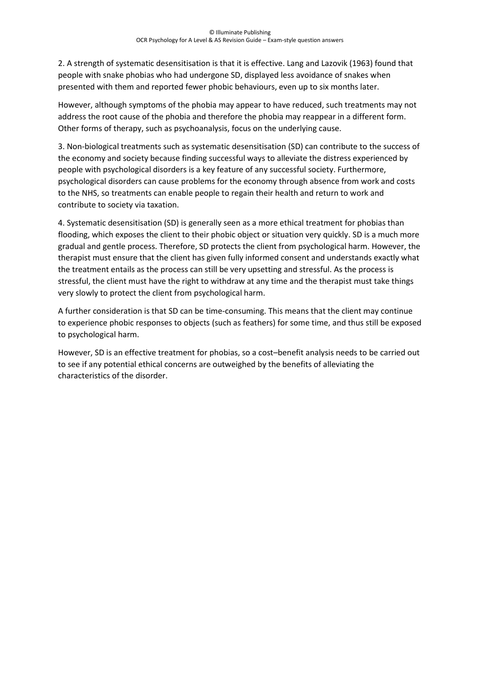2. A strength of systematic desensitisation is that it is effective. Lang and Lazovik (1963) found that people with snake phobias who had undergone SD, displayed less avoidance of snakes when presented with them and reported fewer phobic behaviours, even up to six months later.

However, although symptoms of the phobia may appear to have reduced, such treatments may not address the root cause of the phobia and therefore the phobia may reappear in a different form. Other forms of therapy, such as psychoanalysis, focus on the underlying cause.

3. Non-biological treatments such as systematic desensitisation (SD) can contribute to the success of the economy and society because finding successful ways to alleviate the distress experienced by people with psychological disorders is a key feature of any successful society. Furthermore, psychological disorders can cause problems for the economy through absence from work and costs to the NHS, so treatments can enable people to regain their health and return to work and contribute to society via taxation.

4. Systematic desensitisation (SD) is generally seen as a more ethical treatment for phobias than flooding, which exposes the client to their phobic object or situation very quickly. SD is a much more gradual and gentle process. Therefore, SD protects the client from psychological harm. However, the therapist must ensure that the client has given fully informed consent and understands exactly what the treatment entails as the process can still be very upsetting and stressful. As the process is stressful, the client must have the right to withdraw at any time and the therapist must take things very slowly to protect the client from psychological harm.

A further consideration is that SD can be time-consuming. This means that the client may continue to experience phobic responses to objects (such as feathers) for some time, and thus still be exposed to psychological harm.

However, SD is an effective treatment for phobias, so a cost–benefit analysis needs to be carried out to see if any potential ethical concerns are outweighed by the benefits of alleviating the characteristics of the disorder.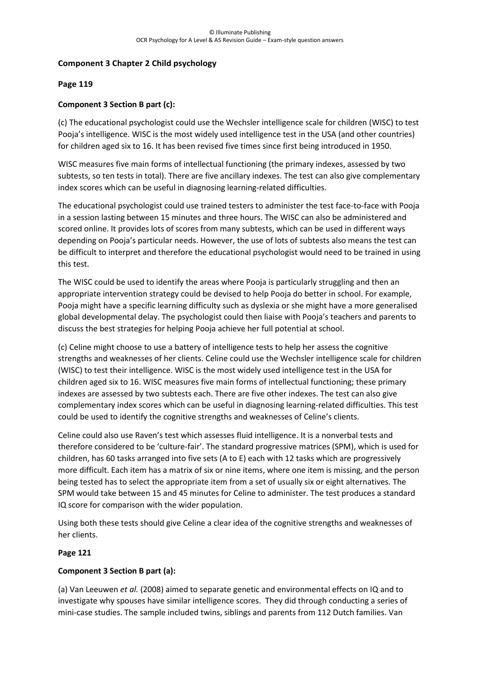## **Component 3 Chapter 2 Child psychology**

#### **Page 119**

### **Component 3 Section B part (c):**

(c) The educational psychologist could use the Wechsler intelligence scale for children (WISC) to test Pooja's intelligence. WISC is the most widely used intelligence test in the USA (and other countries) for children aged six to 16. It has been revised five times since first being introduced in 1950.

WISC measures five main forms of intellectual functioning (the primary indexes, assessed by two subtests, so ten tests in total). There are five ancillary indexes. The test can also give complementary index scores which can be useful in diagnosing learning-related difficulties.

The educational psychologist could use trained testers to administer the test face-to-face with Pooja in a session lasting between 15 minutes and three hours. The WISC can also be administered and scored online. It provides lots of scores from many subtests, which can be used in different ways depending on Pooja's particular needs. However, the use of lots of subtests also means the test can be difficult to interpret and therefore the educational psychologist would need to be trained in using this test.

The WISC could be used to identify the areas where Pooja is particularly struggling and then an appropriate intervention strategy could be devised to help Pooja do better in school. For example, Pooja might have a specific learning difficulty such as dyslexia or she might have a more generalised global developmental delay. The psychologist could then liaise with Pooja's teachers and parents to discuss the best strategies for helping Pooja achieve her full potential at school.

(c) Celine might choose to use a battery of intelligence tests to help her assess the cognitive strengths and weaknesses of her clients. Celine could use the Wechsler intelligence scale for children (WISC) to test their intelligence. WISC is the most widely used intelligence test in the USA for children aged six to 16. WISC measures five main forms of intellectual functioning; these primary indexes are assessed by two subtests each. There are five other indexes. The test can also give complementary index scores which can be useful in diagnosing learning-related difficulties. This test could be used to identify the cognitive strengths and weaknesses of Celine's clients.

Celine could also use Raven's test which assesses fluid intelligence. It is a nonverbal tests and therefore considered to be 'culture-fair'. The standard progressive matrices (SPM), which is used for children, has 60 tasks arranged into five sets (A to E) each with 12 tasks which are progressively more difficult. Each item has a matrix of six or nine items, where one item is missing, and the person being tested has to select the appropriate item from a set of usually six or eight alternatives. The SPM would take between 15 and 45 minutes for Celine to administer. The test produces a standard IQ score for comparison with the wider population.

Using both these tests should give Celine a clear idea of the cognitive strengths and weaknesses of her clients.

#### **Page 121**

#### **Component 3 Section B part (a):**

(a) Van Leeuwen *et al.* (2008) aimed to separate genetic and environmental effects on IQ and to investigate why spouses have similar intelligence scores. They did through conducting a series of mini-case studies. The sample included twins, siblings and parents from 112 Dutch families. Van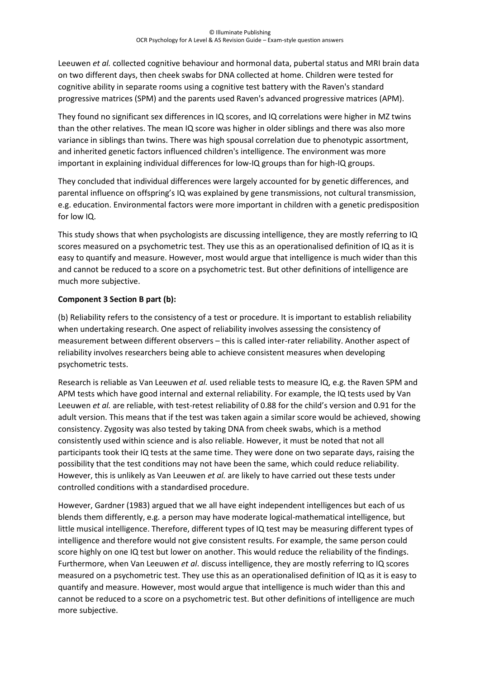Leeuwen *et al.* collected cognitive behaviour and hormonal data, pubertal status and MRI brain data on two different days, then cheek swabs for DNA collected at home. Children were tested for cognitive ability in separate rooms using a cognitive test battery with the Raven's standard progressive matrices (SPM) and the parents used Raven's advanced progressive matrices (APM).

They found no significant sex differences in IQ scores, and IQ correlations were higher in MZ twins than the other relatives. The mean IQ score was higher in older siblings and there was also more variance in siblings than twins. There was high spousal correlation due to phenotypic assortment, and inherited genetic factors influenced children's intelligence. The environment was more important in explaining individual differences for low-IQ groups than for high-IQ groups.

They concluded that individual differences were largely accounted for by genetic differences, and parental influence on offspring's IQ was explained by gene transmissions, not cultural transmission, e.g. education. Environmental factors were more important in children with a genetic predisposition for low IQ.

This study shows that when psychologists are discussing intelligence, they are mostly referring to IQ scores measured on a psychometric test. They use this as an operationalised definition of IQ as it is easy to quantify and measure. However, most would argue that intelligence is much wider than this and cannot be reduced to a score on a psychometric test. But other definitions of intelligence are much more subjective.

## **Component 3 Section B part (b):**

(b) Reliability refers to the consistency of a test or procedure. It is important to establish reliability when undertaking research. One aspect of reliability involves assessing the consistency of measurement between different observers – this is called inter-rater reliability. Another aspect of reliability involves researchers being able to achieve consistent measures when developing psychometric tests.

Research is reliable as Van Leeuwen *et al.* used reliable tests to measure IQ, e.g. the Raven SPM and APM tests which have good internal and external reliability. For example, the IQ tests used by Van Leeuwen *et al.* are reliable, with test-retest reliability of 0.88 for the child's version and 0.91 for the adult version. This means that if the test was taken again a similar score would be achieved, showing consistency. Zygosity was also tested by taking DNA from cheek swabs, which is a method consistently used within science and is also reliable. However, it must be noted that not all participants took their IQ tests at the same time. They were done on two separate days, raising the possibility that the test conditions may not have been the same, which could reduce reliability. However, this is unlikely as Van Leeuwen *et al.* are likely to have carried out these tests under controlled conditions with a standardised procedure.

However, Gardner (1983) argued that we all have eight independent intelligences but each of us blends them differently, e.g. a person may have moderate logical-mathematical intelligence, but little musical intelligence. Therefore, different types of IQ test may be measuring different types of intelligence and therefore would not give consistent results. For example, the same person could score highly on one IQ test but lower on another. This would reduce the reliability of the findings. Furthermore, when Van Leeuwen *et al*. discuss intelligence, they are mostly referring to IQ scores measured on a psychometric test. They use this as an operationalised definition of IQ as it is easy to quantify and measure. However, most would argue that intelligence is much wider than this and cannot be reduced to a score on a psychometric test. But other definitions of intelligence are much more subjective.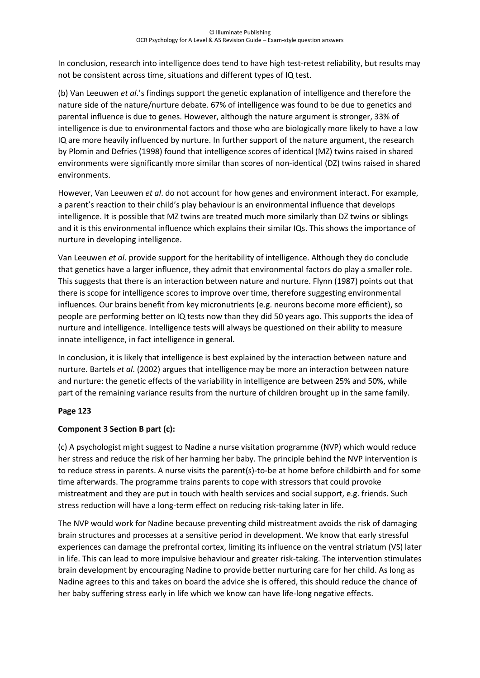In conclusion, research into intelligence does tend to have high test-retest reliability, but results may not be consistent across time, situations and different types of IQ test.

(b) Van Leeuwen *et al*.'s findings support the genetic explanation of intelligence and therefore the nature side of the nature/nurture debate. 67% of intelligence was found to be due to genetics and parental influence is due to genes. However, although the nature argument is stronger, 33% of intelligence is due to environmental factors and those who are biologically more likely to have a low IQ are more heavily influenced by nurture. In further support of the nature argument, the research by Plomin and Defries (1998) found that intelligence scores of identical (MZ) twins raised in shared environments were significantly more similar than scores of non-identical (DZ) twins raised in shared environments.

However, Van Leeuwen *et al*. do not account for how genes and environment interact. For example, a parent's reaction to their child's play behaviour is an environmental influence that develops intelligence. It is possible that MZ twins are treated much more similarly than DZ twins or siblings and it is this environmental influence which explains their similar IQs. This shows the importance of nurture in developing intelligence.

Van Leeuwen *et al*. provide support for the heritability of intelligence. Although they do conclude that genetics have a larger influence, they admit that environmental factors do play a smaller role. This suggests that there is an interaction between nature and nurture. Flynn (1987) points out that there is scope for intelligence scores to improve over time, therefore suggesting environmental influences. Our brains benefit from key micronutrients (e.g. neurons become more efficient), so people are performing better on IQ tests now than they did 50 years ago. This supports the idea of nurture and intelligence. Intelligence tests will always be questioned on their ability to measure innate intelligence, in fact intelligence in general.

In conclusion, it is likely that intelligence is best explained by the interaction between nature and nurture. Bartels *et al*. (2002) argues that intelligence may be more an interaction between nature and nurture: the genetic effects of the variability in intelligence are between 25% and 50%, while part of the remaining variance results from the nurture of children brought up in the same family.

# **Page 123**

# **Component 3 Section B part (c):**

(c) A psychologist might suggest to Nadine a nurse visitation programme (NVP) which would reduce her stress and reduce the risk of her harming her baby. The principle behind the NVP intervention is to reduce stress in parents. A nurse visits the parent(s)-to-be at home before childbirth and for some time afterwards. The programme trains parents to cope with stressors that could provoke mistreatment and they are put in touch with health services and social support, e.g. friends. Such stress reduction will have a long-term effect on reducing risk-taking later in life.

The NVP would work for Nadine because preventing child mistreatment avoids the risk of damaging brain structures and processes at a sensitive period in development. We know that early stressful experiences can damage the prefrontal cortex, limiting its influence on the ventral striatum (VS) later in life. This can lead to more impulsive behaviour and greater risk-taking. The intervention stimulates brain development by encouraging Nadine to provide better nurturing care for her child. As long as Nadine agrees to this and takes on board the advice she is offered, this should reduce the chance of her baby suffering stress early in life which we know can have life-long negative effects.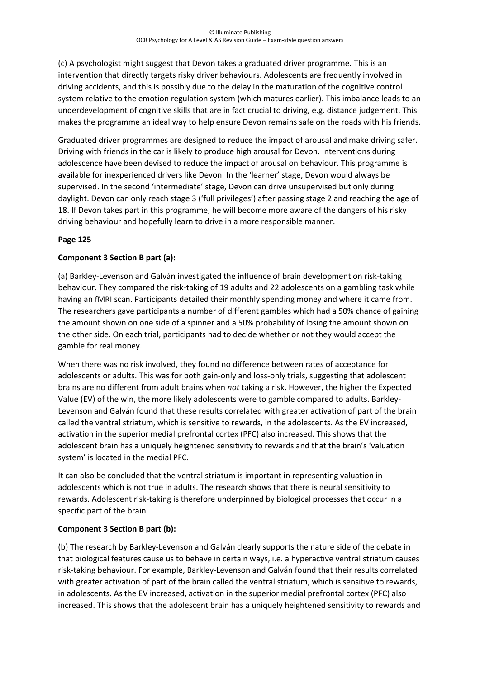(c) A psychologist might suggest that Devon takes a graduated driver programme. This is an intervention that directly targets risky driver behaviours. Adolescents are frequently involved in driving accidents, and this is possibly due to the delay in the maturation of the cognitive control system relative to the emotion regulation system (which matures earlier). This imbalance leads to an underdevelopment of cognitive skills that are in fact crucial to driving, e.g. distance judgement. This makes the programme an ideal way to help ensure Devon remains safe on the roads with his friends.

Graduated driver programmes are designed to reduce the impact of arousal and make driving safer. Driving with friends in the car is likely to produce high arousal for Devon. Interventions during adolescence have been devised to reduce the impact of arousal on behaviour. This programme is available for inexperienced drivers like Devon. In the 'learner' stage, Devon would always be supervised. In the second 'intermediate' stage, Devon can drive unsupervised but only during daylight. Devon can only reach stage 3 ('full privileges') after passing stage 2 and reaching the age of 18. If Devon takes part in this programme, he will become more aware of the dangers of his risky driving behaviour and hopefully learn to drive in a more responsible manner.

## **Page 125**

## **Component 3 Section B part (a):**

(a) Barkley-Levenson and Galván investigated the influence of brain development on risk-taking behaviour. They compared the risk-taking of 19 adults and 22 adolescents on a gambling task while having an fMRI scan. Participants detailed their monthly spending money and where it came from. The researchers gave participants a number of different gambles which had a 50% chance of gaining the amount shown on one side of a spinner and a 50% probability of losing the amount shown on the other side. On each trial, participants had to decide whether or not they would accept the gamble for real money.

When there was no risk involved, they found no difference between rates of acceptance for adolescents or adults. This was for both gain-only and loss-only trials, suggesting that adolescent brains are no different from adult brains when *not* taking a risk. However, the higher the Expected Value (EV) of the win, the more likely adolescents were to gamble compared to adults. Barkley-Levenson and Galván found that these results correlated with greater activation of part of the brain called the ventral striatum, which is sensitive to rewards, in the adolescents. As the EV increased, activation in the superior medial prefrontal cortex (PFC) also increased. This shows that the adolescent brain has a uniquely heightened sensitivity to rewards and that the brain's 'valuation system' is located in the medial PFC.

It can also be concluded that the ventral striatum is important in representing valuation in adolescents which is not true in adults. The research shows that there is neural sensitivity to rewards. Adolescent risk-taking is therefore underpinned by biological processes that occur in a specific part of the brain.

# **Component 3 Section B part (b):**

(b) The research by Barkley-Levenson and Galván clearly supports the nature side of the debate in that biological features cause us to behave in certain ways, i.e. a hyperactive ventral striatum causes risk-taking behaviour. For example, Barkley-Levenson and Galván found that their results correlated with greater activation of part of the brain called the ventral striatum, which is sensitive to rewards, in adolescents. As the EV increased, activation in the superior medial prefrontal cortex (PFC) also increased. This shows that the adolescent brain has a uniquely heightened sensitivity to rewards and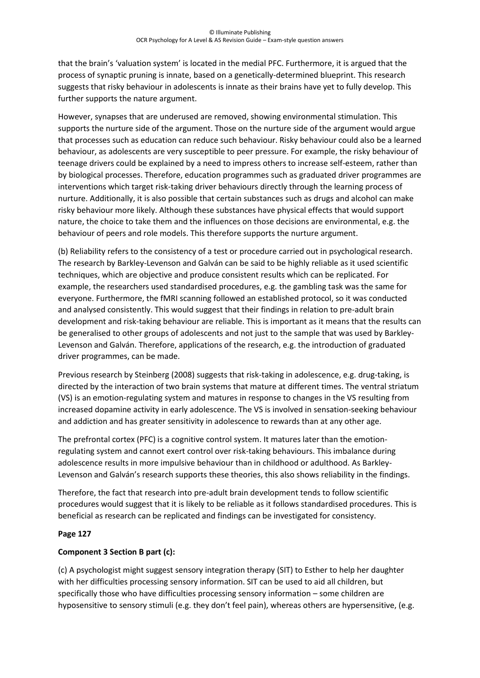that the brain's 'valuation system' is located in the medial PFC. Furthermore, it is argued that the process of synaptic pruning is innate, based on a genetically-determined blueprint. This research suggests that risky behaviour in adolescents is innate as their brains have yet to fully develop. This further supports the nature argument.

However, synapses that are underused are removed, showing environmental stimulation. This supports the nurture side of the argument. Those on the nurture side of the argument would argue that processes such as education can reduce such behaviour. Risky behaviour could also be a learned behaviour, as adolescents are very susceptible to peer pressure. For example, the risky behaviour of teenage drivers could be explained by a need to impress others to increase self-esteem, rather than by biological processes. Therefore, education programmes such as graduated driver programmes are interventions which target risk-taking driver behaviours directly through the learning process of nurture. Additionally, it is also possible that certain substances such as drugs and alcohol can make risky behaviour more likely. Although these substances have physical effects that would support nature, the choice to take them and the influences on those decisions are environmental, e.g. the behaviour of peers and role models. This therefore supports the nurture argument.

(b) Reliability refers to the consistency of a test or procedure carried out in psychological research. The research by Barkley-Levenson and Galván can be said to be highly reliable as it used scientific techniques, which are objective and produce consistent results which can be replicated. For example, the researchers used standardised procedures, e.g. the gambling task was the same for everyone. Furthermore, the fMRI scanning followed an established protocol, so it was conducted and analysed consistently. This would suggest that their findings in relation to pre-adult brain development and risk-taking behaviour are reliable. This is important as it means that the results can be generalised to other groups of adolescents and not just to the sample that was used by Barkley-Levenson and Galván. Therefore, applications of the research, e.g. the introduction of graduated driver programmes, can be made.

Previous research by Steinberg (2008) suggests that risk-taking in adolescence, e.g. drug-taking, is directed by the interaction of two brain systems that mature at different times. The ventral striatum (VS) is an emotion-regulating system and matures in response to changes in the VS resulting from increased dopamine activity in early adolescence. The VS is involved in sensation-seeking behaviour and addiction and has greater sensitivity in adolescence to rewards than at any other age.

The prefrontal cortex (PFC) is a cognitive control system. It matures later than the emotionregulating system and cannot exert control over risk-taking behaviours. This imbalance during adolescence results in more impulsive behaviour than in childhood or adulthood. As Barkley-Levenson and Galván's research supports these theories, this also shows reliability in the findings.

Therefore, the fact that research into pre-adult brain development tends to follow scientific procedures would suggest that it is likely to be reliable as it follows standardised procedures. This is beneficial as research can be replicated and findings can be investigated for consistency.

#### **Page 127**

# **Component 3 Section B part (c):**

(c) A psychologist might suggest sensory integration therapy (SIT) to Esther to help her daughter with her difficulties processing sensory information. SIT can be used to aid all children, but specifically those who have difficulties processing sensory information – some children are hyposensitive to sensory stimuli (e.g. they don't feel pain), whereas others are hypersensitive, (e.g.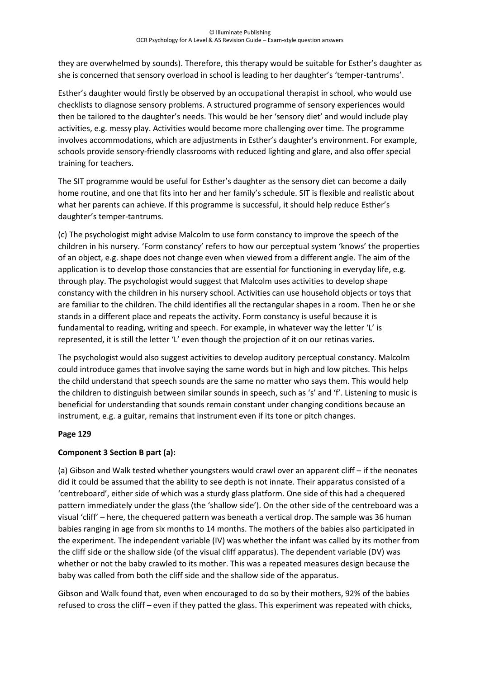they are overwhelmed by sounds). Therefore, this therapy would be suitable for Esther's daughter as she is concerned that sensory overload in school is leading to her daughter's 'temper-tantrums'.

Esther's daughter would firstly be observed by an occupational therapist in school, who would use checklists to diagnose sensory problems. A structured programme of sensory experiences would then be tailored to the daughter's needs. This would be her 'sensory diet' and would include play activities, e.g. messy play. Activities would become more challenging over time. The programme involves accommodations, which are adjustments in Esther's daughter's environment. For example, schools provide sensory-friendly classrooms with reduced lighting and glare, and also offer special training for teachers.

The SIT programme would be useful for Esther's daughter as the sensory diet can become a daily home routine, and one that fits into her and her family's schedule. SIT is flexible and realistic about what her parents can achieve. If this programme is successful, it should help reduce Esther's daughter's temper-tantrums.

(c) The psychologist might advise Malcolm to use form constancy to improve the speech of the children in his nursery. 'Form constancy' refers to how our perceptual system 'knows' the properties of an object, e.g. shape does not change even when viewed from a different angle. The aim of the application is to develop those constancies that are essential for functioning in everyday life, e.g. through play. The psychologist would suggest that Malcolm uses activities to develop shape constancy with the children in his nursery school. Activities can use household objects or toys that are familiar to the children. The child identifies all the rectangular shapes in a room. Then he or she stands in a different place and repeats the activity. Form constancy is useful because it is fundamental to reading, writing and speech. For example, in whatever way the letter 'L' is represented, it is still the letter 'L' even though the projection of it on our retinas varies.

The psychologist would also suggest activities to develop auditory perceptual constancy. Malcolm could introduce games that involve saying the same words but in high and low pitches. This helps the child understand that speech sounds are the same no matter who says them. This would help the children to distinguish between similar sounds in speech, such as 's' and 'f'. Listening to music is beneficial for understanding that sounds remain constant under changing conditions because an instrument, e.g. a guitar, remains that instrument even if its tone or pitch changes.

#### **Page 129**

#### **Component 3 Section B part (a):**

(a) Gibson and Walk tested whether youngsters would crawl over an apparent cliff – if the neonates did it could be assumed that the ability to see depth is not innate. Their apparatus consisted of a 'centreboard', either side of which was a sturdy glass platform. One side of this had a chequered pattern immediately under the glass (the 'shallow side'). On the other side of the centreboard was a visual 'cliff' – here, the chequered pattern was beneath a vertical drop. The sample was 36 human babies ranging in age from six months to 14 months. The mothers of the babies also participated in the experiment. The independent variable (IV) was whether the infant was called by its mother from the cliff side or the shallow side (of the visual cliff apparatus). The dependent variable (DV) was whether or not the baby crawled to its mother. This was a repeated measures design because the baby was called from both the cliff side and the shallow side of the apparatus.

Gibson and Walk found that, even when encouraged to do so by their mothers, 92% of the babies refused to cross the cliff – even if they patted the glass. This experiment was repeated with chicks,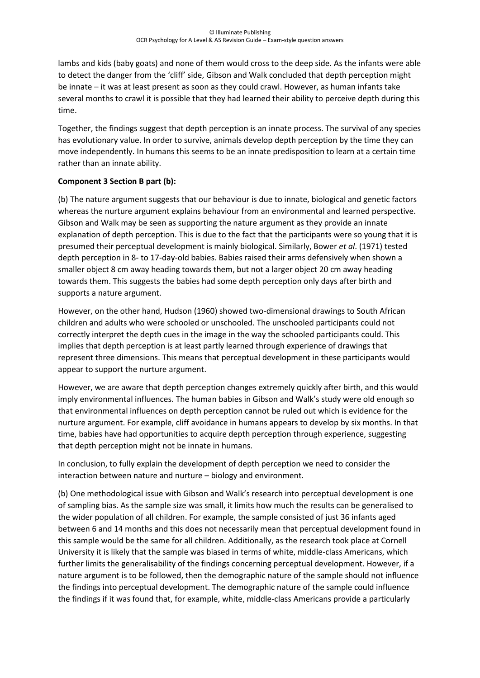lambs and kids (baby goats) and none of them would cross to the deep side. As the infants were able to detect the danger from the 'cliff' side, Gibson and Walk concluded that depth perception might be innate – it was at least present as soon as they could crawl. However, as human infants take several months to crawl it is possible that they had learned their ability to perceive depth during this time.

Together, the findings suggest that depth perception is an innate process. The survival of any species has evolutionary value. In order to survive, animals develop depth perception by the time they can move independently. In humans this seems to be an innate predisposition to learn at a certain time rather than an innate ability.

## **Component 3 Section B part (b):**

(b) The nature argument suggests that our behaviour is due to innate, biological and genetic factors whereas the nurture argument explains behaviour from an environmental and learned perspective. Gibson and Walk may be seen as supporting the nature argument as they provide an innate explanation of depth perception. This is due to the fact that the participants were so young that it is presumed their perceptual development is mainly biological. Similarly, Bower *et al*. (1971) tested depth perception in 8- to 17-day-old babies. Babies raised their arms defensively when shown a smaller object 8 cm away heading towards them, but not a larger object 20 cm away heading towards them. This suggests the babies had some depth perception only days after birth and supports a nature argument.

However, on the other hand, Hudson (1960) showed two-dimensional drawings to South African children and adults who were schooled or unschooled. The unschooled participants could not correctly interpret the depth cues in the image in the way the schooled participants could. This implies that depth perception is at least partly learned through experience of drawings that represent three dimensions. This means that perceptual development in these participants would appear to support the nurture argument.

However, we are aware that depth perception changes extremely quickly after birth, and this would imply environmental influences. The human babies in Gibson and Walk's study were old enough so that environmental influences on depth perception cannot be ruled out which is evidence for the nurture argument. For example, cliff avoidance in humans appears to develop by six months. In that time, babies have had opportunities to acquire depth perception through experience, suggesting that depth perception might not be innate in humans.

In conclusion, to fully explain the development of depth perception we need to consider the interaction between nature and nurture – biology and environment.

(b) One methodological issue with Gibson and Walk's research into perceptual development is one of sampling bias. As the sample size was small, it limits how much the results can be generalised to the wider population of all children. For example, the sample consisted of just 36 infants aged between 6 and 14 months and this does not necessarily mean that perceptual development found in this sample would be the same for all children. Additionally, as the research took place at Cornell University it is likely that the sample was biased in terms of white, middle-class Americans, which further limits the generalisability of the findings concerning perceptual development. However, if a nature argument is to be followed, then the demographic nature of the sample should not influence the findings into perceptual development. The demographic nature of the sample could influence the findings if it was found that, for example, white, middle-class Americans provide a particularly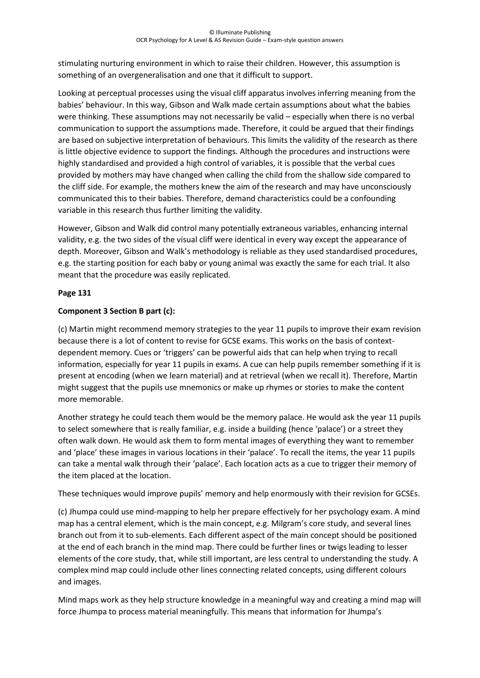stimulating nurturing environment in which to raise their children. However, this assumption is something of an overgeneralisation and one that it difficult to support.

Looking at perceptual processes using the visual cliff apparatus involves inferring meaning from the babies' behaviour. In this way, Gibson and Walk made certain assumptions about what the babies were thinking. These assumptions may not necessarily be valid – especially when there is no verbal communication to support the assumptions made. Therefore, it could be argued that their findings are based on subjective interpretation of behaviours. This limits the validity of the research as there is little objective evidence to support the findings. Although the procedures and instructions were highly standardised and provided a high control of variables, it is possible that the verbal cues provided by mothers may have changed when calling the child from the shallow side compared to the cliff side. For example, the mothers knew the aim of the research and may have unconsciously communicated this to their babies. Therefore, demand characteristics could be a confounding variable in this research thus further limiting the validity.

However, Gibson and Walk did control many potentially extraneous variables, enhancing internal validity, e.g. the two sides of the visual cliff were identical in every way except the appearance of depth. Moreover, Gibson and Walk's methodology is reliable as they used standardised procedures, e.g. the starting position for each baby or young animal was exactly the same for each trial. It also meant that the procedure was easily replicated.

#### **Page 131**

# **Component 3 Section B part (c):**

(c) Martin might recommend memory strategies to the year 11 pupils to improve their exam revision because there is a lot of content to revise for GCSE exams. This works on the basis of contextdependent memory. Cues or 'triggers' can be powerful aids that can help when trying to recall information, especially for year 11 pupils in exams. A cue can help pupils remember something if it is present at encoding (when we learn material) and at retrieval (when we recall it). Therefore, Martin might suggest that the pupils use mnemonics or make up rhymes or stories to make the content more memorable.

Another strategy he could teach them would be the memory palace. He would ask the year 11 pupils to select somewhere that is really familiar, e.g. inside a building (hence 'palace') or a street they often walk down. He would ask them to form mental images of everything they want to remember and 'place' these images in various locations in their 'palace'. To recall the items, the year 11 pupils can take a mental walk through their 'palace'. Each location acts as a cue to trigger their memory of the item placed at the location.

These techniques would improve pupils' memory and help enormously with their revision for GCSEs.

(c) Jhumpa could use mind-mapping to help her prepare effectively for her psychology exam. A mind map has a central element, which is the main concept, e.g. Milgram's core study, and several lines branch out from it to sub-elements. Each different aspect of the main concept should be positioned at the end of each branch in the mind map. There could be further lines or twigs leading to lesser elements of the core study, that, while still important, are less central to understanding the study. A complex mind map could include other lines connecting related concepts, using different colours and images.

Mind maps work as they help structure knowledge in a meaningful way and creating a mind map will force Jhumpa to process material meaningfully. This means that information for Jhumpa's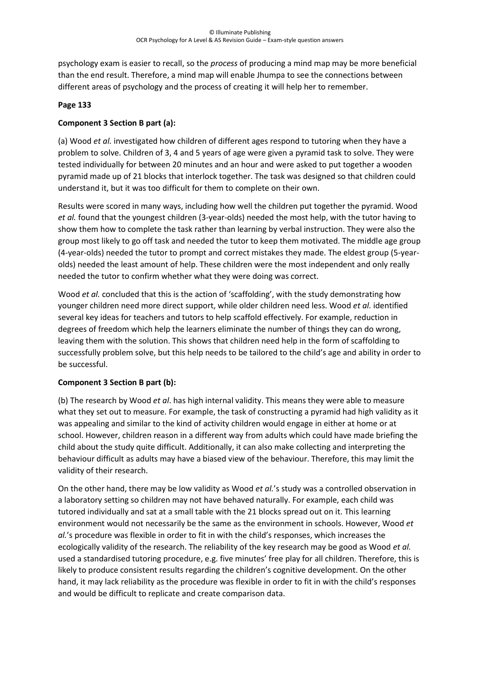psychology exam is easier to recall, so the *process* of producing a mind map may be more beneficial than the end result. Therefore, a mind map will enable Jhumpa to see the connections between different areas of psychology and the process of creating it will help her to remember.

#### **Page 133**

### **Component 3 Section B part (a):**

(a) Wood *et al.* investigated how children of different ages respond to tutoring when they have a problem to solve. Children of 3, 4 and 5 years of age were given a pyramid task to solve. They were tested individually for between 20 minutes and an hour and were asked to put together a wooden pyramid made up of 21 blocks that interlock together. The task was designed so that children could understand it, but it was too difficult for them to complete on their own.

Results were scored in many ways, including how well the children put together the pyramid. Wood *et al.* found that the youngest children (3-year-olds) needed the most help, with the tutor having to show them how to complete the task rather than learning by verbal instruction. They were also the group most likely to go off task and needed the tutor to keep them motivated. The middle age group (4-year-olds) needed the tutor to prompt and correct mistakes they made. The eldest group (5-yearolds) needed the least amount of help. These children were the most independent and only really needed the tutor to confirm whether what they were doing was correct.

Wood *et al.* concluded that this is the action of 'scaffolding', with the study demonstrating how younger children need more direct support, while older children need less. Wood *et al.* identified several key ideas for teachers and tutors to help scaffold effectively. For example, reduction in degrees of freedom which help the learners eliminate the number of things they can do wrong, leaving them with the solution. This shows that children need help in the form of scaffolding to successfully problem solve, but this help needs to be tailored to the child's age and ability in order to be successful.

#### **Component 3 Section B part (b):**

(b) The research by Wood *et al*. has high internal validity. This means they were able to measure what they set out to measure. For example, the task of constructing a pyramid had high validity as it was appealing and similar to the kind of activity children would engage in either at home or at school. However, children reason in a different way from adults which could have made briefing the child about the study quite difficult. Additionally, it can also make collecting and interpreting the behaviour difficult as adults may have a biased view of the behaviour. Therefore, this may limit the validity of their research.

On the other hand, there may be low validity as Wood *et al.*'s study was a controlled observation in a laboratory setting so children may not have behaved naturally. For example, each child was tutored individually and sat at a small table with the 21 blocks spread out on it. This learning environment would not necessarily be the same as the environment in schools. However, Wood *et al.*'s procedure was flexible in order to fit in with the child's responses, which increases the ecologically validity of the research. The reliability of the key research may be good as Wood *et al.* used a standardised tutoring procedure, e.g. five minutes' free play for all children. Therefore, this is likely to produce consistent results regarding the children's cognitive development. On the other hand, it may lack reliability as the procedure was flexible in order to fit in with the child's responses and would be difficult to replicate and create comparison data.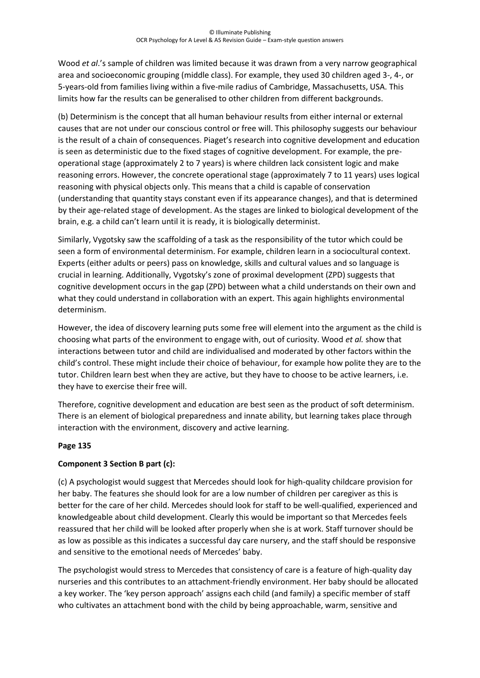Wood *et al*.'s sample of children was limited because it was drawn from a very narrow geographical area and socioeconomic grouping (middle class). For example, they used 30 children aged 3-, 4-, or 5-years-old from families living within a five-mile radius of Cambridge, Massachusetts, USA. This limits how far the results can be generalised to other children from different backgrounds.

(b) Determinism is the concept that all human behaviour results from either internal or external causes that are not under our conscious control or free will. This philosophy suggests our behaviour is the result of a chain of consequences. Piaget's research into cognitive development and education is seen as deterministic due to the fixed stages of cognitive development. For example, the preoperational stage (approximately 2 to 7 years) is where children lack consistent logic and make reasoning errors. However, the concrete operational stage (approximately 7 to 11 years) uses logical reasoning with physical objects only. This means that a child is capable of conservation (understanding that quantity stays constant even if its appearance changes), and that is determined by their age-related stage of development. As the stages are linked to biological development of the brain, e.g. a child can't learn until it is ready, it is biologically determinist.

Similarly, Vygotsky saw the scaffolding of a task as the responsibility of the tutor which could be seen a form of environmental determinism. For example, children learn in a sociocultural context. Experts (either adults or peers) pass on knowledge, skills and cultural values and so language is crucial in learning. Additionally, Vygotsky's zone of proximal development (ZPD) suggests that cognitive development occurs in the gap (ZPD) between what a child understands on their own and what they could understand in collaboration with an expert. This again highlights environmental determinism.

However, the idea of discovery learning puts some free will element into the argument as the child is choosing what parts of the environment to engage with, out of curiosity. Wood *et al.* show that interactions between tutor and child are individualised and moderated by other factors within the child's control. These might include their choice of behaviour, for example how polite they are to the tutor. Children learn best when they are active, but they have to choose to be active learners, i.e. they have to exercise their free will.

Therefore, cognitive development and education are best seen as the product of soft determinism. There is an element of biological preparedness and innate ability, but learning takes place through interaction with the environment, discovery and active learning.

#### **Page 135**

#### **Component 3 Section B part (c):**

(c) A psychologist would suggest that Mercedes should look for high-quality childcare provision for her baby. The features she should look for are a low number of children per caregiver as this is better for the care of her child. Mercedes should look for staff to be well-qualified, experienced and knowledgeable about child development. Clearly this would be important so that Mercedes feels reassured that her child will be looked after properly when she is at work. Staff turnover should be as low as possible as this indicates a successful day care nursery, and the staff should be responsive and sensitive to the emotional needs of Mercedes' baby.

The psychologist would stress to Mercedes that consistency of care is a feature of high-quality day nurseries and this contributes to an attachment-friendly environment. Her baby should be allocated a key worker. The 'key person approach' assigns each child (and family) a specific member of staff who cultivates an attachment bond with the child by being approachable, warm, sensitive and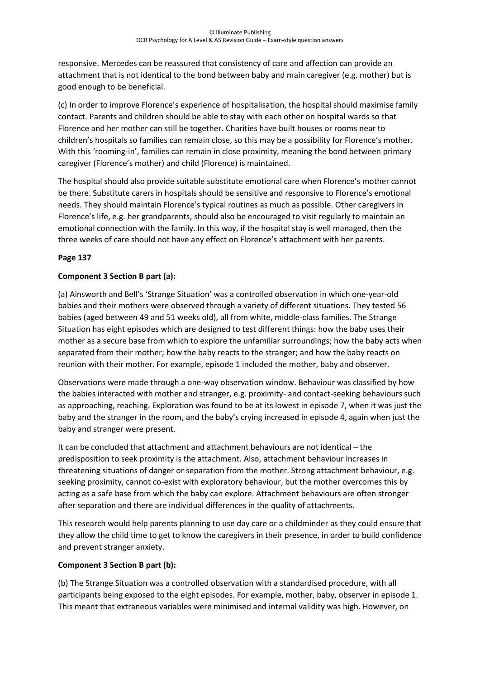responsive. Mercedes can be reassured that consistency of care and affection can provide an attachment that is not identical to the bond between baby and main caregiver (e.g. mother) but is good enough to be beneficial.

(c) In order to improve Florence's experience of hospitalisation, the hospital should maximise family contact. Parents and children should be able to stay with each other on hospital wards so that Florence and her mother can still be together. Charities have built houses or rooms near to children's hospitals so families can remain close, so this may be a possibility for Florence's mother. With this 'rooming-in', families can remain in close proximity, meaning the bond between primary caregiver (Florence's mother) and child (Florence) is maintained.

The hospital should also provide suitable substitute emotional care when Florence's mother cannot be there. Substitute carers in hospitals should be sensitive and responsive to Florence's emotional needs. They should maintain Florence's typical routines as much as possible. Other caregivers in Florence's life, e.g. her grandparents, should also be encouraged to visit regularly to maintain an emotional connection with the family. In this way, if the hospital stay is well managed, then the three weeks of care should not have any effect on Florence's attachment with her parents.

#### **Page 137**

#### **Component 3 Section B part (a):**

(a) Ainsworth and Bell's 'Strange Situation' was a controlled observation in which one-year-old babies and their mothers were observed through a variety of different situations. They tested 56 babies (aged between 49 and 51 weeks old), all from white, middle-class families. The Strange Situation has eight episodes which are designed to test different things: how the baby uses their mother as a secure base from which to explore the unfamiliar surroundings; how the baby acts when separated from their mother; how the baby reacts to the stranger; and how the baby reacts on reunion with their mother. For example, episode 1 included the mother, baby and observer.

Observations were made through a one-way observation window. Behaviour was classified by how the babies interacted with mother and stranger, e.g. proximity- and contact-seeking behaviours such as approaching, reaching. Exploration was found to be at its lowest in episode 7, when it was just the baby and the stranger in the room, and the baby's crying increased in episode 4, again when just the baby and stranger were present.

It can be concluded that attachment and attachment behaviours are not identical – the predisposition to seek proximity is the attachment. Also, attachment behaviour increases in threatening situations of danger or separation from the mother. Strong attachment behaviour, e.g. seeking proximity, cannot co-exist with exploratory behaviour, but the mother overcomes this by acting as a safe base from which the baby can explore. Attachment behaviours are often stronger after separation and there are individual differences in the quality of attachments.

This research would help parents planning to use day care or a childminder as they could ensure that they allow the child time to get to know the caregivers in their presence, in order to build confidence and prevent stranger anxiety.

#### **Component 3 Section B part (b):**

(b) The Strange Situation was a controlled observation with a standardised procedure, with all participants being exposed to the eight episodes. For example, mother, baby, observer in episode 1. This meant that extraneous variables were minimised and internal validity was high. However, on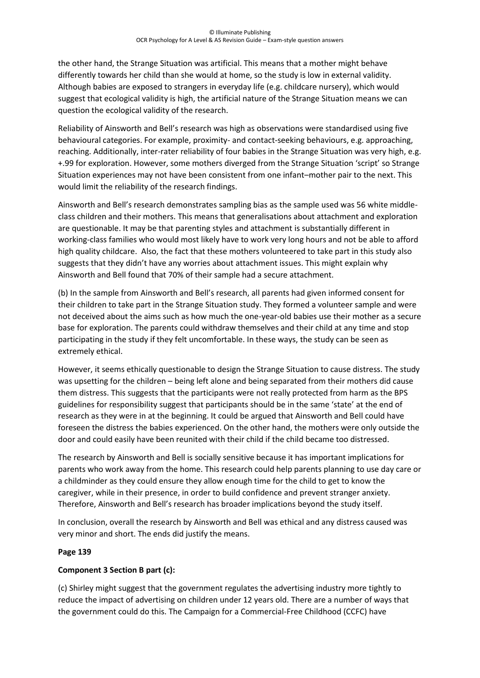the other hand, the Strange Situation was artificial. This means that a mother might behave differently towards her child than she would at home, so the study is low in external validity. Although babies are exposed to strangers in everyday life (e.g. childcare nursery), which would suggest that ecological validity is high, the artificial nature of the Strange Situation means we can question the ecological validity of the research.

Reliability of Ainsworth and Bell's research was high as observations were standardised using five behavioural categories. For example, proximity- and contact-seeking behaviours, e.g. approaching, reaching. Additionally, inter-rater reliability of four babies in the Strange Situation was very high, e.g. +.99 for exploration. However, some mothers diverged from the Strange Situation 'script' so Strange Situation experiences may not have been consistent from one infant–mother pair to the next. This would limit the reliability of the research findings.

Ainsworth and Bell's research demonstrates sampling bias as the sample used was 56 white middleclass children and their mothers. This means that generalisations about attachment and exploration are questionable. It may be that parenting styles and attachment is substantially different in working-class families who would most likely have to work very long hours and not be able to afford high quality childcare. Also, the fact that these mothers volunteered to take part in this study also suggests that they didn't have any worries about attachment issues. This might explain why Ainsworth and Bell found that 70% of their sample had a secure attachment.

(b) In the sample from Ainsworth and Bell's research, all parents had given informed consent for their children to take part in the Strange Situation study. They formed a volunteer sample and were not deceived about the aims such as how much the one-year-old babies use their mother as a secure base for exploration. The parents could withdraw themselves and their child at any time and stop participating in the study if they felt uncomfortable. In these ways, the study can be seen as extremely ethical.

However, it seems ethically questionable to design the Strange Situation to cause distress. The study was upsetting for the children – being left alone and being separated from their mothers did cause them distress. This suggests that the participants were not really protected from harm as the BPS guidelines for responsibility suggest that participants should be in the same 'state' at the end of research as they were in at the beginning. It could be argued that Ainsworth and Bell could have foreseen the distress the babies experienced. On the other hand, the mothers were only outside the door and could easily have been reunited with their child if the child became too distressed.

The research by Ainsworth and Bell is socially sensitive because it has important implications for parents who work away from the home. This research could help parents planning to use day care or a childminder as they could ensure they allow enough time for the child to get to know the caregiver, while in their presence, in order to build confidence and prevent stranger anxiety. Therefore, Ainsworth and Bell's research has broader implications beyond the study itself.

In conclusion, overall the research by Ainsworth and Bell was ethical and any distress caused was very minor and short. The ends did justify the means.

#### **Page 139**

# **Component 3 Section B part (c):**

(c) Shirley might suggest that the government regulates the advertising industry more tightly to reduce the impact of advertising on children under 12 years old. There are a number of ways that the government could do this. The Campaign for a Commercial-Free Childhood (CCFC) have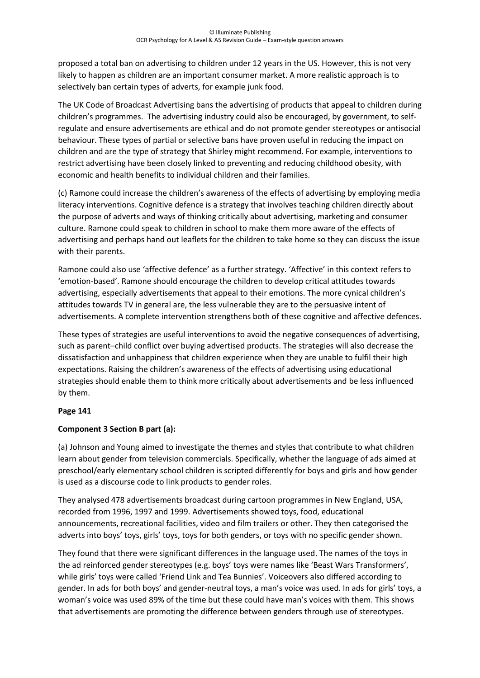proposed a total ban on advertising to children under 12 years in the US. However, this is not very likely to happen as children are an important consumer market. A more realistic approach is to selectively ban certain types of adverts, for example junk food.

The UK Code of Broadcast Advertising bans the advertising of products that appeal to children during children's programmes. The advertising industry could also be encouraged, by government, to selfregulate and ensure advertisements are ethical and do not promote gender stereotypes or antisocial behaviour. These types of partial or selective bans have proven useful in reducing the impact on children and are the type of strategy that Shirley might recommend. For example, interventions to restrict advertising have been closely linked to preventing and reducing childhood obesity, with economic and health benefits to individual children and their families.

(c) Ramone could increase the children's awareness of the effects of advertising by employing media literacy interventions. Cognitive defence is a strategy that involves teaching children directly about the purpose of adverts and ways of thinking critically about advertising, marketing and consumer culture. Ramone could speak to children in school to make them more aware of the effects of advertising and perhaps hand out leaflets for the children to take home so they can discuss the issue with their parents.

Ramone could also use 'affective defence' as a further strategy. 'Affective' in this context refers to 'emotion-based'. Ramone should encourage the children to develop critical attitudes towards advertising, especially advertisements that appeal to their emotions. The more cynical children's attitudes towards TV in general are, the less vulnerable they are to the persuasive intent of advertisements. A complete intervention strengthens both of these cognitive and affective defences.

These types of strategies are useful interventions to avoid the negative consequences of advertising, such as parent–child conflict over buying advertised products. The strategies will also decrease the dissatisfaction and unhappiness that children experience when they are unable to fulfil their high expectations. Raising the children's awareness of the effects of advertising using educational strategies should enable them to think more critically about advertisements and be less influenced by them.

#### **Page 141**

# **Component 3 Section B part (a):**

(a) Johnson and Young aimed to investigate the themes and styles that contribute to what children learn about gender from television commercials. Specifically, whether the language of ads aimed at preschool/early elementary school children is scripted differently for boys and girls and how gender is used as a discourse code to link products to gender roles.

They analysed 478 advertisements broadcast during cartoon programmes in New England, USA, recorded from 1996, 1997 and 1999. Advertisements showed toys, food, educational announcements, recreational facilities, video and film trailers or other. They then categorised the adverts into boys' toys, girls' toys, toys for both genders, or toys with no specific gender shown.

They found that there were significant differences in the language used. The names of the toys in the ad reinforced gender stereotypes (e.g. boys' toys were names like 'Beast Wars Transformers', while girls' toys were called 'Friend Link and Tea Bunnies'. Voiceovers also differed according to gender. In ads for both boys' and gender-neutral toys, a man's voice was used. In ads for girls' toys, a woman's voice was used 89% of the time but these could have man's voices with them. This shows that advertisements are promoting the difference between genders through use of stereotypes.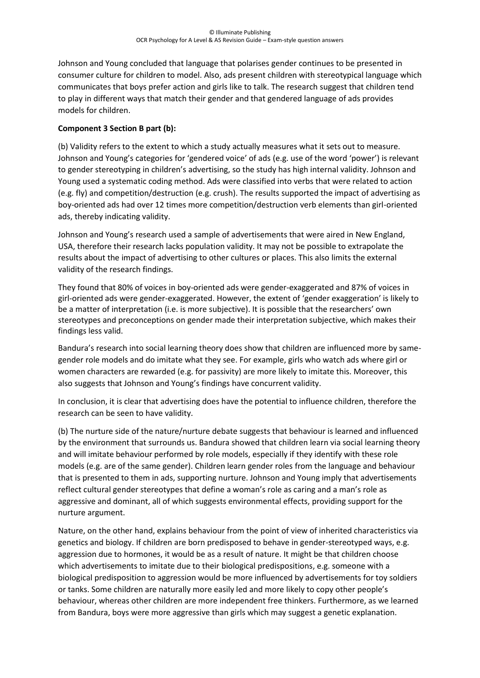Johnson and Young concluded that language that polarises gender continues to be presented in consumer culture for children to model. Also, ads present children with stereotypical language which communicates that boys prefer action and girls like to talk. The research suggest that children tend to play in different ways that match their gender and that gendered language of ads provides models for children.

### **Component 3 Section B part (b):**

(b) Validity refers to the extent to which a study actually measures what it sets out to measure. Johnson and Young's categories for 'gendered voice' of ads (e.g. use of the word 'power') is relevant to gender stereotyping in children's advertising, so the study has high internal validity. Johnson and Young used a systematic coding method. Ads were classified into verbs that were related to action (e.g. fly) and competition/destruction (e.g. crush). The results supported the impact of advertising as boy-oriented ads had over 12 times more competition/destruction verb elements than girl-oriented ads, thereby indicating validity.

Johnson and Young's research used a sample of advertisements that were aired in New England, USA, therefore their research lacks population validity. It may not be possible to extrapolate the results about the impact of advertising to other cultures or places. This also limits the external validity of the research findings.

They found that 80% of voices in boy-oriented ads were gender-exaggerated and 87% of voices in girl-oriented ads were gender-exaggerated. However, the extent of 'gender exaggeration' is likely to be a matter of interpretation (i.e. is more subjective). It is possible that the researchers' own stereotypes and preconceptions on gender made their interpretation subjective, which makes their findings less valid.

Bandura's research into social learning theory does show that children are influenced more by samegender role models and do imitate what they see. For example, girls who watch ads where girl or women characters are rewarded (e.g. for passivity) are more likely to imitate this. Moreover, this also suggests that Johnson and Young's findings have concurrent validity.

In conclusion, it is clear that advertising does have the potential to influence children, therefore the research can be seen to have validity.

(b) The nurture side of the nature/nurture debate suggests that behaviour is learned and influenced by the environment that surrounds us. Bandura showed that children learn via social learning theory and will imitate behaviour performed by role models, especially if they identify with these role models (e.g. are of the same gender). Children learn gender roles from the language and behaviour that is presented to them in ads, supporting nurture. Johnson and Young imply that advertisements reflect cultural gender stereotypes that define a woman's role as caring and a man's role as aggressive and dominant, all of which suggests environmental effects, providing support for the nurture argument.

Nature, on the other hand, explains behaviour from the point of view of inherited characteristics via genetics and biology. If children are born predisposed to behave in gender-stereotyped ways, e.g. aggression due to hormones, it would be as a result of nature. It might be that children choose which advertisements to imitate due to their biological predispositions, e.g. someone with a biological predisposition to aggression would be more influenced by advertisements for toy soldiers or tanks. Some children are naturally more easily led and more likely to copy other people's behaviour, whereas other children are more independent free thinkers. Furthermore, as we learned from Bandura, boys were more aggressive than girls which may suggest a genetic explanation.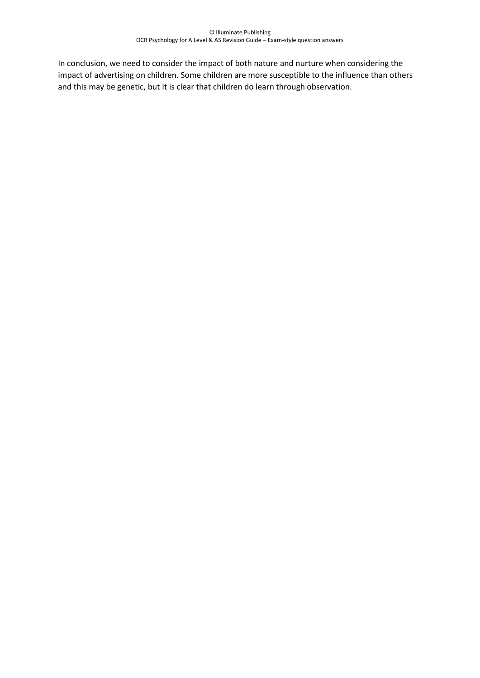In conclusion, we need to consider the impact of both nature and nurture when considering the impact of advertising on children. Some children are more susceptible to the influence than others and this may be genetic, but it is clear that children do learn through observation.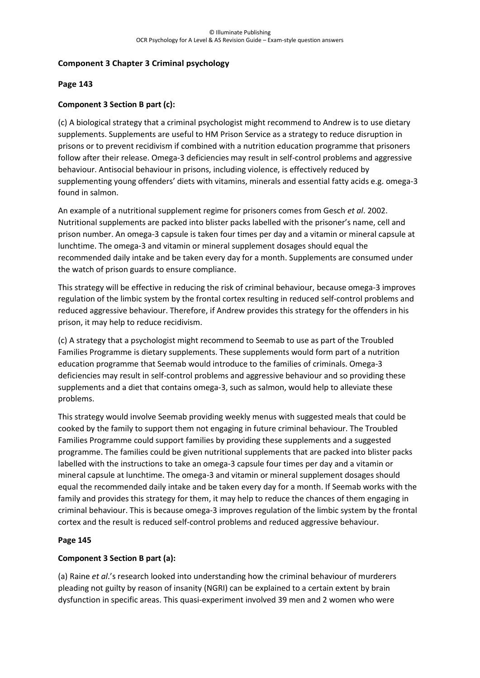### **Component 3 Chapter 3 Criminal psychology**

#### **Page 143**

### **Component 3 Section B part (c):**

(c) A biological strategy that a criminal psychologist might recommend to Andrew is to use dietary supplements. Supplements are useful to HM Prison Service as a strategy to reduce disruption in prisons or to prevent recidivism if combined with a nutrition education programme that prisoners follow after their release. Omega-3 deficiencies may result in self-control problems and aggressive behaviour. Antisocial behaviour in prisons, including violence, is effectively reduced by supplementing young offenders' diets with vitamins, minerals and essential fatty acids e.g. omega-3 found in salmon.

An example of a nutritional supplement regime for prisoners comes from Gesch *et al*. 2002. Nutritional supplements are packed into blister packs labelled with the prisoner's name, cell and prison number. An omega-3 capsule is taken four times per day and a vitamin or mineral capsule at lunchtime. The omega-3 and vitamin or mineral supplement dosages should equal the recommended daily intake and be taken every day for a month. Supplements are consumed under the watch of prison guards to ensure compliance.

This strategy will be effective in reducing the risk of criminal behaviour, because omega-3 improves regulation of the limbic system by the frontal cortex resulting in reduced self-control problems and reduced aggressive behaviour. Therefore, if Andrew provides this strategy for the offenders in his prison, it may help to reduce recidivism.

(c) A strategy that a psychologist might recommend to Seemab to use as part of the Troubled Families Programme is dietary supplements. These supplements would form part of a nutrition education programme that Seemab would introduce to the families of criminals. Omega-3 deficiencies may result in self-control problems and aggressive behaviour and so providing these supplements and a diet that contains omega-3, such as salmon, would help to alleviate these problems.

This strategy would involve Seemab providing weekly menus with suggested meals that could be cooked by the family to support them not engaging in future criminal behaviour. The Troubled Families Programme could support families by providing these supplements and a suggested programme. The families could be given nutritional supplements that are packed into blister packs labelled with the instructions to take an omega-3 capsule four times per day and a vitamin or mineral capsule at lunchtime. The omega-3 and vitamin or mineral supplement dosages should equal the recommended daily intake and be taken every day for a month. If Seemab works with the family and provides this strategy for them, it may help to reduce the chances of them engaging in criminal behaviour. This is because omega-3 improves regulation of the limbic system by the frontal cortex and the result is reduced self-control problems and reduced aggressive behaviour.

#### **Page 145**

#### **Component 3 Section B part (a):**

(a) Raine *et al*.'s research looked into understanding how the criminal behaviour of murderers pleading not guilty by reason of insanity (NGRI) can be explained to a certain extent by brain dysfunction in specific areas. This quasi-experiment involved 39 men and 2 women who were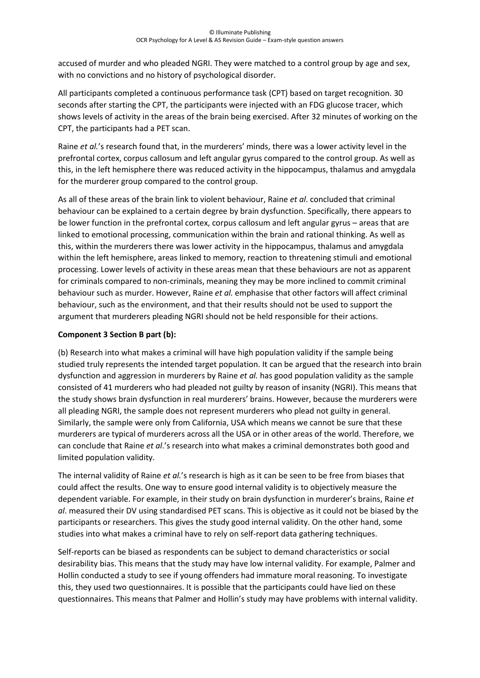accused of murder and who pleaded NGRI. They were matched to a control group by age and sex, with no convictions and no history of psychological disorder.

All participants completed a continuous performance task (CPT) based on target recognition. 30 seconds after starting the CPT, the participants were injected with an FDG glucose tracer, which shows levels of activity in the areas of the brain being exercised. After 32 minutes of working on the CPT, the participants had a PET scan.

Raine *et al.*'s research found that, in the murderers' minds, there was a lower activity level in the prefrontal cortex, corpus callosum and left angular gyrus compared to the control group. As well as this, in the left hemisphere there was reduced activity in the hippocampus, thalamus and amygdala for the murderer group compared to the control group.

As all of these areas of the brain link to violent behaviour, Raine *et al*. concluded that criminal behaviour can be explained to a certain degree by brain dysfunction. Specifically, there appears to be lower function in the prefrontal cortex, corpus callosum and left angular gyrus – areas that are linked to emotional processing, communication within the brain and rational thinking. As well as this, within the murderers there was lower activity in the hippocampus, thalamus and amygdala within the left hemisphere, areas linked to memory, reaction to threatening stimuli and emotional processing. Lower levels of activity in these areas mean that these behaviours are not as apparent for criminals compared to non-criminals, meaning they may be more inclined to commit criminal behaviour such as murder. However, Raine *et al.* emphasise that other factors will affect criminal behaviour, such as the environment, and that their results should not be used to support the argument that murderers pleading NGRI should not be held responsible for their actions.

#### **Component 3 Section B part (b):**

(b) Research into what makes a criminal will have high population validity if the sample being studied truly represents the intended target population. It can be argued that the research into brain dysfunction and aggression in murderers by Raine *et al.* has good population validity as the sample consisted of 41 murderers who had pleaded not guilty by reason of insanity (NGRI). This means that the study shows brain dysfunction in real murderers' brains. However, because the murderers were all pleading NGRI, the sample does not represent murderers who plead not guilty in general. Similarly, the sample were only from California, USA which means we cannot be sure that these murderers are typical of murderers across all the USA or in other areas of the world. Therefore, we can conclude that Raine *et al*.'s research into what makes a criminal demonstrates both good and limited population validity.

The internal validity of Raine *et al.*'s research is high as it can be seen to be free from biases that could affect the results. One way to ensure good internal validity is to objectively measure the dependent variable. For example, in their study on brain dysfunction in murderer's brains, Raine *et al*. measured their DV using standardised PET scans. This is objective as it could not be biased by the participants or researchers. This gives the study good internal validity. On the other hand, some studies into what makes a criminal have to rely on self-report data gathering techniques.

Self-reports can be biased as respondents can be subject to demand characteristics or social desirability bias. This means that the study may have low internal validity. For example, Palmer and Hollin conducted a study to see if young offenders had immature moral reasoning. To investigate this, they used two questionnaires. It is possible that the participants could have lied on these questionnaires. This means that Palmer and Hollin's study may have problems with internal validity.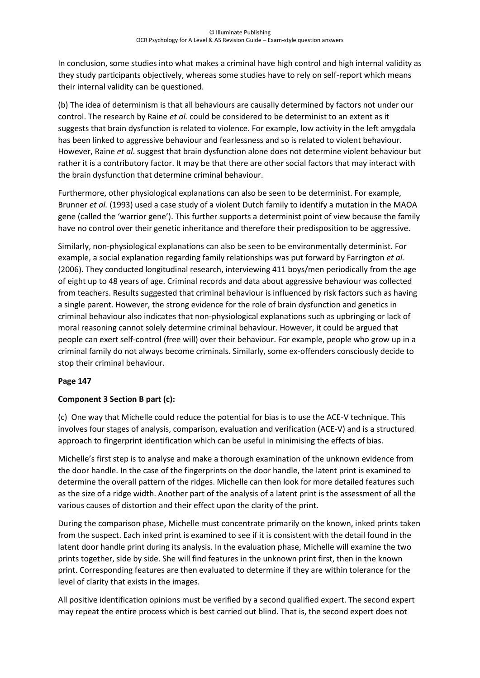In conclusion, some studies into what makes a criminal have high control and high internal validity as they study participants objectively, whereas some studies have to rely on self-report which means their internal validity can be questioned.

(b) The idea of determinism is that all behaviours are causally determined by factors not under our control. The research by Raine *et al.* could be considered to be determinist to an extent as it suggests that brain dysfunction is related to violence. For example, low activity in the left amygdala has been linked to aggressive behaviour and fearlessness and so is related to violent behaviour. However, Raine *et al*. suggest that brain dysfunction alone does not determine violent behaviour but rather it is a contributory factor. It may be that there are other social factors that may interact with the brain dysfunction that determine criminal behaviour.

Furthermore, other physiological explanations can also be seen to be determinist. For example, Brunner *et al.* (1993) used a case study of a violent Dutch family to identify a mutation in the MAOA gene (called the 'warrior gene'). This further supports a determinist point of view because the family have no control over their genetic inheritance and therefore their predisposition to be aggressive.

Similarly, non-physiological explanations can also be seen to be environmentally determinist. For example, a social explanation regarding family relationships was put forward by Farrington *et al.* (2006). They conducted longitudinal research, interviewing 411 boys/men periodically from the age of eight up to 48 years of age. Criminal records and data about aggressive behaviour was collected from teachers. Results suggested that criminal behaviour is influenced by risk factors such as having a single parent. However, the strong evidence for the role of brain dysfunction and genetics in criminal behaviour also indicates that non-physiological explanations such as upbringing or lack of moral reasoning cannot solely determine criminal behaviour. However, it could be argued that people can exert self-control (free will) over their behaviour. For example, people who grow up in a criminal family do not always become criminals. Similarly, some ex-offenders consciously decide to stop their criminal behaviour.

#### **Page 147**

# **Component 3 Section B part (c):**

(c) One way that Michelle could reduce the potential for bias is to use the ACE-V technique. This involves four stages of analysis, comparison, evaluation and verification (ACE-V) and is a structured approach to fingerprint identification which can be useful in minimising the effects of bias.

Michelle's first step is to analyse and make a thorough examination of the unknown evidence from the door handle. In the case of the fingerprints on the door handle, the latent print is examined to determine the overall pattern of the ridges. Michelle can then look for more detailed features such as the size of a ridge width. Another part of the analysis of a latent print is the assessment of all the various causes of distortion and their effect upon the clarity of the print.

During the comparison phase, Michelle must concentrate primarily on the known, inked prints taken from the suspect. Each inked print is examined to see if it is consistent with the detail found in the latent door handle print during its analysis. In the evaluation phase, Michelle will examine the two prints together, side by side. She will find features in the unknown print first, then in the known print. Corresponding features are then evaluated to determine if they are within tolerance for the level of clarity that exists in the images.

All positive identification opinions must be verified by a second qualified expert. The second expert may repeat the entire process which is best carried out blind. That is, the second expert does not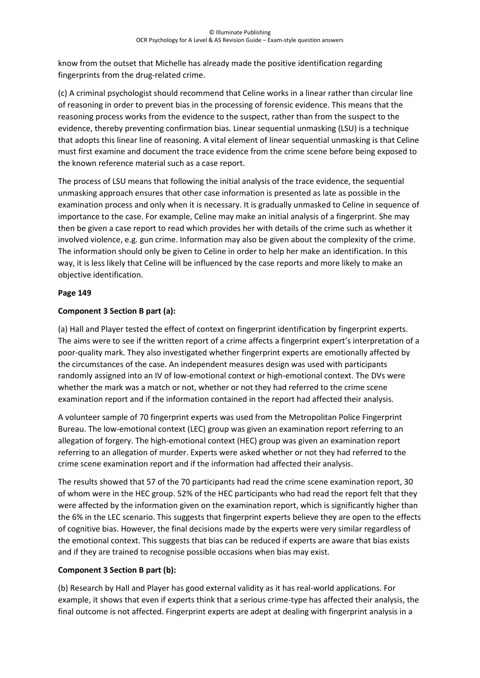know from the outset that Michelle has already made the positive identification regarding fingerprints from the drug-related crime.

(c) A criminal psychologist should recommend that Celine works in a linear rather than circular line of reasoning in order to prevent bias in the processing of forensic evidence. This means that the reasoning process works from the evidence to the suspect, rather than from the suspect to the evidence, thereby preventing confirmation bias. Linear sequential unmasking (LSU) is a technique that adopts this linear line of reasoning. A vital element of linear sequential unmasking is that Celine must first examine and document the trace evidence from the crime scene before being exposed to the known reference material such as a case report.

The process of LSU means that following the initial analysis of the trace evidence, the sequential unmasking approach ensures that other case information is presented as late as possible in the examination process and only when it is necessary. It is gradually unmasked to Celine in sequence of importance to the case. For example, Celine may make an initial analysis of a fingerprint. She may then be given a case report to read which provides her with details of the crime such as whether it involved violence, e.g. gun crime. Information may also be given about the complexity of the crime. The information should only be given to Celine in order to help her make an identification. In this way, it is less likely that Celine will be influenced by the case reports and more likely to make an objective identification.

#### **Page 149**

# **Component 3 Section B part (a):**

(a) Hall and Player tested the effect of context on fingerprint identification by fingerprint experts. The aims were to see if the written report of a crime affects a fingerprint expert's interpretation of a poor-quality mark. They also investigated whether fingerprint experts are emotionally affected by the circumstances of the case. An independent measures design was used with participants randomly assigned into an IV of low-emotional context or high-emotional context. The DVs were whether the mark was a match or not, whether or not they had referred to the crime scene examination report and if the information contained in the report had affected their analysis.

A volunteer sample of 70 fingerprint experts was used from the Metropolitan Police Fingerprint Bureau. The low-emotional context (LEC) group was given an examination report referring to an allegation of forgery. The high-emotional context (HEC) group was given an examination report referring to an allegation of murder. Experts were asked whether or not they had referred to the crime scene examination report and if the information had affected their analysis.

The results showed that 57 of the 70 participants had read the crime scene examination report, 30 of whom were in the HEC group. 52% of the HEC participants who had read the report felt that they were affected by the information given on the examination report, which is significantly higher than the 6% in the LEC scenario. This suggests that fingerprint experts believe they are open to the effects of cognitive bias. However, the final decisions made by the experts were very similar regardless of the emotional context. This suggests that bias can be reduced if experts are aware that bias exists and if they are trained to recognise possible occasions when bias may exist.

#### **Component 3 Section B part (b):**

(b) Research by Hall and Player has good external validity as it has real-world applications. For example, it shows that even if experts think that a serious crime-type has affected their analysis, the final outcome is not affected. Fingerprint experts are adept at dealing with fingerprint analysis in a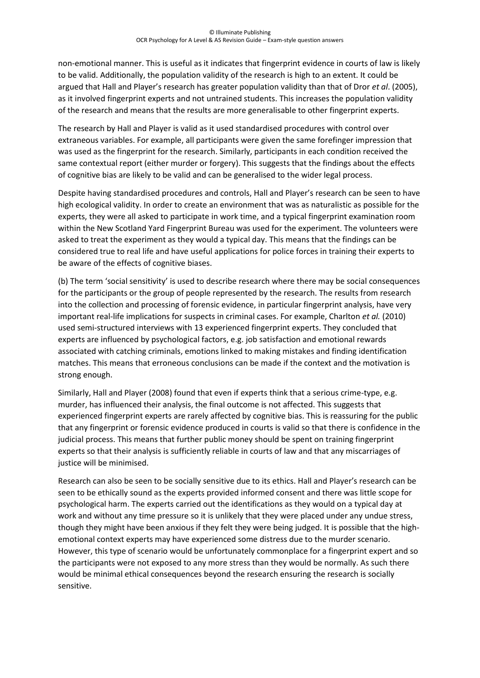non-emotional manner. This is useful as it indicates that fingerprint evidence in courts of law is likely to be valid. Additionally, the population validity of the research is high to an extent. It could be argued that Hall and Player's research has greater population validity than that of Dror *et al*. (2005), as it involved fingerprint experts and not untrained students. This increases the population validity of the research and means that the results are more generalisable to other fingerprint experts.

The research by Hall and Player is valid as it used standardised procedures with control over extraneous variables. For example, all participants were given the same forefinger impression that was used as the fingerprint for the research. Similarly, participants in each condition received the same contextual report (either murder or forgery). This suggests that the findings about the effects of cognitive bias are likely to be valid and can be generalised to the wider legal process.

Despite having standardised procedures and controls, Hall and Player's research can be seen to have high ecological validity. In order to create an environment that was as naturalistic as possible for the experts, they were all asked to participate in work time, and a typical fingerprint examination room within the New Scotland Yard Fingerprint Bureau was used for the experiment. The volunteers were asked to treat the experiment as they would a typical day. This means that the findings can be considered true to real life and have useful applications for police forces in training their experts to be aware of the effects of cognitive biases.

(b) The term 'social sensitivity' is used to describe research where there may be social consequences for the participants or the group of people represented by the research. The results from research into the collection and processing of forensic evidence, in particular fingerprint analysis, have very important real-life implications for suspects in criminal cases. For example, Charlton *et al.* (2010) used semi-structured interviews with 13 experienced fingerprint experts. They concluded that experts are influenced by psychological factors, e.g. job satisfaction and emotional rewards associated with catching criminals, emotions linked to making mistakes and finding identification matches. This means that erroneous conclusions can be made if the context and the motivation is strong enough.

Similarly, Hall and Player (2008) found that even if experts think that a serious crime-type, e.g. murder, has influenced their analysis, the final outcome is not affected. This suggests that experienced fingerprint experts are rarely affected by cognitive bias. This is reassuring for the public that any fingerprint or forensic evidence produced in courts is valid so that there is confidence in the judicial process. This means that further public money should be spent on training fingerprint experts so that their analysis is sufficiently reliable in courts of law and that any miscarriages of justice will be minimised.

Research can also be seen to be socially sensitive due to its ethics. Hall and Player's research can be seen to be ethically sound as the experts provided informed consent and there was little scope for psychological harm. The experts carried out the identifications as they would on a typical day at work and without any time pressure so it is unlikely that they were placed under any undue stress, though they might have been anxious if they felt they were being judged. It is possible that the highemotional context experts may have experienced some distress due to the murder scenario. However, this type of scenario would be unfortunately commonplace for a fingerprint expert and so the participants were not exposed to any more stress than they would be normally. As such there would be minimal ethical consequences beyond the research ensuring the research is socially sensitive.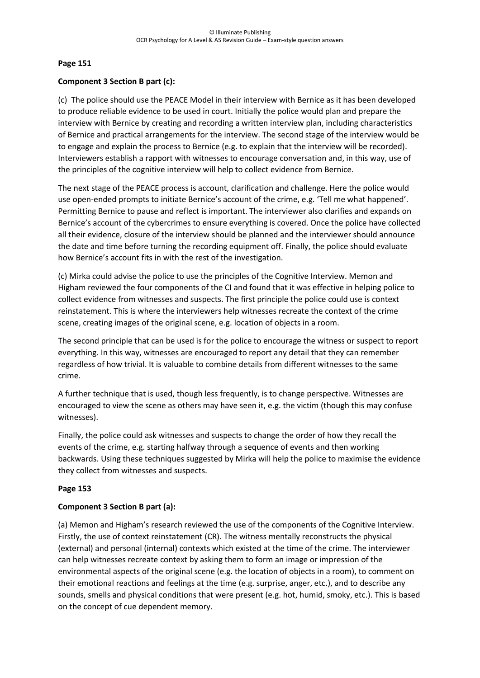#### **Page 151**

#### **Component 3 Section B part (c):**

(c) The police should use the PEACE Model in their interview with Bernice as it has been developed to produce reliable evidence to be used in court. Initially the police would plan and prepare the interview with Bernice by creating and recording a written interview plan, including characteristics of Bernice and practical arrangements for the interview. The second stage of the interview would be to engage and explain the process to Bernice (e.g. to explain that the interview will be recorded). Interviewers establish a rapport with witnesses to encourage conversation and, in this way, use of the principles of the cognitive interview will help to collect evidence from Bernice.

The next stage of the PEACE process is account, clarification and challenge. Here the police would use open-ended prompts to initiate Bernice's account of the crime, e.g. 'Tell me what happened'. Permitting Bernice to pause and reflect is important. The interviewer also clarifies and expands on Bernice's account of the cybercrimes to ensure everything is covered. Once the police have collected all their evidence, closure of the interview should be planned and the interviewer should announce the date and time before turning the recording equipment off. Finally, the police should evaluate how Bernice's account fits in with the rest of the investigation.

(c) Mirka could advise the police to use the principles of the Cognitive Interview. Memon and Higham reviewed the four components of the CI and found that it was effective in helping police to collect evidence from witnesses and suspects. The first principle the police could use is context reinstatement. This is where the interviewers help witnesses recreate the context of the crime scene, creating images of the original scene, e.g. location of objects in a room.

The second principle that can be used is for the police to encourage the witness or suspect to report everything. In this way, witnesses are encouraged to report any detail that they can remember regardless of how trivial. It is valuable to combine details from different witnesses to the same crime.

A further technique that is used, though less frequently, is to change perspective. Witnesses are encouraged to view the scene as others may have seen it, e.g. the victim (though this may confuse witnesses).

Finally, the police could ask witnesses and suspects to change the order of how they recall the events of the crime, e.g. starting halfway through a sequence of events and then working backwards. Using these techniques suggested by Mirka will help the police to maximise the evidence they collect from witnesses and suspects.

#### **Page 153**

#### **Component 3 Section B part (a):**

(a) Memon and Higham's research reviewed the use of the components of the Cognitive Interview. Firstly, the use of context reinstatement (CR). The witness mentally reconstructs the physical (external) and personal (internal) contexts which existed at the time of the crime. The interviewer can help witnesses recreate context by asking them to form an image or impression of the environmental aspects of the original scene (e.g. the location of objects in a room), to comment on their emotional reactions and feelings at the time (e.g. surprise, anger, etc.), and to describe any sounds, smells and physical conditions that were present (e.g. hot, humid, smoky, etc.). This is based on the concept of cue dependent memory.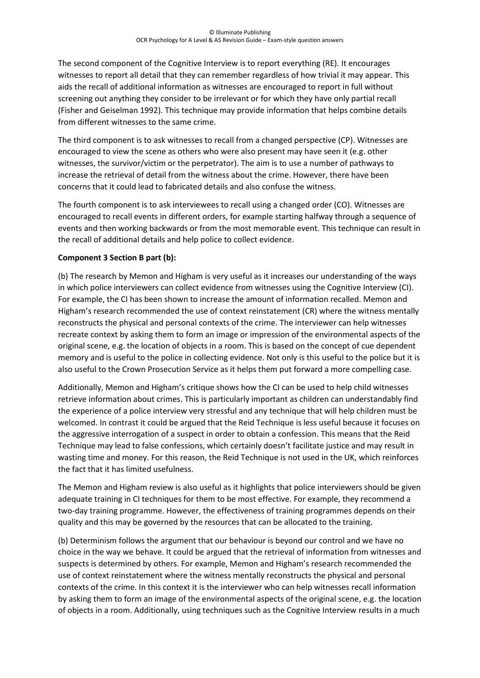The second component of the Cognitive Interview is to report everything (RE). It encourages witnesses to report all detail that they can remember regardless of how trivial it may appear. This aids the recall of additional information as witnesses are encouraged to report in full without screening out anything they consider to be irrelevant or for which they have only partial recall (Fisher and Geiselman 1992). This technique may provide information that helps combine details from different witnesses to the same crime.

The third component is to ask witnesses to recall from a changed perspective (CP). Witnesses are encouraged to view the scene as others who were also present may have seen it (e.g. other witnesses, the survivor/victim or the perpetrator). The aim is to use a number of pathways to increase the retrieval of detail from the witness about the crime. However, there have been concerns that it could lead to fabricated details and also confuse the witness.

The fourth component is to ask interviewees to recall using a changed order (CO). Witnesses are encouraged to recall events in different orders, for example starting halfway through a sequence of events and then working backwards or from the most memorable event. This technique can result in the recall of additional details and help police to collect evidence.

#### **Component 3 Section B part (b):**

(b) The research by Memon and Higham is very useful as it increases our understanding of the ways in which police interviewers can collect evidence from witnesses using the Cognitive Interview (CI). For example, the CI has been shown to increase the amount of information recalled. Memon and Higham's research recommended the use of context reinstatement (CR) where the witness mentally reconstructs the physical and personal contexts of the crime. The interviewer can help witnesses recreate context by asking them to form an image or impression of the environmental aspects of the original scene, e.g. the location of objects in a room. This is based on the concept of cue dependent memory and is useful to the police in collecting evidence. Not only is this useful to the police but it is also useful to the Crown Prosecution Service as it helps them put forward a more compelling case.

Additionally, Memon and Higham's critique shows how the CI can be used to help child witnesses retrieve information about crimes. This is particularly important as children can understandably find the experience of a police interview very stressful and any technique that will help children must be welcomed. In contrast it could be argued that the Reid Technique is less useful because it focuses on the aggressive interrogation of a suspect in order to obtain a confession. This means that the Reid Technique may lead to false confessions, which certainly doesn't facilitate justice and may result in wasting time and money. For this reason, the Reid Technique is not used in the UK, which reinforces the fact that it has limited usefulness.

The Memon and Higham review is also useful as it highlights that police interviewers should be given adequate training in CI techniques for them to be most effective. For example, they recommend a two-day training programme. However, the effectiveness of training programmes depends on their quality and this may be governed by the resources that can be allocated to the training.

(b) Determinism follows the argument that our behaviour is beyond our control and we have no choice in the way we behave. It could be argued that the retrieval of information from witnesses and suspects is determined by others. For example, Memon and Higham's research recommended the use of context reinstatement where the witness mentally reconstructs the physical and personal contexts of the crime. In this context it is the interviewer who can help witnesses recall information by asking them to form an image of the environmental aspects of the original scene, e.g. the location of objects in a room. Additionally, using techniques such as the Cognitive Interview results in a much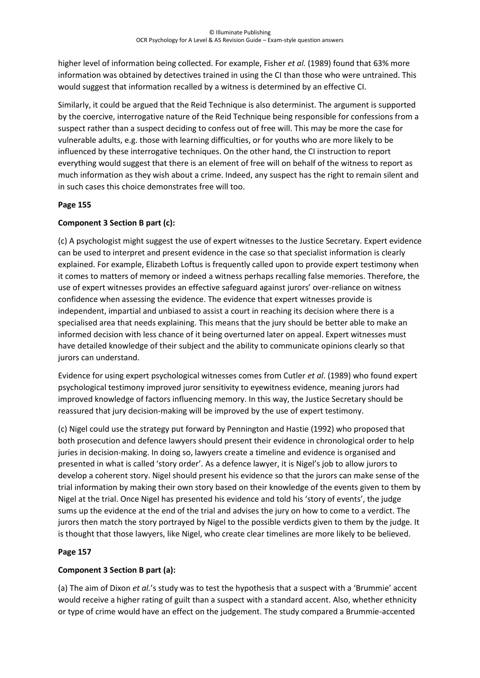higher level of information being collected. For example, Fisher *et al.* (1989) found that 63% more information was obtained by detectives trained in using the CI than those who were untrained. This would suggest that information recalled by a witness is determined by an effective CI.

Similarly, it could be argued that the Reid Technique is also determinist. The argument is supported by the coercive, interrogative nature of the Reid Technique being responsible for confessions from a suspect rather than a suspect deciding to confess out of free will. This may be more the case for vulnerable adults, e.g. those with learning difficulties, or for youths who are more likely to be influenced by these interrogative techniques. On the other hand, the CI instruction to report everything would suggest that there is an element of free will on behalf of the witness to report as much information as they wish about a crime. Indeed, any suspect has the right to remain silent and in such cases this choice demonstrates free will too.

#### **Page 155**

## **Component 3 Section B part (c):**

(c) A psychologist might suggest the use of expert witnesses to the Justice Secretary. Expert evidence can be used to interpret and present evidence in the case so that specialist information is clearly explained. For example, Elizabeth Loftus is frequently called upon to provide expert testimony when it comes to matters of memory or indeed a witness perhaps recalling false memories. Therefore, the use of expert witnesses provides an effective safeguard against jurors' over-reliance on witness confidence when assessing the evidence. The evidence that expert witnesses provide is independent, impartial and unbiased to assist a court in reaching its decision where there is a specialised area that needs explaining. This means that the jury should be better able to make an informed decision with less chance of it being overturned later on appeal. Expert witnesses must have detailed knowledge of their subject and the ability to communicate opinions clearly so that jurors can understand.

Evidence for using expert psychological witnesses comes from Cutler *et al*. (1989) who found expert psychological testimony improved juror sensitivity to eyewitness evidence, meaning jurors had improved knowledge of factors influencing memory. In this way, the Justice Secretary should be reassured that jury decision-making will be improved by the use of expert testimony.

(c) Nigel could use the strategy put forward by Pennington and Hastie (1992) who proposed that both prosecution and defence lawyers should present their evidence in chronological order to help juries in decision-making. In doing so, lawyers create a timeline and evidence is organised and presented in what is called 'story order'. As a defence lawyer, it is Nigel's job to allow jurors to develop a coherent story. Nigel should present his evidence so that the jurors can make sense of the trial information by making their own story based on their knowledge of the events given to them by Nigel at the trial. Once Nigel has presented his evidence and told his 'story of events', the judge sums up the evidence at the end of the trial and advises the jury on how to come to a verdict. The jurors then match the story portrayed by Nigel to the possible verdicts given to them by the judge. It is thought that those lawyers, like Nigel, who create clear timelines are more likely to be believed.

# **Page 157**

# **Component 3 Section B part (a):**

(a) The aim of Dixon *et al.*'s study was to test the hypothesis that a suspect with a 'Brummie' accent would receive a higher rating of guilt than a suspect with a standard accent. Also, whether ethnicity or type of crime would have an effect on the judgement. The study compared a Brummie-accented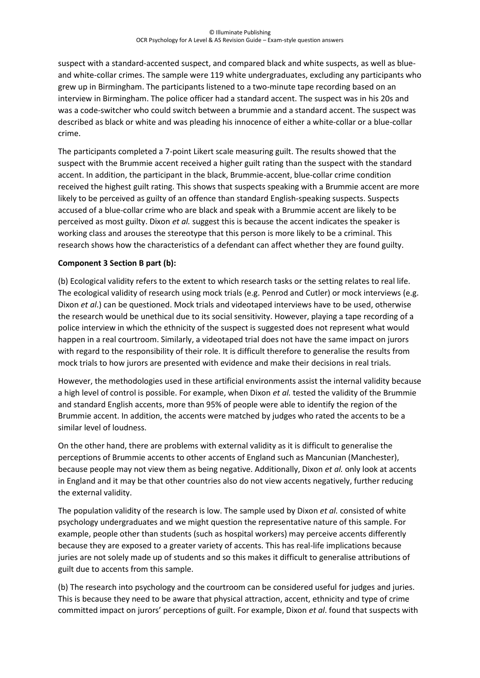suspect with a standard-accented suspect, and compared black and white suspects, as well as blueand white-collar crimes. The sample were 119 white undergraduates, excluding any participants who grew up in Birmingham. The participants listened to a two-minute tape recording based on an interview in Birmingham. The police officer had a standard accent. The suspect was in his 20s and was a code-switcher who could switch between a brummie and a standard accent. The suspect was described as black or white and was pleading his innocence of either a white-collar or a blue-collar crime.

The participants completed a 7-point Likert scale measuring guilt. The results showed that the suspect with the Brummie accent received a higher guilt rating than the suspect with the standard accent. In addition, the participant in the black, Brummie-accent, blue-collar crime condition received the highest guilt rating. This shows that suspects speaking with a Brummie accent are more likely to be perceived as guilty of an offence than standard English-speaking suspects. Suspects accused of a blue-collar crime who are black and speak with a Brummie accent are likely to be perceived as most guilty. Dixon *et al.* suggest this is because the accent indicates the speaker is working class and arouses the stereotype that this person is more likely to be a criminal. This research shows how the characteristics of a defendant can affect whether they are found guilty.

#### **Component 3 Section B part (b):**

(b) Ecological validity refers to the extent to which research tasks or the setting relates to real life. The ecological validity of research using mock trials (e.g. Penrod and Cutler) or mock interviews (e.g. Dixon *et al*.) can be questioned. Mock trials and videotaped interviews have to be used, otherwise the research would be unethical due to its social sensitivity. However, playing a tape recording of a police interview in which the ethnicity of the suspect is suggested does not represent what would happen in a real courtroom. Similarly, a videotaped trial does not have the same impact on jurors with regard to the responsibility of their role. It is difficult therefore to generalise the results from mock trials to how jurors are presented with evidence and make their decisions in real trials.

However, the methodologies used in these artificial environments assist the internal validity because a high level of control is possible. For example, when Dixon *et al.* tested the validity of the Brummie and standard English accents, more than 95% of people were able to identify the region of the Brummie accent. In addition, the accents were matched by judges who rated the accents to be a similar level of loudness.

On the other hand, there are problems with external validity as it is difficult to generalise the perceptions of Brummie accents to other accents of England such as Mancunian (Manchester), because people may not view them as being negative. Additionally, Dixon *et al.* only look at accents in England and it may be that other countries also do not view accents negatively, further reducing the external validity.

The population validity of the research is low. The sample used by Dixon *et al.* consisted of white psychology undergraduates and we might question the representative nature of this sample. For example, people other than students (such as hospital workers) may perceive accents differently because they are exposed to a greater variety of accents. This has real-life implications because juries are not solely made up of students and so this makes it difficult to generalise attributions of guilt due to accents from this sample.

(b) The research into psychology and the courtroom can be considered useful for judges and juries. This is because they need to be aware that physical attraction, accent, ethnicity and type of crime committed impact on jurors' perceptions of guilt. For example, Dixon *et al*. found that suspects with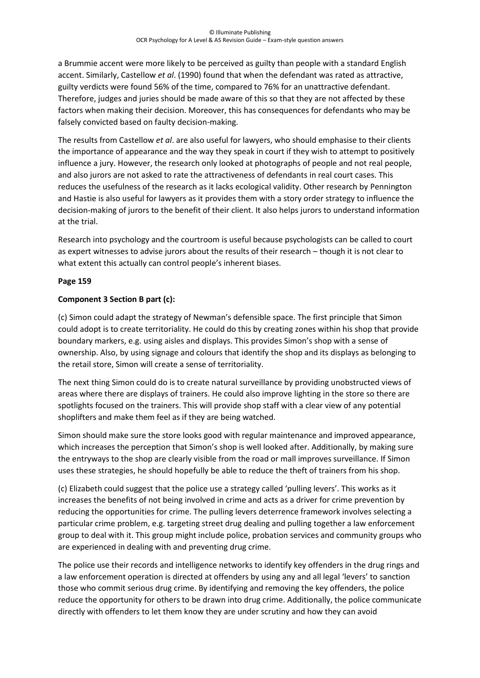a Brummie accent were more likely to be perceived as guilty than people with a standard English accent. Similarly, Castellow *et al*. (1990) found that when the defendant was rated as attractive, guilty verdicts were found 56% of the time, compared to 76% for an unattractive defendant. Therefore, judges and juries should be made aware of this so that they are not affected by these factors when making their decision. Moreover, this has consequences for defendants who may be falsely convicted based on faulty decision-making.

The results from Castellow *et al*. are also useful for lawyers, who should emphasise to their clients the importance of appearance and the way they speak in court if they wish to attempt to positively influence a jury. However, the research only looked at photographs of people and not real people, and also jurors are not asked to rate the attractiveness of defendants in real court cases. This reduces the usefulness of the research as it lacks ecological validity. Other research by Pennington and Hastie is also useful for lawyers as it provides them with a story order strategy to influence the decision-making of jurors to the benefit of their client. It also helps jurors to understand information at the trial.

Research into psychology and the courtroom is useful because psychologists can be called to court as expert witnesses to advise jurors about the results of their research – though it is not clear to what extent this actually can control people's inherent biases.

## **Page 159**

## **Component 3 Section B part (c):**

(c) Simon could adapt the strategy of Newman's defensible space. The first principle that Simon could adopt is to create territoriality. He could do this by creating zones within his shop that provide boundary markers, e.g. using aisles and displays. This provides Simon's shop with a sense of ownership. Also, by using signage and colours that identify the shop and its displays as belonging to the retail store, Simon will create a sense of territoriality.

The next thing Simon could do is to create natural surveillance by providing unobstructed views of areas where there are displays of trainers. He could also improve lighting in the store so there are spotlights focused on the trainers. This will provide shop staff with a clear view of any potential shoplifters and make them feel as if they are being watched.

Simon should make sure the store looks good with regular maintenance and improved appearance, which increases the perception that Simon's shop is well looked after. Additionally, by making sure the entryways to the shop are clearly visible from the road or mall improves surveillance. If Simon uses these strategies, he should hopefully be able to reduce the theft of trainers from his shop.

(c) Elizabeth could suggest that the police use a strategy called 'pulling levers'. This works as it increases the benefits of not being involved in crime and acts as a driver for crime prevention by reducing the opportunities for crime. The pulling levers deterrence framework involves selecting a particular crime problem, e.g. targeting street drug dealing and pulling together a law enforcement group to deal with it. This group might include police, probation services and community groups who are experienced in dealing with and preventing drug crime.

The police use their records and intelligence networks to identify key offenders in the drug rings and a law enforcement operation is directed at offenders by using any and all legal 'levers' to sanction those who commit serious drug crime. By identifying and removing the key offenders, the police reduce the opportunity for others to be drawn into drug crime. Additionally, the police communicate directly with offenders to let them know they are under scrutiny and how they can avoid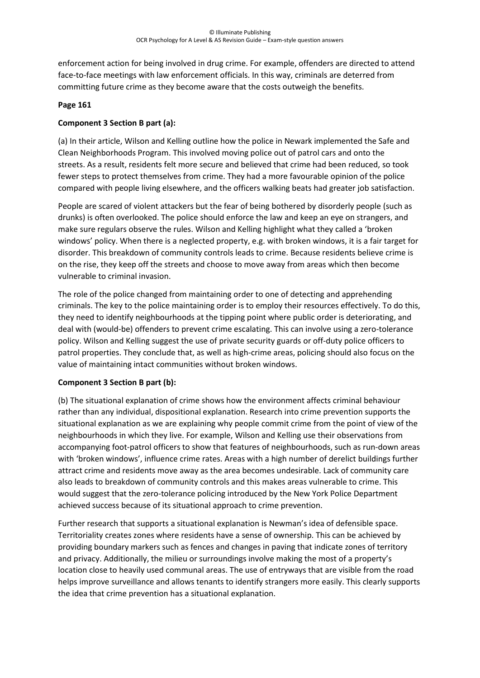enforcement action for being involved in drug crime. For example, offenders are directed to attend face-to-face meetings with law enforcement officials. In this way, criminals are deterred from committing future crime as they become aware that the costs outweigh the benefits.

#### **Page 161**

#### **Component 3 Section B part (a):**

(a) In their article, Wilson and Kelling outline how the police in Newark implemented the Safe and Clean Neighborhoods Program. This involved moving police out of patrol cars and onto the streets. As a result, residents felt more secure and believed that crime had been reduced, so took fewer steps to protect themselves from crime. They had a more favourable opinion of the police compared with people living elsewhere, and the officers walking beats had greater job satisfaction.

People are scared of violent attackers but the fear of being bothered by disorderly people (such as drunks) is often overlooked. The police should enforce the law and keep an eye on strangers, and make sure regulars observe the rules. Wilson and Kelling highlight what they called a 'broken windows' policy. When there is a neglected property, e.g. with broken windows, it is a fair target for disorder. This breakdown of community controls leads to crime. Because residents believe crime is on the rise, they keep off the streets and choose to move away from areas which then become vulnerable to criminal invasion.

The role of the police changed from maintaining order to one of detecting and apprehending criminals. The key to the police maintaining order is to employ their resources effectively. To do this, they need to identify neighbourhoods at the tipping point where public order is deteriorating, and deal with (would-be) offenders to prevent crime escalating. This can involve using a zero-tolerance policy. Wilson and Kelling suggest the use of private security guards or off-duty police officers to patrol properties. They conclude that, as well as high-crime areas, policing should also focus on the value of maintaining intact communities without broken windows.

#### **Component 3 Section B part (b):**

(b) The situational explanation of crime shows how the environment affects criminal behaviour rather than any individual, dispositional explanation. Research into crime prevention supports the situational explanation as we are explaining why people commit crime from the point of view of the neighbourhoods in which they live. For example, Wilson and Kelling use their observations from accompanying foot-patrol officers to show that features of neighbourhoods, such as run-down areas with 'broken windows', influence crime rates. Areas with a high number of derelict buildings further attract crime and residents move away as the area becomes undesirable. Lack of community care also leads to breakdown of community controls and this makes areas vulnerable to crime. This would suggest that the zero-tolerance policing introduced by the New York Police Department achieved success because of its situational approach to crime prevention.

Further research that supports a situational explanation is Newman's idea of defensible space. Territoriality creates zones where residents have a sense of ownership. This can be achieved by providing boundary markers such as fences and changes in paving that indicate zones of territory and privacy. Additionally, the milieu or surroundings involve making the most of a property's location close to heavily used communal areas. The use of entryways that are visible from the road helps improve surveillance and allows tenants to identify strangers more easily. This clearly supports the idea that crime prevention has a situational explanation.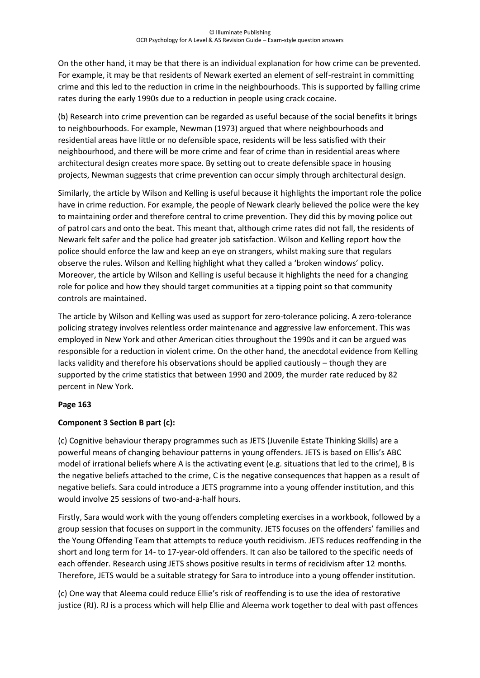On the other hand, it may be that there is an individual explanation for how crime can be prevented. For example, it may be that residents of Newark exerted an element of self-restraint in committing crime and this led to the reduction in crime in the neighbourhoods. This is supported by falling crime rates during the early 1990s due to a reduction in people using crack cocaine.

(b) Research into crime prevention can be regarded as useful because of the social benefits it brings to neighbourhoods. For example, Newman (1973) argued that where neighbourhoods and residential areas have little or no defensible space, residents will be less satisfied with their neighbourhood, and there will be more crime and fear of crime than in residential areas where architectural design creates more space. By setting out to create defensible space in housing projects, Newman suggests that crime prevention can occur simply through architectural design.

Similarly, the article by Wilson and Kelling is useful because it highlights the important role the police have in crime reduction. For example, the people of Newark clearly believed the police were the key to maintaining order and therefore central to crime prevention. They did this by moving police out of patrol cars and onto the beat. This meant that, although crime rates did not fall, the residents of Newark felt safer and the police had greater job satisfaction. Wilson and Kelling report how the police should enforce the law and keep an eye on strangers, whilst making sure that regulars observe the rules. Wilson and Kelling highlight what they called a 'broken windows' policy. Moreover, the article by Wilson and Kelling is useful because it highlights the need for a changing role for police and how they should target communities at a tipping point so that community controls are maintained.

The article by Wilson and Kelling was used as support for zero-tolerance policing. A zero-tolerance policing strategy involves relentless order maintenance and aggressive law enforcement. This was employed in New York and other American cities throughout the 1990s and it can be argued was responsible for a reduction in violent crime. On the other hand, the anecdotal evidence from Kelling lacks validity and therefore his observations should be applied cautiously – though they are supported by the crime statistics that between 1990 and 2009, the murder rate reduced by 82 percent in New York.

## **Page 163**

## **Component 3 Section B part (c):**

(c) Cognitive behaviour therapy programmes such as JETS (Juvenile Estate Thinking Skills) are a powerful means of changing behaviour patterns in young offenders. JETS is based on Ellis's ABC model of irrational beliefs where A is the activating event (e.g. situations that led to the crime), B is the negative beliefs attached to the crime, C is the negative consequences that happen as a result of negative beliefs. Sara could introduce a JETS programme into a young offender institution, and this would involve 25 sessions of two-and-a-half hours.

Firstly, Sara would work with the young offenders completing exercises in a workbook, followed by a group session that focuses on support in the community. JETS focuses on the offenders' families and the Young Offending Team that attempts to reduce youth recidivism. JETS reduces reoffending in the short and long term for 14- to 17-year-old offenders. It can also be tailored to the specific needs of each offender. Research using JETS shows positive results in terms of recidivism after 12 months. Therefore, JETS would be a suitable strategy for Sara to introduce into a young offender institution.

(c) One way that Aleema could reduce Ellie's risk of reoffending is to use the idea of restorative justice (RJ). RJ is a process which will help Ellie and Aleema work together to deal with past offences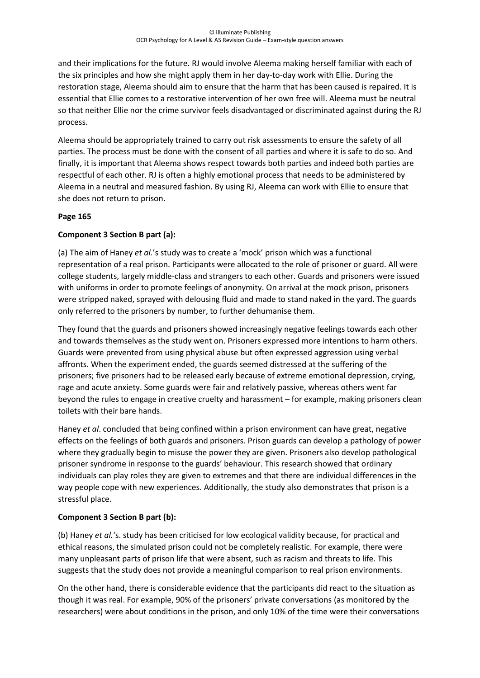and their implications for the future. RJ would involve Aleema making herself familiar with each of the six principles and how she might apply them in her day-to-day work with Ellie. During the restoration stage, Aleema should aim to ensure that the harm that has been caused is repaired. It is essential that Ellie comes to a restorative intervention of her own free will. Aleema must be neutral so that neither Ellie nor the crime survivor feels disadvantaged or discriminated against during the RJ process.

Aleema should be appropriately trained to carry out risk assessments to ensure the safety of all parties. The process must be done with the consent of all parties and where it is safe to do so. And finally, it is important that Aleema shows respect towards both parties and indeed both parties are respectful of each other. RJ is often a highly emotional process that needs to be administered by Aleema in a neutral and measured fashion. By using RJ, Aleema can work with Ellie to ensure that she does not return to prison.

## **Page 165**

# **Component 3 Section B part (a):**

(a) The aim of Haney *et al*.'s study was to create a 'mock' prison which was a functional representation of a real prison. Participants were allocated to the role of prisoner or guard. All were college students, largely middle-class and strangers to each other. Guards and prisoners were issued with uniforms in order to promote feelings of anonymity. On arrival at the mock prison, prisoners were stripped naked, sprayed with delousing fluid and made to stand naked in the yard. The guards only referred to the prisoners by number, to further dehumanise them.

They found that the guards and prisoners showed increasingly negative feelings towards each other and towards themselves as the study went on. Prisoners expressed more intentions to harm others. Guards were prevented from using physical abuse but often expressed aggression using verbal affronts. When the experiment ended, the guards seemed distressed at the suffering of the prisoners; five prisoners had to be released early because of extreme emotional depression, crying, rage and acute anxiety. Some guards were fair and relatively passive, whereas others went far beyond the rules to engage in creative cruelty and harassment – for example, making prisoners clean toilets with their bare hands.

Haney *et al*. concluded that being confined within a prison environment can have great, negative effects on the feelings of both guards and prisoners. Prison guards can develop a pathology of power where they gradually begin to misuse the power they are given. Prisoners also develop pathological prisoner syndrome in response to the guards' behaviour. This research showed that ordinary individuals can play roles they are given to extremes and that there are individual differences in the way people cope with new experiences. Additionally, the study also demonstrates that prison is a stressful place.

## **Component 3 Section B part (b):**

(b) Haney *et al.'*s. study has been criticised for low ecological validity because, for practical and ethical reasons, the simulated prison could not be completely realistic. For example, there were many unpleasant parts of prison life that were absent, such as racism and threats to life. This suggests that the study does not provide a meaningful comparison to real prison environments.

On the other hand, there is considerable evidence that the participants did react to the situation as though it was real. For example, 90% of the prisoners' private conversations (as monitored by the researchers) were about conditions in the prison, and only 10% of the time were their conversations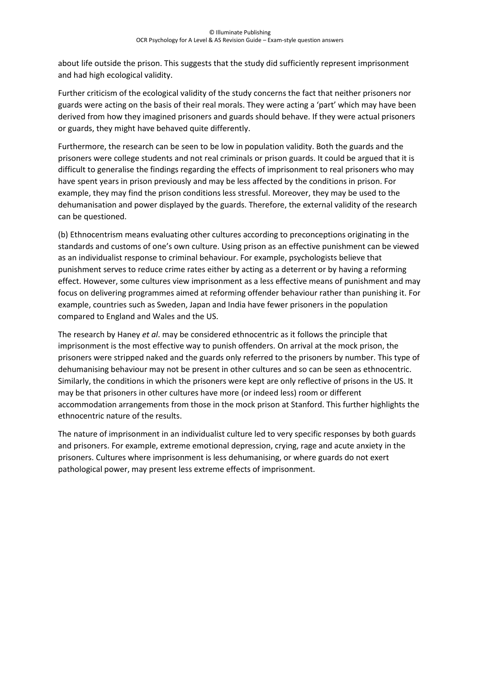about life outside the prison. This suggests that the study did sufficiently represent imprisonment and had high ecological validity.

Further criticism of the ecological validity of the study concerns the fact that neither prisoners nor guards were acting on the basis of their real morals. They were acting a 'part' which may have been derived from how they imagined prisoners and guards should behave. If they were actual prisoners or guards, they might have behaved quite differently.

Furthermore, the research can be seen to be low in population validity. Both the guards and the prisoners were college students and not real criminals or prison guards. It could be argued that it is difficult to generalise the findings regarding the effects of imprisonment to real prisoners who may have spent years in prison previously and may be less affected by the conditions in prison. For example, they may find the prison conditions less stressful. Moreover, they may be used to the dehumanisation and power displayed by the guards. Therefore, the external validity of the research can be questioned.

(b) Ethnocentrism means evaluating other cultures according to preconceptions originating in the standards and customs of one's own culture. Using prison as an effective punishment can be viewed as an individualist response to criminal behaviour. For example, psychologists believe that punishment serves to reduce crime rates either by acting as a deterrent or by having a reforming effect. However, some cultures view imprisonment as a less effective means of punishment and may focus on delivering programmes aimed at reforming offender behaviour rather than punishing it. For example, countries such as Sweden, Japan and India have fewer prisoners in the population compared to England and Wales and the US.

The research by Haney *et al*. may be considered ethnocentric as it follows the principle that imprisonment is the most effective way to punish offenders. On arrival at the mock prison, the prisoners were stripped naked and the guards only referred to the prisoners by number. This type of dehumanising behaviour may not be present in other cultures and so can be seen as ethnocentric. Similarly, the conditions in which the prisoners were kept are only reflective of prisons in the US. It may be that prisoners in other cultures have more (or indeed less) room or different accommodation arrangements from those in the mock prison at Stanford. This further highlights the ethnocentric nature of the results.

The nature of imprisonment in an individualist culture led to very specific responses by both guards and prisoners. For example, extreme emotional depression, crying, rage and acute anxiety in the prisoners. Cultures where imprisonment is less dehumanising, or where guards do not exert pathological power, may present less extreme effects of imprisonment.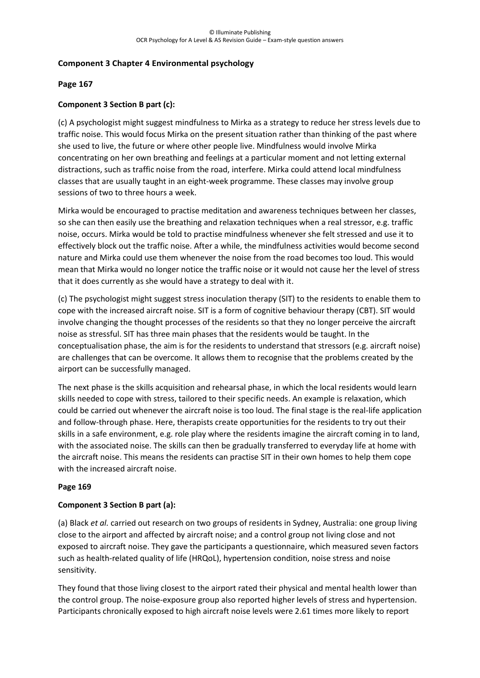## **Component 3 Chapter 4 Environmental psychology**

#### **Page 167**

## **Component 3 Section B part (c):**

(c) A psychologist might suggest mindfulness to Mirka as a strategy to reduce her stress levels due to traffic noise. This would focus Mirka on the present situation rather than thinking of the past where she used to live, the future or where other people live. Mindfulness would involve Mirka concentrating on her own breathing and feelings at a particular moment and not letting external distractions, such as traffic noise from the road, interfere. Mirka could attend local mindfulness classes that are usually taught in an eight-week programme. These classes may involve group sessions of two to three hours a week.

Mirka would be encouraged to practise meditation and awareness techniques between her classes, so she can then easily use the breathing and relaxation techniques when a real stressor, e.g. traffic noise, occurs. Mirka would be told to practise mindfulness whenever she felt stressed and use it to effectively block out the traffic noise. After a while, the mindfulness activities would become second nature and Mirka could use them whenever the noise from the road becomes too loud. This would mean that Mirka would no longer notice the traffic noise or it would not cause her the level of stress that it does currently as she would have a strategy to deal with it.

(c) The psychologist might suggest stress inoculation therapy (SIT) to the residents to enable them to cope with the increased aircraft noise. SIT is a form of cognitive behaviour therapy (CBT). SIT would involve changing the thought processes of the residents so that they no longer perceive the aircraft noise as stressful. SIT has three main phases that the residents would be taught. In the conceptualisation phase, the aim is for the residents to understand that stressors (e.g. aircraft noise) are challenges that can be overcome. It allows them to recognise that the problems created by the airport can be successfully managed.

The next phase is the skills acquisition and rehearsal phase, in which the local residents would learn skills needed to cope with stress, tailored to their specific needs. An example is relaxation, which could be carried out whenever the aircraft noise is too loud. The final stage is the real-life application and follow-through phase. Here, therapists create opportunities for the residents to try out their skills in a safe environment, e.g. role play where the residents imagine the aircraft coming in to land, with the associated noise. The skills can then be gradually transferred to everyday life at home with the aircraft noise. This means the residents can practise SIT in their own homes to help them cope with the increased aircraft noise.

#### **Page 169**

#### **Component 3 Section B part (a):**

(a) Black *et al.* carried out research on two groups of residents in Sydney, Australia: one group living close to the airport and affected by aircraft noise; and a control group not living close and not exposed to aircraft noise. They gave the participants a questionnaire, which measured seven factors such as health-related quality of life (HRQoL), hypertension condition, noise stress and noise sensitivity.

They found that those living closest to the airport rated their physical and mental health lower than the control group. The noise-exposure group also reported higher levels of stress and hypertension. Participants chronically exposed to high aircraft noise levels were 2.61 times more likely to report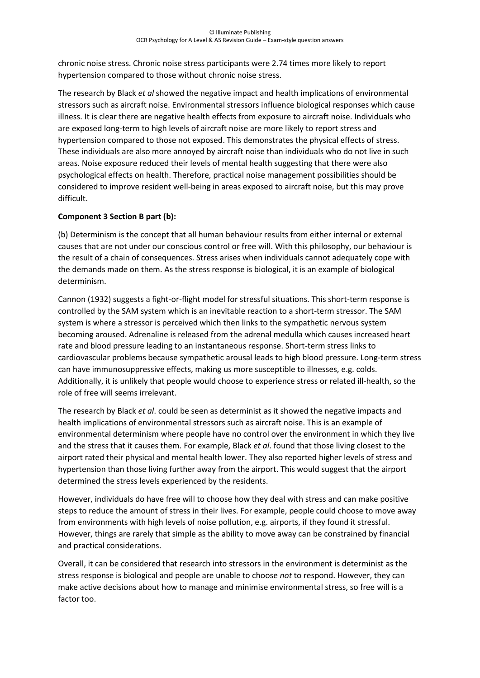chronic noise stress. Chronic noise stress participants were 2.74 times more likely to report hypertension compared to those without chronic noise stress.

The research by Black *et al* showed the negative impact and health implications of environmental stressors such as aircraft noise. Environmental stressors influence biological responses which cause illness. It is clear there are negative health effects from exposure to aircraft noise. Individuals who are exposed long-term to high levels of aircraft noise are more likely to report stress and hypertension compared to those not exposed. This demonstrates the physical effects of stress. These individuals are also more annoyed by aircraft noise than individuals who do not live in such areas. Noise exposure reduced their levels of mental health suggesting that there were also psychological effects on health. Therefore, practical noise management possibilities should be considered to improve resident well-being in areas exposed to aircraft noise, but this may prove difficult.

# **Component 3 Section B part (b):**

(b) Determinism is the concept that all human behaviour results from either internal or external causes that are not under our conscious control or free will. With this philosophy, our behaviour is the result of a chain of consequences. Stress arises when individuals cannot adequately cope with the demands made on them. As the stress response is biological, it is an example of biological determinism.

Cannon (1932) suggests a fight-or-flight model for stressful situations. This short-term response is controlled by the SAM system which is an inevitable reaction to a short-term stressor. The SAM system is where a stressor is perceived which then links to the sympathetic nervous system becoming aroused. Adrenaline is released from the adrenal medulla which causes increased heart rate and blood pressure leading to an instantaneous response. Short-term stress links to cardiovascular problems because sympathetic arousal leads to high blood pressure. Long-term stress can have immunosuppressive effects, making us more susceptible to illnesses, e.g. colds. Additionally, it is unlikely that people would choose to experience stress or related ill-health, so the role of free will seems irrelevant.

The research by Black *et al*. could be seen as determinist as it showed the negative impacts and health implications of environmental stressors such as aircraft noise. This is an example of environmental determinism where people have no control over the environment in which they live and the stress that it causes them. For example, Black *et al*. found that those living closest to the airport rated their physical and mental health lower. They also reported higher levels of stress and hypertension than those living further away from the airport. This would suggest that the airport determined the stress levels experienced by the residents.

However, individuals do have free will to choose how they deal with stress and can make positive steps to reduce the amount of stress in their lives. For example, people could choose to move away from environments with high levels of noise pollution, e.g. airports, if they found it stressful. However, things are rarely that simple as the ability to move away can be constrained by financial and practical considerations.

Overall, it can be considered that research into stressors in the environment is determinist as the stress response is biological and people are unable to choose *not* to respond. However, they can make active decisions about how to manage and minimise environmental stress, so free will is a factor too.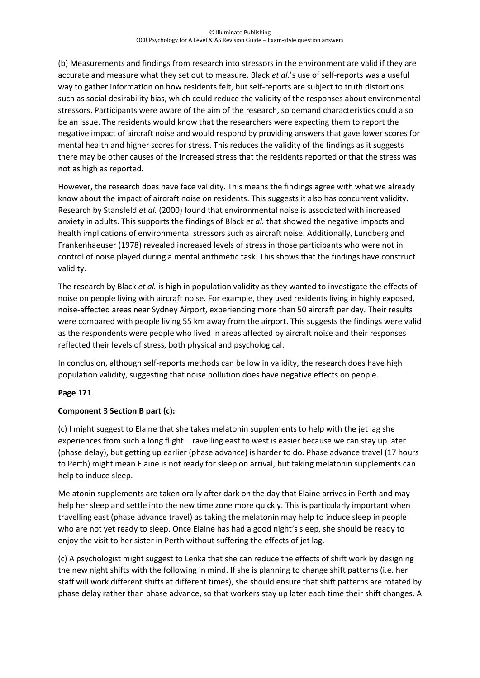(b) Measurements and findings from research into stressors in the environment are valid if they are accurate and measure what they set out to measure. Black *et al*.'s use of self-reports was a useful way to gather information on how residents felt, but self-reports are subject to truth distortions such as social desirability bias, which could reduce the validity of the responses about environmental stressors. Participants were aware of the aim of the research, so demand characteristics could also be an issue. The residents would know that the researchers were expecting them to report the negative impact of aircraft noise and would respond by providing answers that gave lower scores for mental health and higher scores for stress. This reduces the validity of the findings as it suggests there may be other causes of the increased stress that the residents reported or that the stress was not as high as reported.

However, the research does have face validity. This means the findings agree with what we already know about the impact of aircraft noise on residents. This suggests it also has concurrent validity. Research by Stansfeld *et al.* (2000) found that environmental noise is associated with increased anxiety in adults. This supports the findings of Black *et al.* that showed the negative impacts and health implications of environmental stressors such as aircraft noise. Additionally, Lundberg and Frankenhaeuser (1978) revealed increased levels of stress in those participants who were not in control of noise played during a mental arithmetic task. This shows that the findings have construct validity.

The research by Black *et al.* is high in population validity as they wanted to investigate the effects of noise on people living with aircraft noise. For example, they used residents living in highly exposed, noise-affected areas near Sydney Airport, experiencing more than 50 aircraft per day. Their results were compared with people living 55 km away from the airport. This suggests the findings were valid as the respondents were people who lived in areas affected by aircraft noise and their responses reflected their levels of stress, both physical and psychological.

In conclusion, although self-reports methods can be low in validity, the research does have high population validity, suggesting that noise pollution does have negative effects on people.

## **Page 171**

## **Component 3 Section B part (c):**

(c) I might suggest to Elaine that she takes melatonin supplements to help with the jet lag she experiences from such a long flight. Travelling east to west is easier because we can stay up later (phase delay), but getting up earlier (phase advance) is harder to do. Phase advance travel (17 hours to Perth) might mean Elaine is not ready for sleep on arrival, but taking melatonin supplements can help to induce sleep.

Melatonin supplements are taken orally after dark on the day that Elaine arrives in Perth and may help her sleep and settle into the new time zone more quickly. This is particularly important when travelling east (phase advance travel) as taking the melatonin may help to induce sleep in people who are not yet ready to sleep. Once Elaine has had a good night's sleep, she should be ready to enjoy the visit to her sister in Perth without suffering the effects of jet lag.

(c) A psychologist might suggest to Lenka that she can reduce the effects of shift work by designing the new night shifts with the following in mind. If she is planning to change shift patterns (i.e. her staff will work different shifts at different times), she should ensure that shift patterns are rotated by phase delay rather than phase advance, so that workers stay up later each time their shift changes. A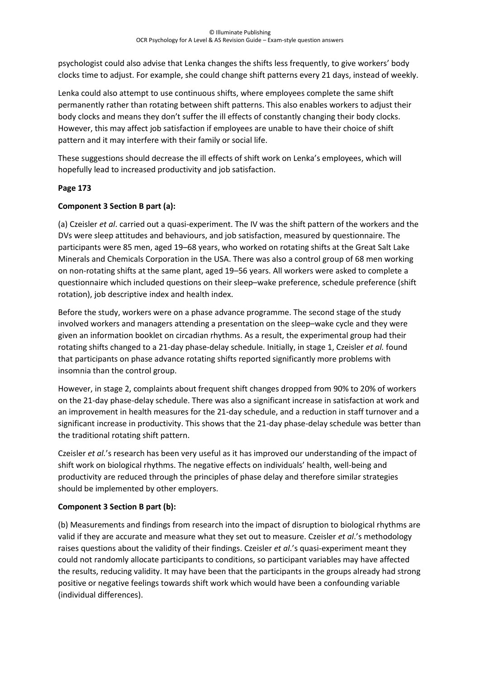psychologist could also advise that Lenka changes the shifts less frequently, to give workers' body clocks time to adjust. For example, she could change shift patterns every 21 days, instead of weekly.

Lenka could also attempt to use continuous shifts, where employees complete the same shift permanently rather than rotating between shift patterns. This also enables workers to adjust their body clocks and means they don't suffer the ill effects of constantly changing their body clocks. However, this may affect job satisfaction if employees are unable to have their choice of shift pattern and it may interfere with their family or social life.

These suggestions should decrease the ill effects of shift work on Lenka's employees, which will hopefully lead to increased productivity and job satisfaction.

# **Page 173**

# **Component 3 Section B part (a):**

(a) Czeisler *et al*. carried out a quasi-experiment. The IV was the shift pattern of the workers and the DVs were sleep attitudes and behaviours, and job satisfaction, measured by questionnaire. The participants were 85 men, aged 19–68 years, who worked on rotating shifts at the Great Salt Lake Minerals and Chemicals Corporation in the USA. There was also a control group of 68 men working on non-rotating shifts at the same plant, aged 19–56 years. All workers were asked to complete a questionnaire which included questions on their sleep–wake preference, schedule preference (shift rotation), job descriptive index and health index.

Before the study, workers were on a phase advance programme. The second stage of the study involved workers and managers attending a presentation on the sleep–wake cycle and they were given an information booklet on circadian rhythms. As a result, the experimental group had their rotating shifts changed to a 21-day phase-delay schedule. Initially, in stage 1, Czeisler *et al.* found that participants on phase advance rotating shifts reported significantly more problems with insomnia than the control group.

However, in stage 2, complaints about frequent shift changes dropped from 90% to 20% of workers on the 21-day phase-delay schedule. There was also a significant increase in satisfaction at work and an improvement in health measures for the 21-day schedule, and a reduction in staff turnover and a significant increase in productivity. This shows that the 21-day phase-delay schedule was better than the traditional rotating shift pattern.

Czeisler *et al.*'s research has been very useful as it has improved our understanding of the impact of shift work on biological rhythms. The negative effects on individuals' health, well-being and productivity are reduced through the principles of phase delay and therefore similar strategies should be implemented by other employers.

## **Component 3 Section B part (b):**

(b) Measurements and findings from research into the impact of disruption to biological rhythms are valid if they are accurate and measure what they set out to measure. Czeisler *et al*.'s methodology raises questions about the validity of their findings. Czeisler *et al*.'s quasi-experiment meant they could not randomly allocate participants to conditions, so participant variables may have affected the results, reducing validity. It may have been that the participants in the groups already had strong positive or negative feelings towards shift work which would have been a confounding variable (individual differences).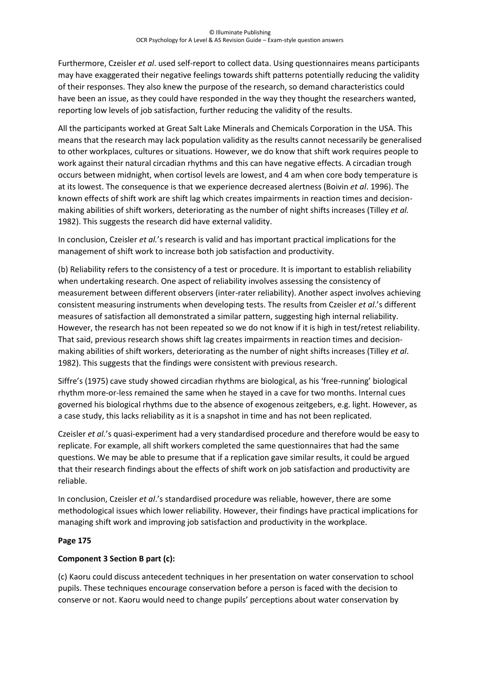Furthermore, Czeisler *et al*. used self-report to collect data. Using questionnaires means participants may have exaggerated their negative feelings towards shift patterns potentially reducing the validity of their responses. They also knew the purpose of the research, so demand characteristics could have been an issue, as they could have responded in the way they thought the researchers wanted, reporting low levels of job satisfaction, further reducing the validity of the results.

All the participants worked at Great Salt Lake Minerals and Chemicals Corporation in the USA. This means that the research may lack population validity as the results cannot necessarily be generalised to other workplaces, cultures or situations. However, we do know that shift work requires people to work against their natural circadian rhythms and this can have negative effects. A circadian trough occurs between midnight, when cortisol levels are lowest, and 4 am when core body temperature is at its lowest. The consequence is that we experience decreased alertness (Boivin *et al*. 1996). The known effects of shift work are shift lag which creates impairments in reaction times and decisionmaking abilities of shift workers, deteriorating as the number of night shifts increases (Tilley *et al.* 1982). This suggests the research did have external validity.

In conclusion, Czeisler *et al.*'s research is valid and has important practical implications for the management of shift work to increase both job satisfaction and productivity.

(b) Reliability refers to the consistency of a test or procedure. It is important to establish reliability when undertaking research. One aspect of reliability involves assessing the consistency of measurement between different observers (inter-rater reliability). Another aspect involves achieving consistent measuring instruments when developing tests. The results from Czeisler *et al*.'s different measures of satisfaction all demonstrated a similar pattern, suggesting high internal reliability. However, the research has not been repeated so we do not know if it is high in test/retest reliability. That said, previous research shows shift lag creates impairments in reaction times and decisionmaking abilities of shift workers, deteriorating as the number of night shifts increases (Tilley *et al*. 1982). This suggests that the findings were consistent with previous research.

Siffre's (1975) cave study showed circadian rhythms are biological, as his 'free-running' biological rhythm more-or-less remained the same when he stayed in a cave for two months. Internal cues governed his biological rhythms due to the absence of exogenous zeitgebers, e.g. light. However, as a case study, this lacks reliability as it is a snapshot in time and has not been replicated.

Czeisler *et al.*'s quasi-experiment had a very standardised procedure and therefore would be easy to replicate. For example, all shift workers completed the same questionnaires that had the same questions. We may be able to presume that if a replication gave similar results, it could be argued that their research findings about the effects of shift work on job satisfaction and productivity are reliable.

In conclusion, Czeisler *et al*.'s standardised procedure was reliable, however, there are some methodological issues which lower reliability. However, their findings have practical implications for managing shift work and improving job satisfaction and productivity in the workplace.

## **Page 175**

## **Component 3 Section B part (c):**

(c) Kaoru could discuss antecedent techniques in her presentation on water conservation to school pupils. These techniques encourage conservation before a person is faced with the decision to conserve or not. Kaoru would need to change pupils' perceptions about water conservation by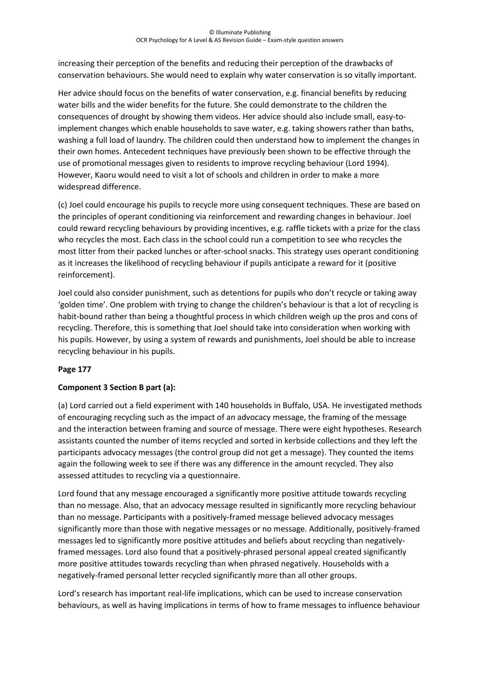increasing their perception of the benefits and reducing their perception of the drawbacks of conservation behaviours. She would need to explain why water conservation is so vitally important.

Her advice should focus on the benefits of water conservation, e.g. financial benefits by reducing water bills and the wider benefits for the future. She could demonstrate to the children the consequences of drought by showing them videos. Her advice should also include small, easy-toimplement changes which enable households to save water, e.g. taking showers rather than baths, washing a full load of laundry. The children could then understand how to implement the changes in their own homes. Antecedent techniques have previously been shown to be effective through the use of promotional messages given to residents to improve recycling behaviour (Lord 1994). However, Kaoru would need to visit a lot of schools and children in order to make a more widespread difference.

(c) Joel could encourage his pupils to recycle more using consequent techniques. These are based on the principles of operant conditioning via reinforcement and rewarding changes in behaviour. Joel could reward recycling behaviours by providing incentives, e.g. raffle tickets with a prize for the class who recycles the most. Each class in the school could run a competition to see who recycles the most litter from their packed lunches or after-school snacks. This strategy uses operant conditioning as it increases the likelihood of recycling behaviour if pupils anticipate a reward for it (positive reinforcement).

Joel could also consider punishment, such as detentions for pupils who don't recycle or taking away 'golden time'. One problem with trying to change the children's behaviour is that a lot of recycling is habit-bound rather than being a thoughtful process in which children weigh up the pros and cons of recycling. Therefore, this is something that Joel should take into consideration when working with his pupils. However, by using a system of rewards and punishments, Joel should be able to increase recycling behaviour in his pupils.

## **Page 177**

## **Component 3 Section B part (a):**

(a) Lord carried out a field experiment with 140 households in Buffalo, USA. He investigated methods of encouraging recycling such as the impact of an advocacy message, the framing of the message and the interaction between framing and source of message. There were eight hypotheses. Research assistants counted the number of items recycled and sorted in kerbside collections and they left the participants advocacy messages (the control group did not get a message). They counted the items again the following week to see if there was any difference in the amount recycled. They also assessed attitudes to recycling via a questionnaire.

Lord found that any message encouraged a significantly more positive attitude towards recycling than no message. Also, that an advocacy message resulted in significantly more recycling behaviour than no message. Participants with a positively-framed message believed advocacy messages significantly more than those with negative messages or no message. Additionally, positively-framed messages led to significantly more positive attitudes and beliefs about recycling than negativelyframed messages. Lord also found that a positively-phrased personal appeal created significantly more positive attitudes towards recycling than when phrased negatively. Households with a negatively-framed personal letter recycled significantly more than all other groups.

Lord's research has important real-life implications, which can be used to increase conservation behaviours, as well as having implications in terms of how to frame messages to influence behaviour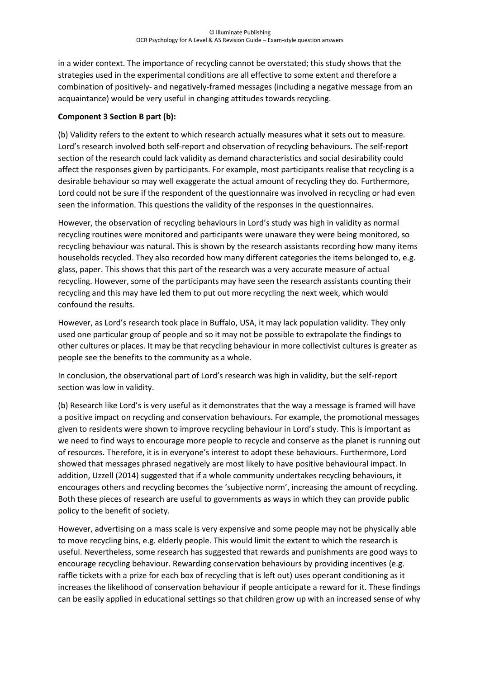in a wider context. The importance of recycling cannot be overstated; this study shows that the strategies used in the experimental conditions are all effective to some extent and therefore a combination of positively- and negatively-framed messages (including a negative message from an acquaintance) would be very useful in changing attitudes towards recycling.

## **Component 3 Section B part (b):**

(b) Validity refers to the extent to which research actually measures what it sets out to measure. Lord's research involved both self-report and observation of recycling behaviours. The self-report section of the research could lack validity as demand characteristics and social desirability could affect the responses given by participants. For example, most participants realise that recycling is a desirable behaviour so may well exaggerate the actual amount of recycling they do. Furthermore, Lord could not be sure if the respondent of the questionnaire was involved in recycling or had even seen the information. This questions the validity of the responses in the questionnaires.

However, the observation of recycling behaviours in Lord's study was high in validity as normal recycling routines were monitored and participants were unaware they were being monitored, so recycling behaviour was natural. This is shown by the research assistants recording how many items households recycled. They also recorded how many different categories the items belonged to, e.g. glass, paper. This shows that this part of the research was a very accurate measure of actual recycling. However, some of the participants may have seen the research assistants counting their recycling and this may have led them to put out more recycling the next week, which would confound the results.

However, as Lord's research took place in Buffalo, USA, it may lack population validity. They only used one particular group of people and so it may not be possible to extrapolate the findings to other cultures or places. It may be that recycling behaviour in more collectivist cultures is greater as people see the benefits to the community as a whole.

In conclusion, the observational part of Lord's research was high in validity, but the self-report section was low in validity.

(b) Research like Lord's is very useful as it demonstrates that the way a message is framed will have a positive impact on recycling and conservation behaviours. For example, the promotional messages given to residents were shown to improve recycling behaviour in Lord's study. This is important as we need to find ways to encourage more people to recycle and conserve as the planet is running out of resources. Therefore, it is in everyone's interest to adopt these behaviours. Furthermore, Lord showed that messages phrased negatively are most likely to have positive behavioural impact. In addition, Uzzell (2014) suggested that if a whole community undertakes recycling behaviours, it encourages others and recycling becomes the 'subjective norm', increasing the amount of recycling. Both these pieces of research are useful to governments as ways in which they can provide public policy to the benefit of society.

However, advertising on a mass scale is very expensive and some people may not be physically able to move recycling bins, e.g. elderly people. This would limit the extent to which the research is useful. Nevertheless, some research has suggested that rewards and punishments are good ways to encourage recycling behaviour. Rewarding conservation behaviours by providing incentives (e.g. raffle tickets with a prize for each box of recycling that is left out) uses operant conditioning as it increases the likelihood of conservation behaviour if people anticipate a reward for it. These findings can be easily applied in educational settings so that children grow up with an increased sense of why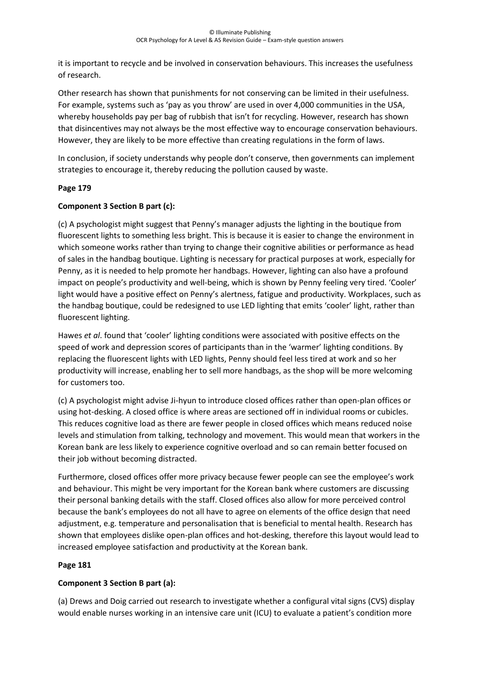it is important to recycle and be involved in conservation behaviours. This increases the usefulness of research.

Other research has shown that punishments for not conserving can be limited in their usefulness. For example, systems such as 'pay as you throw' are used in over 4,000 communities in the USA, whereby households pay per bag of rubbish that isn't for recycling. However, research has shown that disincentives may not always be the most effective way to encourage conservation behaviours. However, they are likely to be more effective than creating regulations in the form of laws.

In conclusion, if society understands why people don't conserve, then governments can implement strategies to encourage it, thereby reducing the pollution caused by waste.

# **Page 179**

# **Component 3 Section B part (c):**

(c) A psychologist might suggest that Penny's manager adjusts the lighting in the boutique from fluorescent lights to something less bright. This is because it is easier to change the environment in which someone works rather than trying to change their cognitive abilities or performance as head of sales in the handbag boutique. Lighting is necessary for practical purposes at work, especially for Penny, as it is needed to help promote her handbags. However, lighting can also have a profound impact on people's productivity and well-being, which is shown by Penny feeling very tired. 'Cooler' light would have a positive effect on Penny's alertness, fatigue and productivity. Workplaces, such as the handbag boutique, could be redesigned to use LED lighting that emits 'cooler' light, rather than fluorescent lighting.

Hawes *et al*. found that 'cooler' lighting conditions were associated with positive effects on the speed of work and depression scores of participants than in the 'warmer' lighting conditions. By replacing the fluorescent lights with LED lights, Penny should feel less tired at work and so her productivity will increase, enabling her to sell more handbags, as the shop will be more welcoming for customers too.

(c) A psychologist might advise Ji-hyun to introduce closed offices rather than open-plan offices or using hot-desking. A closed office is where areas are sectioned off in individual rooms or cubicles. This reduces cognitive load as there are fewer people in closed offices which means reduced noise levels and stimulation from talking, technology and movement. This would mean that workers in the Korean bank are less likely to experience cognitive overload and so can remain better focused on their job without becoming distracted.

Furthermore, closed offices offer more privacy because fewer people can see the employee's work and behaviour. This might be very important for the Korean bank where customers are discussing their personal banking details with the staff. Closed offices also allow for more perceived control because the bank's employees do not all have to agree on elements of the office design that need adjustment, e.g. temperature and personalisation that is beneficial to mental health. Research has shown that employees dislike open-plan offices and hot-desking, therefore this layout would lead to increased employee satisfaction and productivity at the Korean bank.

# **Page 181**

# **Component 3 Section B part (a):**

(a) Drews and Doig carried out research to investigate whether a configural vital signs (CVS) display would enable nurses working in an intensive care unit (ICU) to evaluate a patient's condition more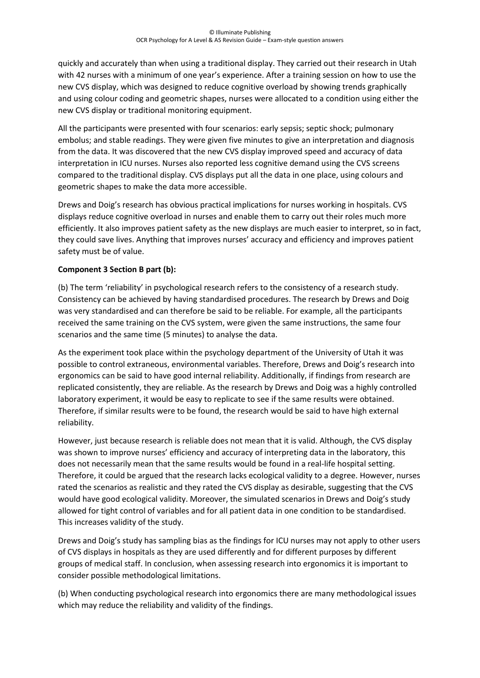quickly and accurately than when using a traditional display. They carried out their research in Utah with 42 nurses with a minimum of one year's experience. After a training session on how to use the new CVS display, which was designed to reduce cognitive overload by showing trends graphically and using colour coding and geometric shapes, nurses were allocated to a condition using either the new CVS display or traditional monitoring equipment.

All the participants were presented with four scenarios: early sepsis; septic shock; pulmonary embolus; and stable readings. They were given five minutes to give an interpretation and diagnosis from the data. It was discovered that the new CVS display improved speed and accuracy of data interpretation in ICU nurses. Nurses also reported less cognitive demand using the CVS screens compared to the traditional display. CVS displays put all the data in one place, using colours and geometric shapes to make the data more accessible.

Drews and Doig's research has obvious practical implications for nurses working in hospitals. CVS displays reduce cognitive overload in nurses and enable them to carry out their roles much more efficiently. It also improves patient safety as the new displays are much easier to interpret, so in fact, they could save lives. Anything that improves nurses' accuracy and efficiency and improves patient safety must be of value.

## **Component 3 Section B part (b):**

(b) The term 'reliability' in psychological research refers to the consistency of a research study. Consistency can be achieved by having standardised procedures. The research by Drews and Doig was very standardised and can therefore be said to be reliable. For example, all the participants received the same training on the CVS system, were given the same instructions, the same four scenarios and the same time (5 minutes) to analyse the data.

As the experiment took place within the psychology department of the University of Utah it was possible to control extraneous, environmental variables. Therefore, Drews and Doig's research into ergonomics can be said to have good internal reliability. Additionally, if findings from research are replicated consistently, they are reliable. As the research by Drews and Doig was a highly controlled laboratory experiment, it would be easy to replicate to see if the same results were obtained. Therefore, if similar results were to be found, the research would be said to have high external reliability.

However, just because research is reliable does not mean that it is valid. Although, the CVS display was shown to improve nurses' efficiency and accuracy of interpreting data in the laboratory, this does not necessarily mean that the same results would be found in a real-life hospital setting. Therefore, it could be argued that the research lacks ecological validity to a degree. However, nurses rated the scenarios as realistic and they rated the CVS display as desirable, suggesting that the CVS would have good ecological validity. Moreover, the simulated scenarios in Drews and Doig's study allowed for tight control of variables and for all patient data in one condition to be standardised. This increases validity of the study.

Drews and Doig's study has sampling bias as the findings for ICU nurses may not apply to other users of CVS displays in hospitals as they are used differently and for different purposes by different groups of medical staff. In conclusion, when assessing research into ergonomics it is important to consider possible methodological limitations.

(b) When conducting psychological research into ergonomics there are many methodological issues which may reduce the reliability and validity of the findings.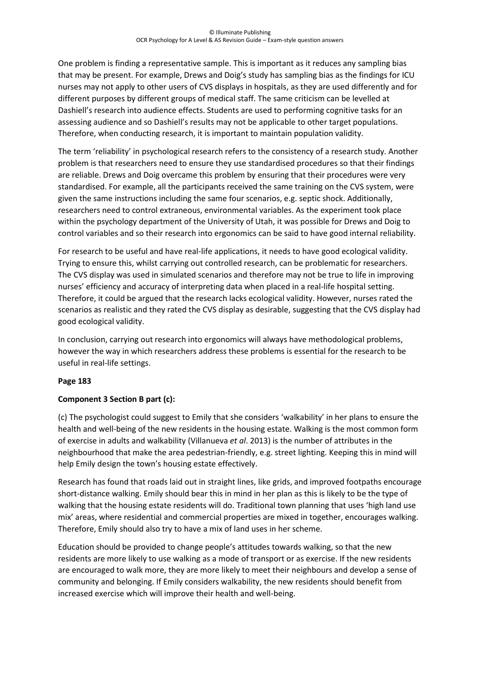One problem is finding a representative sample. This is important as it reduces any sampling bias that may be present. For example, Drews and Doig's study has sampling bias as the findings for ICU nurses may not apply to other users of CVS displays in hospitals, as they are used differently and for different purposes by different groups of medical staff. The same criticism can be levelled at Dashiell's research into audience effects. Students are used to performing cognitive tasks for an assessing audience and so Dashiell's results may not be applicable to other target populations. Therefore, when conducting research, it is important to maintain population validity.

The term 'reliability' in psychological research refers to the consistency of a research study. Another problem is that researchers need to ensure they use standardised procedures so that their findings are reliable. Drews and Doig overcame this problem by ensuring that their procedures were very standardised. For example, all the participants received the same training on the CVS system, were given the same instructions including the same four scenarios, e.g. septic shock. Additionally, researchers need to control extraneous, environmental variables. As the experiment took place within the psychology department of the University of Utah, it was possible for Drews and Doig to control variables and so their research into ergonomics can be said to have good internal reliability.

For research to be useful and have real-life applications, it needs to have good ecological validity. Trying to ensure this, whilst carrying out controlled research, can be problematic for researchers. The CVS display was used in simulated scenarios and therefore may not be true to life in improving nurses' efficiency and accuracy of interpreting data when placed in a real-life hospital setting. Therefore, it could be argued that the research lacks ecological validity. However, nurses rated the scenarios as realistic and they rated the CVS display as desirable, suggesting that the CVS display had good ecological validity.

In conclusion, carrying out research into ergonomics will always have methodological problems, however the way in which researchers address these problems is essential for the research to be useful in real-life settings.

## **Page 183**

## **Component 3 Section B part (c):**

(c) The psychologist could suggest to Emily that she considers 'walkability' in her plans to ensure the health and well-being of the new residents in the housing estate. Walking is the most common form of exercise in adults and walkability (Villanueva *et al*. 2013) is the number of attributes in the neighbourhood that make the area pedestrian-friendly, e.g. street lighting. Keeping this in mind will help Emily design the town's housing estate effectively.

Research has found that roads laid out in straight lines, like grids, and improved footpaths encourage short-distance walking. Emily should bear this in mind in her plan as this is likely to be the type of walking that the housing estate residents will do. Traditional town planning that uses 'high land use mix' areas, where residential and commercial properties are mixed in together, encourages walking. Therefore, Emily should also try to have a mix of land uses in her scheme.

Education should be provided to change people's attitudes towards walking, so that the new residents are more likely to use walking as a mode of transport or as exercise. If the new residents are encouraged to walk more, they are more likely to meet their neighbours and develop a sense of community and belonging. If Emily considers walkability, the new residents should benefit from increased exercise which will improve their health and well-being.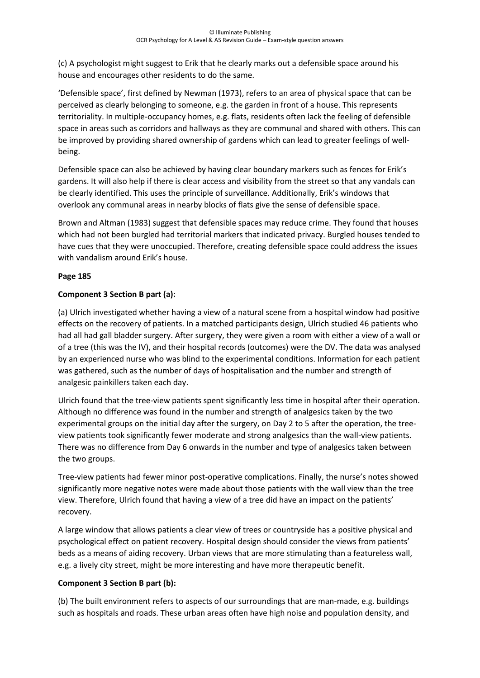(c) A psychologist might suggest to Erik that he clearly marks out a defensible space around his house and encourages other residents to do the same.

'Defensible space', first defined by Newman (1973), refers to an area of physical space that can be perceived as clearly belonging to someone, e.g. the garden in front of a house. This represents territoriality. In multiple-occupancy homes, e.g. flats, residents often lack the feeling of defensible space in areas such as corridors and hallways as they are communal and shared with others. This can be improved by providing shared ownership of gardens which can lead to greater feelings of wellbeing.

Defensible space can also be achieved by having clear boundary markers such as fences for Erik's gardens. It will also help if there is clear access and visibility from the street so that any vandals can be clearly identified. This uses the principle of surveillance. Additionally, Erik's windows that overlook any communal areas in nearby blocks of flats give the sense of defensible space.

Brown and Altman (1983) suggest that defensible spaces may reduce crime. They found that houses which had not been burgled had territorial markers that indicated privacy. Burgled houses tended to have cues that they were unoccupied. Therefore, creating defensible space could address the issues with vandalism around Erik's house.

# **Page 185**

# **Component 3 Section B part (a):**

(a) Ulrich investigated whether having a view of a natural scene from a hospital window had positive effects on the recovery of patients. In a matched participants design, Ulrich studied 46 patients who had all had gall bladder surgery. After surgery, they were given a room with either a view of a wall or of a tree (this was the IV), and their hospital records (outcomes) were the DV. The data was analysed by an experienced nurse who was blind to the experimental conditions. Information for each patient was gathered, such as the number of days of hospitalisation and the number and strength of analgesic painkillers taken each day.

Ulrich found that the tree-view patients spent significantly less time in hospital after their operation. Although no difference was found in the number and strength of analgesics taken by the two experimental groups on the initial day after the surgery, on Day 2 to 5 after the operation, the treeview patients took significantly fewer moderate and strong analgesics than the wall-view patients. There was no difference from Day 6 onwards in the number and type of analgesics taken between the two groups.

Tree-view patients had fewer minor post-operative complications. Finally, the nurse's notes showed significantly more negative notes were made about those patients with the wall view than the tree view. Therefore, Ulrich found that having a view of a tree did have an impact on the patients' recovery.

A large window that allows patients a clear view of trees or countryside has a positive physical and psychological effect on patient recovery. Hospital design should consider the views from patients' beds as a means of aiding recovery. Urban views that are more stimulating than a featureless wall, e.g. a lively city street, might be more interesting and have more therapeutic benefit.

## **Component 3 Section B part (b):**

(b) The built environment refers to aspects of our surroundings that are man-made, e.g. buildings such as hospitals and roads. These urban areas often have high noise and population density, and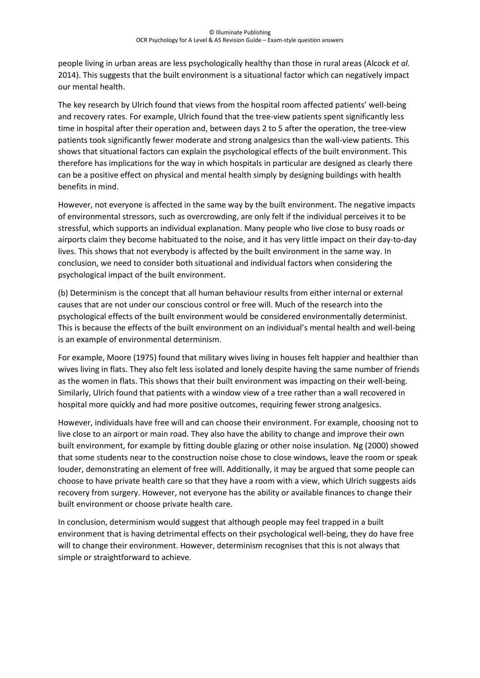people living in urban areas are less psychologically healthy than those in rural areas (Alcock *et al.* 2014). This suggests that the built environment is a situational factor which can negatively impact our mental health.

The key research by Ulrich found that views from the hospital room affected patients' well-being and recovery rates. For example, Ulrich found that the tree-view patients spent significantly less time in hospital after their operation and, between days 2 to 5 after the operation, the tree-view patients took significantly fewer moderate and strong analgesics than the wall-view patients. This shows that situational factors can explain the psychological effects of the built environment. This therefore has implications for the way in which hospitals in particular are designed as clearly there can be a positive effect on physical and mental health simply by designing buildings with health benefits in mind.

However, not everyone is affected in the same way by the built environment. The negative impacts of environmental stressors, such as overcrowding, are only felt if the individual perceives it to be stressful, which supports an individual explanation. Many people who live close to busy roads or airports claim they become habituated to the noise, and it has very little impact on their day-to-day lives. This shows that not everybody is affected by the built environment in the same way. In conclusion, we need to consider both situational and individual factors when considering the psychological impact of the built environment.

(b) Determinism is the concept that all human behaviour results from either internal or external causes that are not under our conscious control or free will. Much of the research into the psychological effects of the built environment would be considered environmentally determinist. This is because the effects of the built environment on an individual's mental health and well-being is an example of environmental determinism.

For example, Moore (1975) found that military wives living in houses felt happier and healthier than wives living in flats. They also felt less isolated and lonely despite having the same number of friends as the women in flats. This shows that their built environment was impacting on their well-being. Similarly, Ulrich found that patients with a window view of a tree rather than a wall recovered in hospital more quickly and had more positive outcomes, requiring fewer strong analgesics.

However, individuals have free will and can choose their environment. For example, choosing not to live close to an airport or main road. They also have the ability to change and improve their own built environment, for example by fitting double glazing or other noise insulation. Ng (2000) showed that some students near to the construction noise chose to close windows, leave the room or speak louder, demonstrating an element of free will. Additionally, it may be argued that some people can choose to have private health care so that they have a room with a view, which Ulrich suggests aids recovery from surgery. However, not everyone has the ability or available finances to change their built environment or choose private health care.

In conclusion, determinism would suggest that although people may feel trapped in a built environment that is having detrimental effects on their psychological well-being, they do have free will to change their environment. However, determinism recognises that this is not always that simple or straightforward to achieve.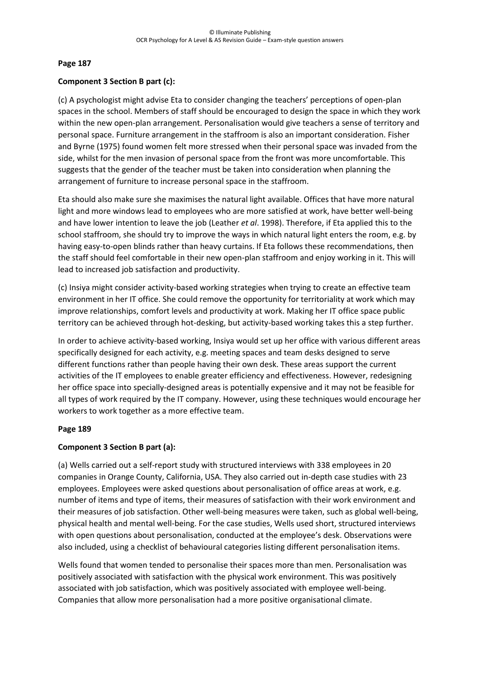#### **Page 187**

#### **Component 3 Section B part (c):**

(c) A psychologist might advise Eta to consider changing the teachers' perceptions of open-plan spaces in the school. Members of staff should be encouraged to design the space in which they work within the new open-plan arrangement. Personalisation would give teachers a sense of territory and personal space. Furniture arrangement in the staffroom is also an important consideration. Fisher and Byrne (1975) found women felt more stressed when their personal space was invaded from the side, whilst for the men invasion of personal space from the front was more uncomfortable. This suggests that the gender of the teacher must be taken into consideration when planning the arrangement of furniture to increase personal space in the staffroom.

Eta should also make sure she maximises the natural light available. Offices that have more natural light and more windows lead to employees who are more satisfied at work, have better well-being and have lower intention to leave the job (Leather *et al*. 1998). Therefore, if Eta applied this to the school staffroom, she should try to improve the ways in which natural light enters the room, e.g. by having easy-to-open blinds rather than heavy curtains. If Eta follows these recommendations, then the staff should feel comfortable in their new open-plan staffroom and enjoy working in it. This will lead to increased job satisfaction and productivity.

(c) Insiya might consider activity-based working strategies when trying to create an effective team environment in her IT office. She could remove the opportunity for territoriality at work which may improve relationships, comfort levels and productivity at work. Making her IT office space public territory can be achieved through hot-desking, but activity-based working takes this a step further.

In order to achieve activity-based working, Insiya would set up her office with various different areas specifically designed for each activity, e.g. meeting spaces and team desks designed to serve different functions rather than people having their own desk. These areas support the current activities of the IT employees to enable greater efficiency and effectiveness. However, redesigning her office space into specially-designed areas is potentially expensive and it may not be feasible for all types of work required by the IT company. However, using these techniques would encourage her workers to work together as a more effective team.

#### **Page 189**

## **Component 3 Section B part (a):**

(a) Wells carried out a self-report study with structured interviews with 338 employees in 20 companies in Orange County, California, USA. They also carried out in-depth case studies with 23 employees. Employees were asked questions about personalisation of office areas at work, e.g. number of items and type of items, their measures of satisfaction with their work environment and their measures of job satisfaction. Other well-being measures were taken, such as global well-being, physical health and mental well-being. For the case studies, Wells used short, structured interviews with open questions about personalisation, conducted at the employee's desk. Observations were also included, using a checklist of behavioural categories listing different personalisation items.

Wells found that women tended to personalise their spaces more than men. Personalisation was positively associated with satisfaction with the physical work environment. This was positively associated with job satisfaction, which was positively associated with employee well-being. Companies that allow more personalisation had a more positive organisational climate.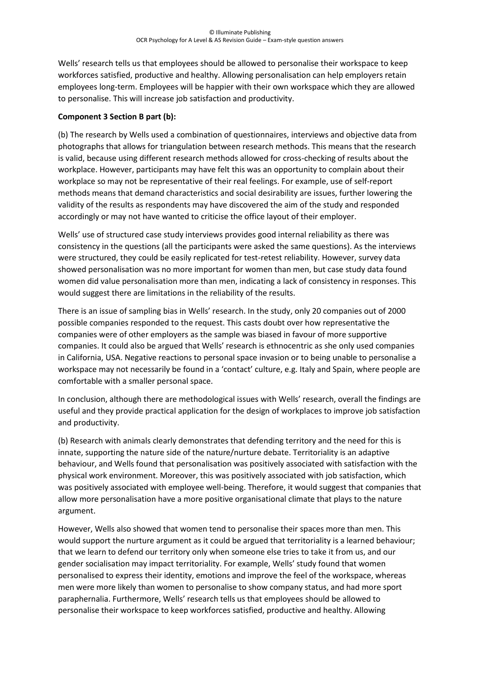Wells' research tells us that employees should be allowed to personalise their workspace to keep workforces satisfied, productive and healthy. Allowing personalisation can help employers retain employees long-term. Employees will be happier with their own workspace which they are allowed to personalise. This will increase job satisfaction and productivity.

## **Component 3 Section B part (b):**

(b) The research by Wells used a combination of questionnaires, interviews and objective data from photographs that allows for triangulation between research methods. This means that the research is valid, because using different research methods allowed for cross-checking of results about the workplace. However, participants may have felt this was an opportunity to complain about their workplace so may not be representative of their real feelings. For example, use of self-report methods means that demand characteristics and social desirability are issues, further lowering the validity of the results as respondents may have discovered the aim of the study and responded accordingly or may not have wanted to criticise the office layout of their employer.

Wells' use of structured case study interviews provides good internal reliability as there was consistency in the questions (all the participants were asked the same questions). As the interviews were structured, they could be easily replicated for test-retest reliability. However, survey data showed personalisation was no more important for women than men, but case study data found women did value personalisation more than men, indicating a lack of consistency in responses. This would suggest there are limitations in the reliability of the results.

There is an issue of sampling bias in Wells' research. In the study, only 20 companies out of 2000 possible companies responded to the request. This casts doubt over how representative the companies were of other employers as the sample was biased in favour of more supportive companies. It could also be argued that Wells' research is ethnocentric as she only used companies in California, USA. Negative reactions to personal space invasion or to being unable to personalise a workspace may not necessarily be found in a 'contact' culture, e.g. Italy and Spain, where people are comfortable with a smaller personal space.

In conclusion, although there are methodological issues with Wells' research, overall the findings are useful and they provide practical application for the design of workplaces to improve job satisfaction and productivity.

(b) Research with animals clearly demonstrates that defending territory and the need for this is innate, supporting the nature side of the nature/nurture debate. Territoriality is an adaptive behaviour, and Wells found that personalisation was positively associated with satisfaction with the physical work environment. Moreover, this was positively associated with job satisfaction, which was positively associated with employee well-being. Therefore, it would suggest that companies that allow more personalisation have a more positive organisational climate that plays to the nature argument.

However, Wells also showed that women tend to personalise their spaces more than men. This would support the nurture argument as it could be argued that territoriality is a learned behaviour; that we learn to defend our territory only when someone else tries to take it from us, and our gender socialisation may impact territoriality. For example, Wells' study found that women personalised to express their identity, emotions and improve the feel of the workspace, whereas men were more likely than women to personalise to show company status, and had more sport paraphernalia. Furthermore, Wells' research tells us that employees should be allowed to personalise their workspace to keep workforces satisfied, productive and healthy. Allowing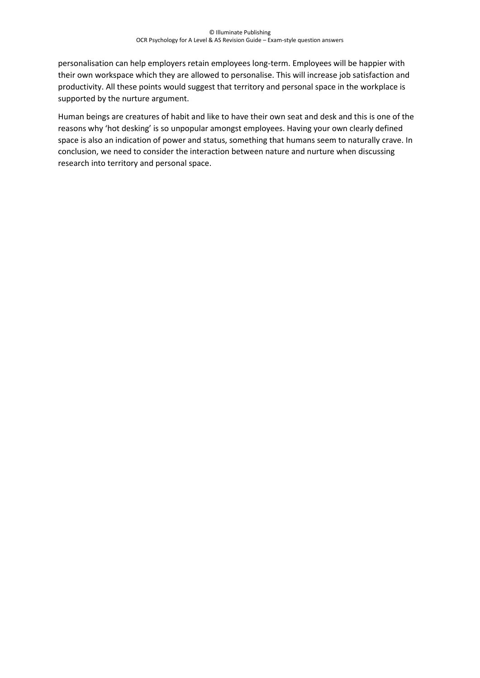personalisation can help employers retain employees long-term. Employees will be happier with their own workspace which they are allowed to personalise. This will increase job satisfaction and productivity. All these points would suggest that territory and personal space in the workplace is supported by the nurture argument.

Human beings are creatures of habit and like to have their own seat and desk and this is one of the reasons why 'hot desking' is so unpopular amongst employees. Having your own clearly defined space is also an indication of power and status, something that humans seem to naturally crave. In conclusion, we need to consider the interaction between nature and nurture when discussing research into territory and personal space.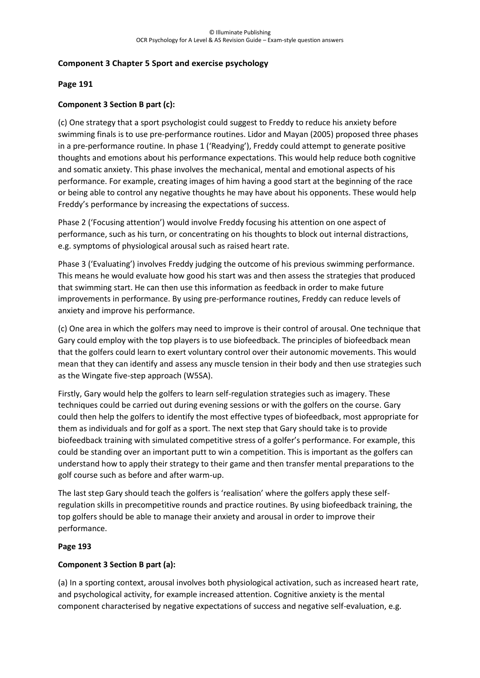## **Component 3 Chapter 5 Sport and exercise psychology**

#### **Page 191**

## **Component 3 Section B part (c):**

(c) One strategy that a sport psychologist could suggest to Freddy to reduce his anxiety before swimming finals is to use pre-performance routines. Lidor and Mayan (2005) proposed three phases in a pre-performance routine. In phase 1 ('Readying'), Freddy could attempt to generate positive thoughts and emotions about his performance expectations. This would help reduce both cognitive and somatic anxiety. This phase involves the mechanical, mental and emotional aspects of his performance. For example, creating images of him having a good start at the beginning of the race or being able to control any negative thoughts he may have about his opponents. These would help Freddy's performance by increasing the expectations of success.

Phase 2 ('Focusing attention') would involve Freddy focusing his attention on one aspect of performance, such as his turn, or concentrating on his thoughts to block out internal distractions, e.g. symptoms of physiological arousal such as raised heart rate.

Phase 3 ('Evaluating') involves Freddy judging the outcome of his previous swimming performance. This means he would evaluate how good his start was and then assess the strategies that produced that swimming start. He can then use this information as feedback in order to make future improvements in performance. By using pre-performance routines, Freddy can reduce levels of anxiety and improve his performance.

(c) One area in which the golfers may need to improve is their control of arousal. One technique that Gary could employ with the top players is to use biofeedback. The principles of biofeedback mean that the golfers could learn to exert voluntary control over their autonomic movements. This would mean that they can identify and assess any muscle tension in their body and then use strategies such as the Wingate five-step approach (W5SA).

Firstly, Gary would help the golfers to learn self-regulation strategies such as imagery. These techniques could be carried out during evening sessions or with the golfers on the course. Gary could then help the golfers to identify the most effective types of biofeedback, most appropriate for them as individuals and for golf as a sport. The next step that Gary should take is to provide biofeedback training with simulated competitive stress of a golfer's performance. For example, this could be standing over an important putt to win a competition. This is important as the golfers can understand how to apply their strategy to their game and then transfer mental preparations to the golf course such as before and after warm-up.

The last step Gary should teach the golfers is 'realisation' where the golfers apply these selfregulation skills in precompetitive rounds and practice routines. By using biofeedback training, the top golfers should be able to manage their anxiety and arousal in order to improve their performance.

#### **Page 193**

#### **Component 3 Section B part (a):**

(a) In a sporting context, arousal involves both physiological activation, such as increased heart rate, and psychological activity, for example increased attention. Cognitive anxiety is the mental component characterised by negative expectations of success and negative self-evaluation, e.g.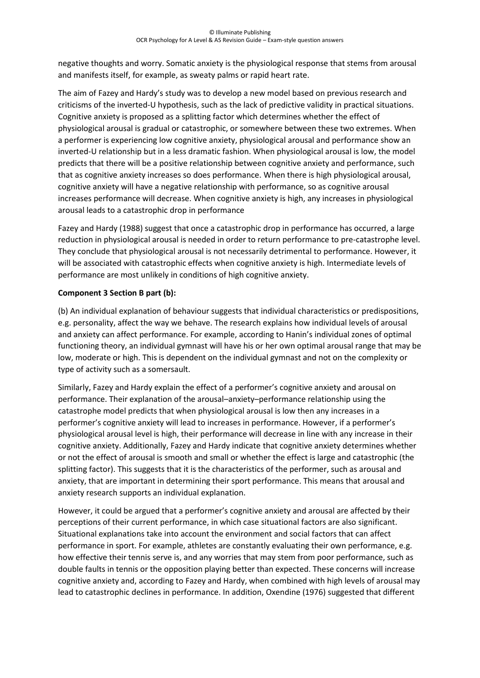negative thoughts and worry. Somatic anxiety is the physiological response that stems from arousal and manifests itself, for example, as sweaty palms or rapid heart rate.

The aim of Fazey and Hardy's study was to develop a new model based on previous research and criticisms of the inverted-U hypothesis, such as the lack of predictive validity in practical situations. Cognitive anxiety is proposed as a splitting factor which determines whether the effect of physiological arousal is gradual or catastrophic, or somewhere between these two extremes. When a performer is experiencing low cognitive anxiety, physiological arousal and performance show an inverted-U relationship but in a less dramatic fashion. When physiological arousal is low, the model predicts that there will be a positive relationship between cognitive anxiety and performance, such that as cognitive anxiety increases so does performance. When there is high physiological arousal, cognitive anxiety will have a negative relationship with performance, so as cognitive arousal increases performance will decrease. When cognitive anxiety is high, any increases in physiological arousal leads to a catastrophic drop in performance

Fazey and Hardy (1988) suggest that once a catastrophic drop in performance has occurred, a large reduction in physiological arousal is needed in order to return performance to pre-catastrophe level. They conclude that physiological arousal is not necessarily detrimental to performance. However, it will be associated with catastrophic effects when cognitive anxiety is high. Intermediate levels of performance are most unlikely in conditions of high cognitive anxiety.

## **Component 3 Section B part (b):**

(b) An individual explanation of behaviour suggests that individual characteristics or predispositions, e.g. personality, affect the way we behave. The research explains how individual levels of arousal and anxiety can affect performance. For example, according to Hanin's individual zones of optimal functioning theory, an individual gymnast will have his or her own optimal arousal range that may be low, moderate or high. This is dependent on the individual gymnast and not on the complexity or type of activity such as a somersault.

Similarly, Fazey and Hardy explain the effect of a performer's cognitive anxiety and arousal on performance. Their explanation of the arousal–anxiety–performance relationship using the catastrophe model predicts that when physiological arousal is low then any increases in a performer's cognitive anxiety will lead to increases in performance. However, if a performer's physiological arousal level is high, their performance will decrease in line with any increase in their cognitive anxiety. Additionally, Fazey and Hardy indicate that cognitive anxiety determines whether or not the effect of arousal is smooth and small or whether the effect is large and catastrophic (the splitting factor). This suggests that it is the characteristics of the performer, such as arousal and anxiety, that are important in determining their sport performance. This means that arousal and anxiety research supports an individual explanation.

However, it could be argued that a performer's cognitive anxiety and arousal are affected by their perceptions of their current performance, in which case situational factors are also significant. Situational explanations take into account the environment and social factors that can affect performance in sport. For example, athletes are constantly evaluating their own performance, e.g. how effective their tennis serve is, and any worries that may stem from poor performance, such as double faults in tennis or the opposition playing better than expected. These concerns will increase cognitive anxiety and, according to Fazey and Hardy, when combined with high levels of arousal may lead to catastrophic declines in performance. In addition, Oxendine (1976) suggested that different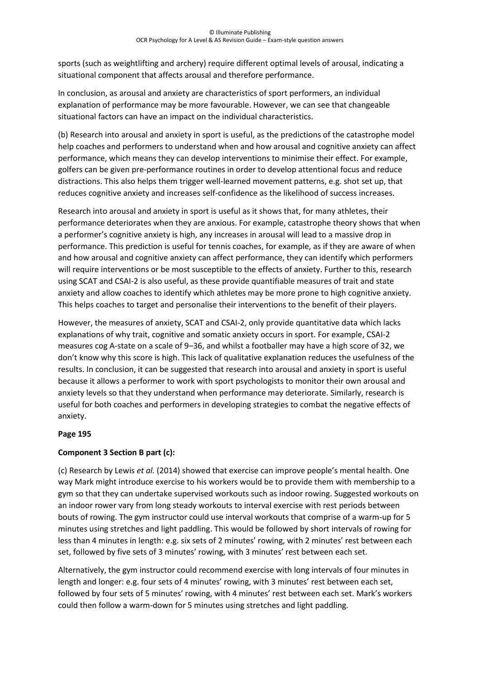sports (such as weightlifting and archery) require different optimal levels of arousal, indicating a situational component that affects arousal and therefore performance.

In conclusion, as arousal and anxiety are characteristics of sport performers, an individual explanation of performance may be more favourable. However, we can see that changeable situational factors can have an impact on the individual characteristics.

(b) Research into arousal and anxiety in sport is useful, as the predictions of the catastrophe model help coaches and performers to understand when and how arousal and cognitive anxiety can affect performance, which means they can develop interventions to minimise their effect. For example, golfers can be given pre-performance routines in order to develop attentional focus and reduce distractions. This also helps them trigger well-learned movement patterns, e.g. shot set up, that reduces cognitive anxiety and increases self-confidence as the likelihood of success increases.

Research into arousal and anxiety in sport is useful as it shows that, for many athletes, their performance deteriorates when they are anxious. For example, catastrophe theory shows that when a performer's cognitive anxiety is high, any increases in arousal will lead to a massive drop in performance. This prediction is useful for tennis coaches, for example, as if they are aware of when and how arousal and cognitive anxiety can affect performance, they can identify which performers will require interventions or be most susceptible to the effects of anxiety. Further to this, research using SCAT and CSAI-2 is also useful, as these provide quantifiable measures of trait and state anxiety and allow coaches to identify which athletes may be more prone to high cognitive anxiety. This helps coaches to target and personalise their interventions to the benefit of their players.

However, the measures of anxiety, SCAT and CSAI-2, only provide quantitative data which lacks explanations of why trait, cognitive and somatic anxiety occurs in sport. For example, CSAI-2 measures cog A-state on a scale of 9–36, and whilst a footballer may have a high score of 32, we don't know why this score is high. This lack of qualitative explanation reduces the usefulness of the results. In conclusion, it can be suggested that research into arousal and anxiety in sport is useful because it allows a performer to work with sport psychologists to monitor their own arousal and anxiety levels so that they understand when performance may deteriorate. Similarly, research is useful for both coaches and performers in developing strategies to combat the negative effects of anxiety.

## **Page 195**

# **Component 3 Section B part (c):**

(c) Research by Lewis *et al.* (2014) showed that exercise can improve people's mental health. One way Mark might introduce exercise to his workers would be to provide them with membership to a gym so that they can undertake supervised workouts such as indoor rowing. Suggested workouts on an indoor rower vary from long steady workouts to interval exercise with rest periods between bouts of rowing. The gym instructor could use interval workouts that comprise of a warm-up for 5 minutes using stretches and light paddling. This would be followed by short intervals of rowing for less than 4 minutes in length: e.g. six sets of 2 minutes' rowing, with 2 minutes' rest between each set, followed by five sets of 3 minutes' rowing, with 3 minutes' rest between each set.

Alternatively, the gym instructor could recommend exercise with long intervals of four minutes in length and longer: e.g. four sets of 4 minutes' rowing, with 3 minutes' rest between each set, followed by four sets of 5 minutes' rowing, with 4 minutes' rest between each set. Mark's workers could then follow a warm-down for 5 minutes using stretches and light paddling.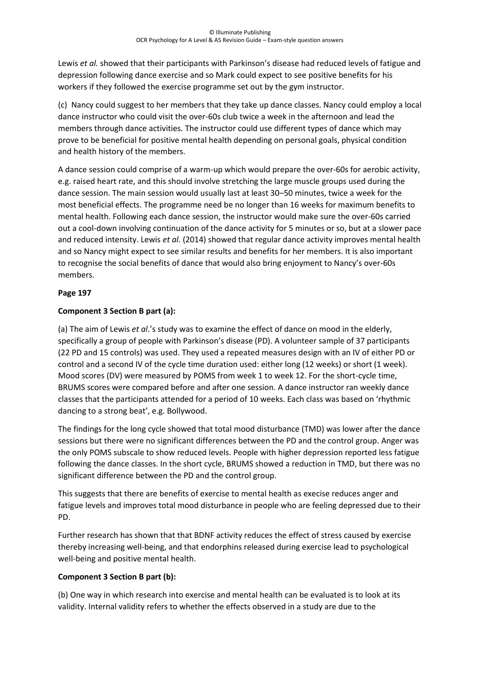Lewis *et al.* showed that their participants with Parkinson's disease had reduced levels of fatigue and depression following dance exercise and so Mark could expect to see positive benefits for his workers if they followed the exercise programme set out by the gym instructor.

(c) Nancy could suggest to her members that they take up dance classes. Nancy could employ a local dance instructor who could visit the over-60s club twice a week in the afternoon and lead the members through dance activities. The instructor could use different types of dance which may prove to be beneficial for positive mental health depending on personal goals, physical condition and health history of the members.

A dance session could comprise of a warm-up which would prepare the over-60s for aerobic activity, e.g. raised heart rate, and this should involve stretching the large muscle groups used during the dance session. The main session would usually last at least 30–50 minutes, twice a week for the most beneficial effects. The programme need be no longer than 16 weeks for maximum benefits to mental health. Following each dance session, the instructor would make sure the over-60s carried out a cool-down involving continuation of the dance activity for 5 minutes or so, but at a slower pace and reduced intensity. Lewis *et al.* (2014) showed that regular dance activity improves mental health and so Nancy might expect to see similar results and benefits for her members. It is also important to recognise the social benefits of dance that would also bring enjoyment to Nancy's over-60s members.

## **Page 197**

# **Component 3 Section B part (a):**

(a) The aim of Lewis *et al*.'s study was to examine the effect of dance on mood in the elderly, specifically a group of people with Parkinson's disease (PD). A volunteer sample of 37 participants (22 PD and 15 controls) was used. They used a repeated measures design with an IV of either PD or control and a second IV of the cycle time duration used: either long (12 weeks) or short (1 week). Mood scores (DV) were measured by POMS from week 1 to week 12. For the short-cycle time, BRUMS scores were compared before and after one session. A dance instructor ran weekly dance classes that the participants attended for a period of 10 weeks. Each class was based on 'rhythmic dancing to a strong beat', e.g. Bollywood.

The findings for the long cycle showed that total mood disturbance (TMD) was lower after the dance sessions but there were no significant differences between the PD and the control group. Anger was the only POMS subscale to show reduced levels. People with higher depression reported less fatigue following the dance classes. In the short cycle, BRUMS showed a reduction in TMD, but there was no significant difference between the PD and the control group.

This suggests that there are benefits of exercise to mental health as execise reduces anger and fatigue levels and improves total mood disturbance in people who are feeling depressed due to their PD.

Further research has shown that that BDNF activity reduces the effect of stress caused by exercise thereby increasing well-being, and that endorphins released during exercise lead to psychological well-being and positive mental health.

## **Component 3 Section B part (b):**

(b) One way in which research into exercise and mental health can be evaluated is to look at its validity. Internal validity refers to whether the effects observed in a study are due to the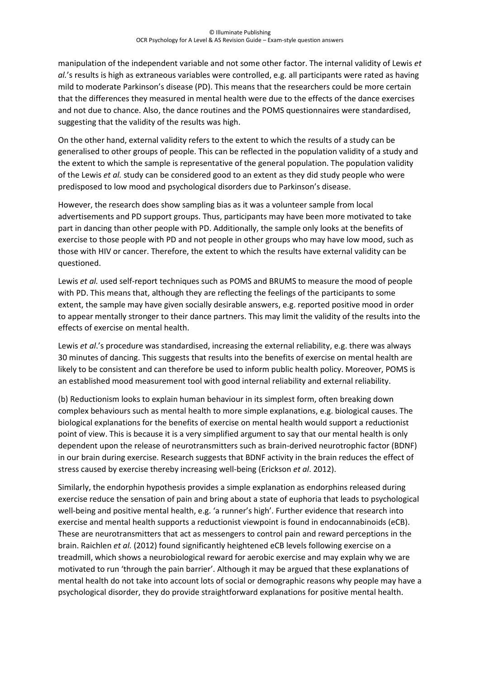manipulation of the independent variable and not some other factor. The internal validity of Lewis *et al.*'s results is high as extraneous variables were controlled, e.g. all participants were rated as having mild to moderate Parkinson's disease (PD). This means that the researchers could be more certain that the differences they measured in mental health were due to the effects of the dance exercises and not due to chance. Also, the dance routines and the POMS questionnaires were standardised, suggesting that the validity of the results was high.

On the other hand, external validity refers to the extent to which the results of a study can be generalised to other groups of people. This can be reflected in the population validity of a study and the extent to which the sample is representative of the general population. The population validity of the Lewis *et al.* study can be considered good to an extent as they did study people who were predisposed to low mood and psychological disorders due to Parkinson's disease.

However, the research does show sampling bias as it was a volunteer sample from local advertisements and PD support groups. Thus, participants may have been more motivated to take part in dancing than other people with PD. Additionally, the sample only looks at the benefits of exercise to those people with PD and not people in other groups who may have low mood, such as those with HIV or cancer. Therefore, the extent to which the results have external validity can be questioned.

Lewis *et al.* used self-report techniques such as POMS and BRUMS to measure the mood of people with PD. This means that, although they are reflecting the feelings of the participants to some extent, the sample may have given socially desirable answers, e.g. reported positive mood in order to appear mentally stronger to their dance partners. This may limit the validity of the results into the effects of exercise on mental health.

Lewis *et al*.'s procedure was standardised, increasing the external reliability, e.g. there was always 30 minutes of dancing. This suggests that results into the benefits of exercise on mental health are likely to be consistent and can therefore be used to inform public health policy. Moreover, POMS is an established mood measurement tool with good internal reliability and external reliability.

(b) Reductionism looks to explain human behaviour in its simplest form, often breaking down complex behaviours such as mental health to more simple explanations, e.g. biological causes. The biological explanations for the benefits of exercise on mental health would support a reductionist point of view. This is because it is a very simplified argument to say that our mental health is only dependent upon the release of neurotransmitters such as brain-derived neurotrophic factor (BDNF) in our brain during exercise. Research suggests that BDNF activity in the brain reduces the effect of stress caused by exercise thereby increasing well-being (Erickson *et al*. 2012).

Similarly, the endorphin hypothesis provides a simple explanation as endorphins released during exercise reduce the sensation of pain and bring about a state of euphoria that leads to psychological well-being and positive mental health, e.g. 'a runner's high'. Further evidence that research into exercise and mental health supports a reductionist viewpoint is found in endocannabinoids (eCB). These are neurotransmitters that act as messengers to control pain and reward perceptions in the brain. Raichlen *et al.* (2012) found significantly heightened eCB levels following exercise on a treadmill, which shows a neurobiological reward for aerobic exercise and may explain why we are motivated to run 'through the pain barrier'. Although it may be argued that these explanations of mental health do not take into account lots of social or demographic reasons why people may have a psychological disorder, they do provide straightforward explanations for positive mental health.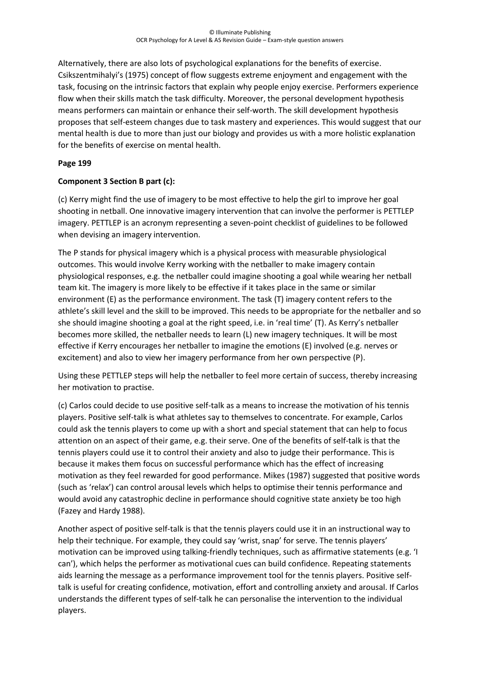Alternatively, there are also lots of psychological explanations for the benefits of exercise. Csikszentmihalyi's (1975) concept of flow suggests extreme enjoyment and engagement with the task, focusing on the intrinsic factors that explain why people enjoy exercise. Performers experience flow when their skills match the task difficulty. Moreover, the personal development hypothesis means performers can maintain or enhance their self-worth. The skill development hypothesis proposes that self-esteem changes due to task mastery and experiences. This would suggest that our mental health is due to more than just our biology and provides us with a more holistic explanation for the benefits of exercise on mental health.

# **Page 199**

# **Component 3 Section B part (c):**

(c) Kerry might find the use of imagery to be most effective to help the girl to improve her goal shooting in netball. One innovative imagery intervention that can involve the performer is PETTLEP imagery. PETTLEP is an acronym representing a seven-point checklist of guidelines to be followed when devising an imagery intervention.

The P stands for physical imagery which is a physical process with measurable physiological outcomes. This would involve Kerry working with the netballer to make imagery contain physiological responses, e.g. the netballer could imagine shooting a goal while wearing her netball team kit. The imagery is more likely to be effective if it takes place in the same or similar environment (E) as the performance environment. The task (T) imagery content refers to the athlete's skill level and the skill to be improved. This needs to be appropriate for the netballer and so she should imagine shooting a goal at the right speed, i.e. in 'real time' (T). As Kerry's netballer becomes more skilled, the netballer needs to learn (L) new imagery techniques. It will be most effective if Kerry encourages her netballer to imagine the emotions (E) involved (e.g. nerves or excitement) and also to view her imagery performance from her own perspective (P).

Using these PETTLEP steps will help the netballer to feel more certain of success, thereby increasing her motivation to practise.

(c) Carlos could decide to use positive self-talk as a means to increase the motivation of his tennis players. Positive self-talk is what athletes say to themselves to concentrate. For example, Carlos could ask the tennis players to come up with a short and special statement that can help to focus attention on an aspect of their game, e.g. their serve. One of the benefits of self-talk is that the tennis players could use it to control their anxiety and also to judge their performance. This is because it makes them focus on successful performance which has the effect of increasing motivation as they feel rewarded for good performance. Mikes (1987) suggested that positive words (such as 'relax') can control arousal levels which helps to optimise their tennis performance and would avoid any catastrophic decline in performance should cognitive state anxiety be too high (Fazey and Hardy 1988).

Another aspect of positive self-talk is that the tennis players could use it in an instructional way to help their technique. For example, they could say 'wrist, snap' for serve. The tennis players' motivation can be improved using talking-friendly techniques, such as affirmative statements (e.g. 'I can'), which helps the performer as motivational cues can build confidence. Repeating statements aids learning the message as a performance improvement tool for the tennis players. Positive selftalk is useful for creating confidence, motivation, effort and controlling anxiety and arousal. If Carlos understands the different types of self-talk he can personalise the intervention to the individual players.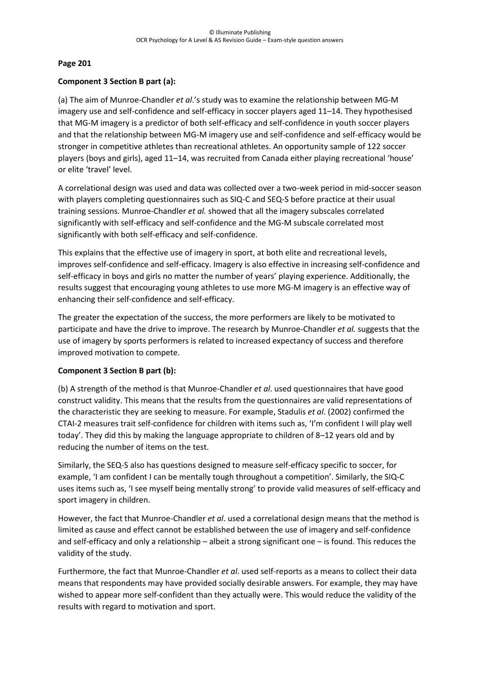#### **Page 201**

#### **Component 3 Section B part (a):**

(a) The aim of Munroe-Chandler *et al*.'s study was to examine the relationship between MG-M imagery use and self-confidence and self-efficacy in soccer players aged 11–14. They hypothesised that MG-M imagery is a predictor of both self-efficacy and self-confidence in youth soccer players and that the relationship between MG-M imagery use and self-confidence and self-efficacy would be stronger in competitive athletes than recreational athletes. An opportunity sample of 122 soccer players (boys and girls), aged 11–14, was recruited from Canada either playing recreational 'house' or elite 'travel' level.

A correlational design was used and data was collected over a two-week period in mid-soccer season with players completing questionnaires such as SIQ-C and SEQ-S before practice at their usual training sessions. Munroe-Chandler *et al.* showed that all the imagery subscales correlated significantly with self-efficacy and self-confidence and the MG-M subscale correlated most significantly with both self-efficacy and self-confidence.

This explains that the effective use of imagery in sport, at both elite and recreational levels, improves self-confidence and self-efficacy. Imagery is also effective in increasing self-confidence and self-efficacy in boys and girls no matter the number of years' playing experience. Additionally, the results suggest that encouraging young athletes to use more MG-M imagery is an effective way of enhancing their self-confidence and self-efficacy.

The greater the expectation of the success, the more performers are likely to be motivated to participate and have the drive to improve. The research by Munroe-Chandler *et al.* suggests that the use of imagery by sports performers is related to increased expectancy of success and therefore improved motivation to compete.

#### **Component 3 Section B part (b):**

(b) A strength of the method is that Munroe-Chandler *et al*. used questionnaires that have good construct validity. This means that the results from the questionnaires are valid representations of the characteristic they are seeking to measure. For example, Stadulis *et al*. (2002) confirmed the CTAI-2 measures trait self-confidence for children with items such as, 'I'm confident I will play well today'. They did this by making the language appropriate to children of 8–12 years old and by reducing the number of items on the test.

Similarly, the SEQ-S also has questions designed to measure self-efficacy specific to soccer, for example, 'I am confident I can be mentally tough throughout a competition'. Similarly, the SIQ-C uses items such as, 'I see myself being mentally strong' to provide valid measures of self-efficacy and sport imagery in children.

However, the fact that Munroe-Chandler *et al*. used a correlational design means that the method is limited as cause and effect cannot be established between the use of imagery and self-confidence and self-efficacy and only a relationship – albeit a strong significant one – is found. This reduces the validity of the study.

Furthermore, the fact that Munroe-Chandler *et al*. used self-reports as a means to collect their data means that respondents may have provided socially desirable answers. For example, they may have wished to appear more self-confident than they actually were. This would reduce the validity of the results with regard to motivation and sport.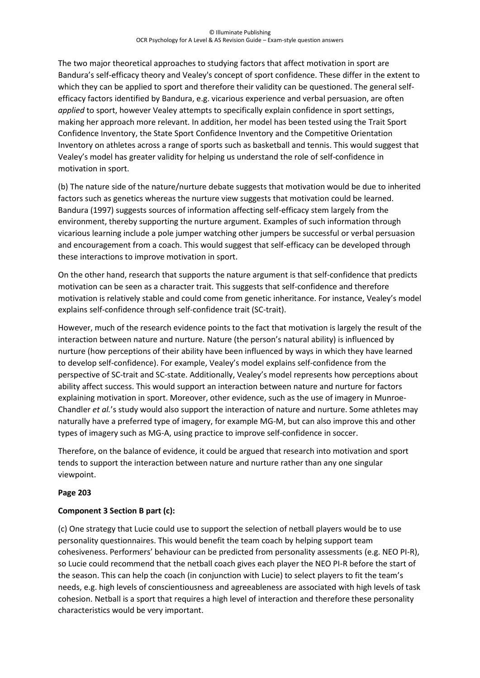The two major theoretical approaches to studying factors that affect motivation in sport are Bandura's self-efficacy theory and Vealey's concept of sport confidence. These differ in the extent to which they can be applied to sport and therefore their validity can be questioned. The general selfefficacy factors identified by Bandura, e.g. vicarious experience and verbal persuasion, are often *applied* to sport, however Vealey attempts to specifically explain confidence in sport settings, making her approach more relevant. In addition, her model has been tested using the Trait Sport Confidence Inventory, the State Sport Confidence Inventory and the Competitive Orientation Inventory on athletes across a range of sports such as basketball and tennis. This would suggest that Vealey's model has greater validity for helping us understand the role of self-confidence in motivation in sport.

(b) The nature side of the nature/nurture debate suggests that motivation would be due to inherited factors such as genetics whereas the nurture view suggests that motivation could be learned. Bandura (1997) suggests sources of information affecting self-efficacy stem largely from the environment, thereby supporting the nurture argument. Examples of such information through vicarious learning include a pole jumper watching other jumpers be successful or verbal persuasion and encouragement from a coach. This would suggest that self-efficacy can be developed through these interactions to improve motivation in sport.

On the other hand, research that supports the nature argument is that self-confidence that predicts motivation can be seen as a character trait. This suggests that self-confidence and therefore motivation is relatively stable and could come from genetic inheritance. For instance, Vealey's model explains self-confidence through self-confidence trait (SC-trait).

However, much of the research evidence points to the fact that motivation is largely the result of the interaction between nature and nurture. Nature (the person's natural ability) is influenced by nurture (how perceptions of their ability have been influenced by ways in which they have learned to develop self-confidence). For example, Vealey's model explains self-confidence from the perspective of SC-trait and SC-state. Additionally, Vealey's model represents how perceptions about ability affect success. This would support an interaction between nature and nurture for factors explaining motivation in sport. Moreover, other evidence, such as the use of imagery in Munroe-Chandler *et al.*'s study would also support the interaction of nature and nurture. Some athletes may naturally have a preferred type of imagery, for example MG-M, but can also improve this and other types of imagery such as MG-A, using practice to improve self-confidence in soccer.

Therefore, on the balance of evidence, it could be argued that research into motivation and sport tends to support the interaction between nature and nurture rather than any one singular viewpoint.

## **Page 203**

## **Component 3 Section B part (c):**

(c) One strategy that Lucie could use to support the selection of netball players would be to use personality questionnaires. This would benefit the team coach by helping support team cohesiveness. Performers' behaviour can be predicted from personality assessments (e.g. NEO PI-R), so Lucie could recommend that the netball coach gives each player the NEO PI-R before the start of the season. This can help the coach (in conjunction with Lucie) to select players to fit the team's needs, e.g. high levels of conscientiousness and agreeableness are associated with high levels of task cohesion. Netball is a sport that requires a high level of interaction and therefore these personality characteristics would be very important.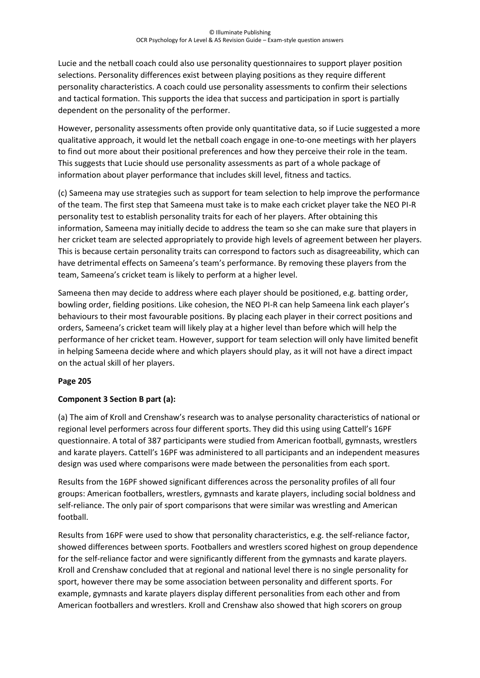Lucie and the netball coach could also use personality questionnaires to support player position selections. Personality differences exist between playing positions as they require different personality characteristics. A coach could use personality assessments to confirm their selections and tactical formation. This supports the idea that success and participation in sport is partially dependent on the personality of the performer.

However, personality assessments often provide only quantitative data, so if Lucie suggested a more qualitative approach, it would let the netball coach engage in one-to-one meetings with her players to find out more about their positional preferences and how they perceive their role in the team. This suggests that Lucie should use personality assessments as part of a whole package of information about player performance that includes skill level, fitness and tactics.

(c) Sameena may use strategies such as support for team selection to help improve the performance of the team. The first step that Sameena must take is to make each cricket player take the NEO PI-R personality test to establish personality traits for each of her players. After obtaining this information, Sameena may initially decide to address the team so she can make sure that players in her cricket team are selected appropriately to provide high levels of agreement between her players. This is because certain personality traits can correspond to factors such as disagreeability, which can have detrimental effects on Sameena's team's performance. By removing these players from the team, Sameena's cricket team is likely to perform at a higher level.

Sameena then may decide to address where each player should be positioned, e.g. batting order, bowling order, fielding positions. Like cohesion, the NEO PI-R can help Sameena link each player's behaviours to their most favourable positions. By placing each player in their correct positions and orders, Sameena's cricket team will likely play at a higher level than before which will help the performance of her cricket team. However, support for team selection will only have limited benefit in helping Sameena decide where and which players should play, as it will not have a direct impact on the actual skill of her players.

## **Page 205**

# **Component 3 Section B part (a):**

(a) The aim of Kroll and Crenshaw's research was to analyse personality characteristics of national or regional level performers across four different sports. They did this using using Cattell's 16PF questionnaire. A total of 387 participants were studied from American football, gymnasts, wrestlers and karate players. Cattell's 16PF was administered to all participants and an independent measures design was used where comparisons were made between the personalities from each sport.

Results from the 16PF showed significant differences across the personality profiles of all four groups: American footballers, wrestlers, gymnasts and karate players, including social boldness and self-reliance. The only pair of sport comparisons that were similar was wrestling and American football.

Results from 16PF were used to show that personality characteristics, e.g. the self-reliance factor, showed differences between sports. Footballers and wrestlers scored highest on group dependence for the self-reliance factor and were significantly different from the gymnasts and karate players. Kroll and Crenshaw concluded that at regional and national level there is no single personality for sport, however there may be some association between personality and different sports. For example, gymnasts and karate players display different personalities from each other and from American footballers and wrestlers. Kroll and Crenshaw also showed that high scorers on group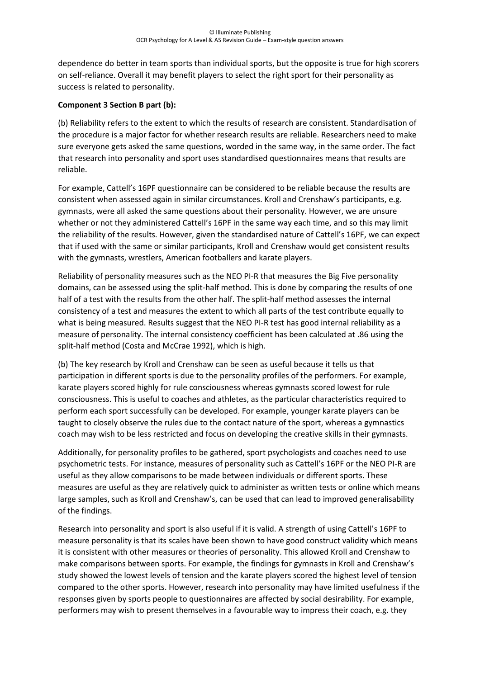dependence do better in team sports than individual sports, but the opposite is true for high scorers on self-reliance. Overall it may benefit players to select the right sport for their personality as success is related to personality.

## **Component 3 Section B part (b):**

(b) Reliability refers to the extent to which the results of research are consistent. Standardisation of the procedure is a major factor for whether research results are reliable. Researchers need to make sure everyone gets asked the same questions, worded in the same way, in the same order. The fact that research into personality and sport uses standardised questionnaires means that results are reliable.

For example, Cattell's 16PF questionnaire can be considered to be reliable because the results are consistent when assessed again in similar circumstances. Kroll and Crenshaw's participants, e.g. gymnasts, were all asked the same questions about their personality. However, we are unsure whether or not they administered Cattell's 16PF in the same way each time, and so this may limit the reliability of the results. However, given the standardised nature of Cattell's 16PF, we can expect that if used with the same or similar participants, Kroll and Crenshaw would get consistent results with the gymnasts, wrestlers, American footballers and karate players.

Reliability of personality measures such as the NEO PI-R that measures the Big Five personality domains, can be assessed using the split-half method. This is done by comparing the results of one half of a test with the results from the other half. The split-half method assesses the internal consistency of a test and measures the extent to which all parts of the test contribute equally to what is being measured. Results suggest that the NEO PI-R test has good internal reliability as a measure of personality. The internal consistency coefficient has been calculated at .86 using the split-half method (Costa and McCrae 1992), which is high.

(b) The key research by Kroll and Crenshaw can be seen as useful because it tells us that participation in different sports is due to the personality profiles of the performers. For example, karate players scored highly for rule consciousness whereas gymnasts scored lowest for rule consciousness. This is useful to coaches and athletes, as the particular characteristics required to perform each sport successfully can be developed. For example, younger karate players can be taught to closely observe the rules due to the contact nature of the sport, whereas a gymnastics coach may wish to be less restricted and focus on developing the creative skills in their gymnasts.

Additionally, for personality profiles to be gathered, sport psychologists and coaches need to use psychometric tests. For instance, measures of personality such as Cattell's 16PF or the NEO PI-R are useful as they allow comparisons to be made between individuals or different sports. These measures are useful as they are relatively quick to administer as written tests or online which means large samples, such as Kroll and Crenshaw's, can be used that can lead to improved generalisability of the findings.

Research into personality and sport is also useful if it is valid. A strength of using Cattell's 16PF to measure personality is that its scales have been shown to have good construct validity which means it is consistent with other measures or theories of personality. This allowed Kroll and Crenshaw to make comparisons between sports. For example, the findings for gymnasts in Kroll and Crenshaw's study showed the lowest levels of tension and the karate players scored the highest level of tension compared to the other sports. However, research into personality may have limited usefulness if the responses given by sports people to questionnaires are affected by social desirability. For example, performers may wish to present themselves in a favourable way to impress their coach, e.g. they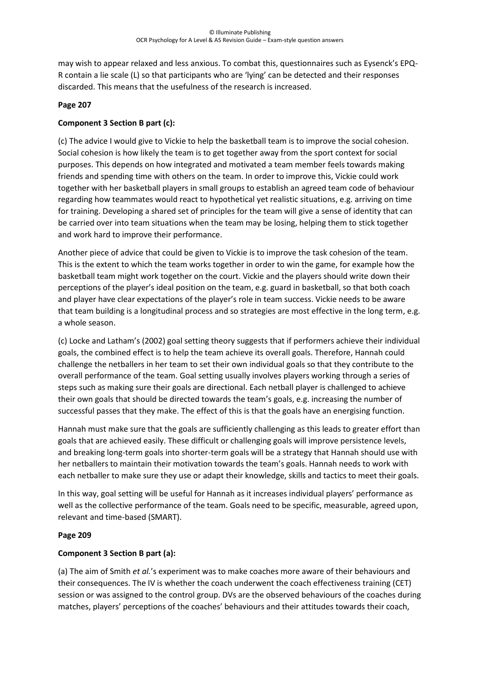may wish to appear relaxed and less anxious. To combat this, questionnaires such as Eysenck's EPQ-R contain a lie scale (L) so that participants who are 'lying' can be detected and their responses discarded. This means that the usefulness of the research is increased.

#### **Page 207**

#### **Component 3 Section B part (c):**

(c) The advice I would give to Vickie to help the basketball team is to improve the social cohesion. Social cohesion is how likely the team is to get together away from the sport context for social purposes. This depends on how integrated and motivated a team member feels towards making friends and spending time with others on the team. In order to improve this, Vickie could work together with her basketball players in small groups to establish an agreed team code of behaviour regarding how teammates would react to hypothetical yet realistic situations, e.g. arriving on time for training. Developing a shared set of principles for the team will give a sense of identity that can be carried over into team situations when the team may be losing, helping them to stick together and work hard to improve their performance.

Another piece of advice that could be given to Vickie is to improve the task cohesion of the team. This is the extent to which the team works together in order to win the game, for example how the basketball team might work together on the court. Vickie and the players should write down their perceptions of the player's ideal position on the team, e.g. guard in basketball, so that both coach and player have clear expectations of the player's role in team success. Vickie needs to be aware that team building is a longitudinal process and so strategies are most effective in the long term, e.g. a whole season.

(c) Locke and Latham's (2002) goal setting theory suggests that if performers achieve their individual goals, the combined effect is to help the team achieve its overall goals. Therefore, Hannah could challenge the netballers in her team to set their own individual goals so that they contribute to the overall performance of the team. Goal setting usually involves players working through a series of steps such as making sure their goals are directional. Each netball player is challenged to achieve their own goals that should be directed towards the team's goals, e.g. increasing the number of successful passes that they make. The effect of this is that the goals have an energising function.

Hannah must make sure that the goals are sufficiently challenging as this leads to greater effort than goals that are achieved easily. These difficult or challenging goals will improve persistence levels, and breaking long-term goals into shorter-term goals will be a strategy that Hannah should use with her netballers to maintain their motivation towards the team's goals. Hannah needs to work with each netballer to make sure they use or adapt their knowledge, skills and tactics to meet their goals.

In this way, goal setting will be useful for Hannah as it increases individual players' performance as well as the collective performance of the team. Goals need to be specific, measurable, agreed upon, relevant and time-based (SMART).

#### **Page 209**

## **Component 3 Section B part (a):**

(a) The aim of Smith *et al.*'s experiment was to make coaches more aware of their behaviours and their consequences. The IV is whether the coach underwent the coach effectiveness training (CET) session or was assigned to the control group. DVs are the observed behaviours of the coaches during matches, players' perceptions of the coaches' behaviours and their attitudes towards their coach,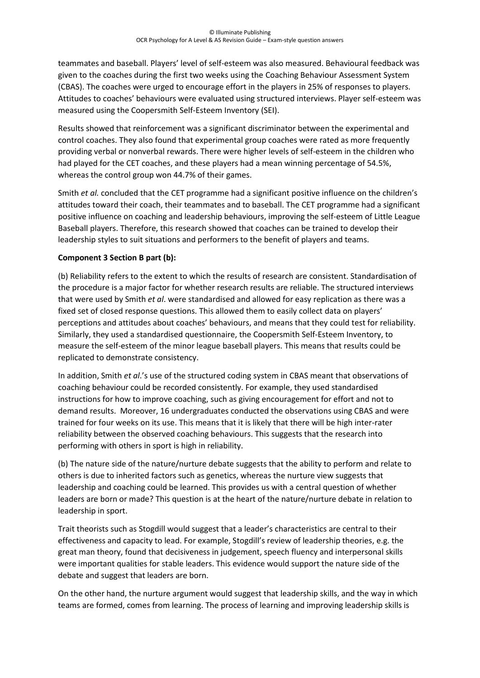teammates and baseball. Players' level of self-esteem was also measured. Behavioural feedback was given to the coaches during the first two weeks using the Coaching Behaviour Assessment System (CBAS). The coaches were urged to encourage effort in the players in 25% of responses to players. Attitudes to coaches' behaviours were evaluated using structured interviews. Player self-esteem was measured using the Coopersmith Self-Esteem Inventory (SEI).

Results showed that reinforcement was a significant discriminator between the experimental and control coaches. They also found that experimental group coaches were rated as more frequently providing verbal or nonverbal rewards. There were higher levels of self-esteem in the children who had played for the CET coaches, and these players had a mean winning percentage of 54.5%, whereas the control group won 44.7% of their games.

Smith *et al.* concluded that the CET programme had a significant positive influence on the children's attitudes toward their coach, their teammates and to baseball. The CET programme had a significant positive influence on coaching and leadership behaviours, improving the self-esteem of Little League Baseball players. Therefore, this research showed that coaches can be trained to develop their leadership styles to suit situations and performers to the benefit of players and teams.

# **Component 3 Section B part (b):**

(b) Reliability refers to the extent to which the results of research are consistent. Standardisation of the procedure is a major factor for whether research results are reliable. The structured interviews that were used by Smith *et al*. were standardised and allowed for easy replication as there was a fixed set of closed response questions. This allowed them to easily collect data on players' perceptions and attitudes about coaches' behaviours, and means that they could test for reliability. Similarly, they used a standardised questionnaire, the Coopersmith Self-Esteem Inventory, to measure the self-esteem of the minor league baseball players. This means that results could be replicated to demonstrate consistency.

In addition, Smith *et al*.'s use of the structured coding system in CBAS meant that observations of coaching behaviour could be recorded consistently. For example, they used standardised instructions for how to improve coaching, such as giving encouragement for effort and not to demand results. Moreover, 16 undergraduates conducted the observations using CBAS and were trained for four weeks on its use. This means that it is likely that there will be high inter-rater reliability between the observed coaching behaviours. This suggests that the research into performing with others in sport is high in reliability.

(b) The nature side of the nature/nurture debate suggests that the ability to perform and relate to others is due to inherited factors such as genetics, whereas the nurture view suggests that leadership and coaching could be learned. This provides us with a central question of whether leaders are born or made? This question is at the heart of the nature/nurture debate in relation to leadership in sport.

Trait theorists such as Stogdill would suggest that a leader's characteristics are central to their effectiveness and capacity to lead. For example, Stogdill's review of leadership theories, e.g. the great man theory, found that decisiveness in judgement, speech fluency and interpersonal skills were important qualities for stable leaders. This evidence would support the nature side of the debate and suggest that leaders are born.

On the other hand, the nurture argument would suggest that leadership skills, and the way in which teams are formed, comes from learning. The process of learning and improving leadership skills is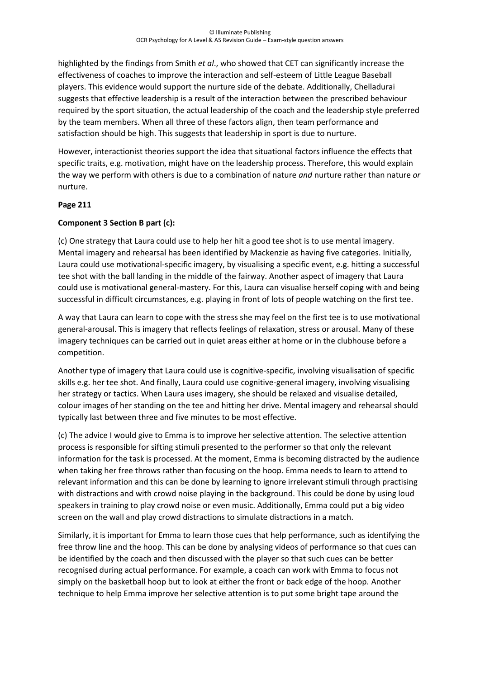highlighted by the findings from Smith *et al*., who showed that CET can significantly increase the effectiveness of coaches to improve the interaction and self-esteem of Little League Baseball players. This evidence would support the nurture side of the debate. Additionally, Chelladurai suggests that effective leadership is a result of the interaction between the prescribed behaviour required by the sport situation, the actual leadership of the coach and the leadership style preferred by the team members. When all three of these factors align, then team performance and satisfaction should be high. This suggests that leadership in sport is due to nurture.

However, interactionist theories support the idea that situational factors influence the effects that specific traits, e.g. motivation, might have on the leadership process. Therefore, this would explain the way we perform with others is due to a combination of nature *and* nurture rather than nature *or* nurture.

## **Page 211**

## **Component 3 Section B part (c):**

(c) One strategy that Laura could use to help her hit a good tee shot is to use mental imagery. Mental imagery and rehearsal has been identified by Mackenzie as having five categories. Initially, Laura could use motivational-specific imagery, by visualising a specific event, e.g. hitting a successful tee shot with the ball landing in the middle of the fairway. Another aspect of imagery that Laura could use is motivational general-mastery. For this, Laura can visualise herself coping with and being successful in difficult circumstances, e.g. playing in front of lots of people watching on the first tee.

A way that Laura can learn to cope with the stress she may feel on the first tee is to use motivational general-arousal. This is imagery that reflects feelings of relaxation, stress or arousal. Many of these imagery techniques can be carried out in quiet areas either at home or in the clubhouse before a competition.

Another type of imagery that Laura could use is cognitive-specific, involving visualisation of specific skills e.g. her tee shot. And finally, Laura could use cognitive-general imagery, involving visualising her strategy or tactics. When Laura uses imagery, she should be relaxed and visualise detailed, colour images of her standing on the tee and hitting her drive. Mental imagery and rehearsal should typically last between three and five minutes to be most effective.

(c) The advice I would give to Emma is to improve her selective attention. The selective attention process is responsible for sifting stimuli presented to the performer so that only the relevant information for the task is processed. At the moment, Emma is becoming distracted by the audience when taking her free throws rather than focusing on the hoop. Emma needs to learn to attend to relevant information and this can be done by learning to ignore irrelevant stimuli through practising with distractions and with crowd noise playing in the background. This could be done by using loud speakers in training to play crowd noise or even music. Additionally, Emma could put a big video screen on the wall and play crowd distractions to simulate distractions in a match.

Similarly, it is important for Emma to learn those cues that help performance, such as identifying the free throw line and the hoop. This can be done by analysing videos of performance so that cues can be identified by the coach and then discussed with the player so that such cues can be better recognised during actual performance. For example, a coach can work with Emma to focus not simply on the basketball hoop but to look at either the front or back edge of the hoop. Another technique to help Emma improve her selective attention is to put some bright tape around the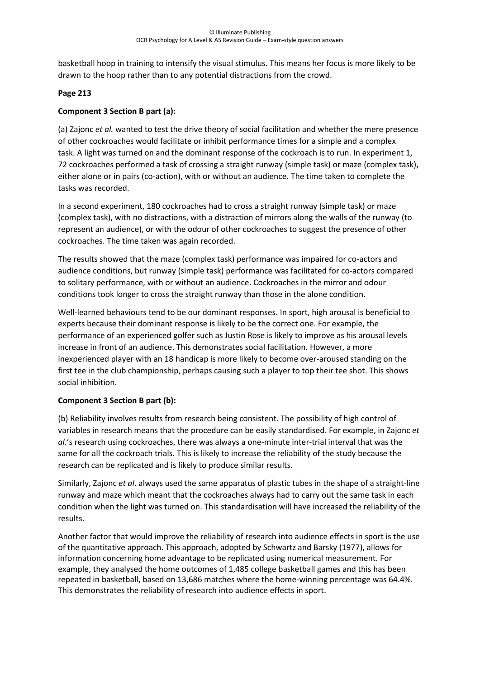basketball hoop in training to intensify the visual stimulus. This means her focus is more likely to be drawn to the hoop rather than to any potential distractions from the crowd.

# **Page 213**

# **Component 3 Section B part (a):**

(a) Zajonc *et al.* wanted to test the drive theory of social facilitation and whether the mere presence of other cockroaches would facilitate or inhibit performance times for a simple and a complex task. A light was turned on and the dominant response of the cockroach is to run. In experiment 1, 72 cockroaches performed a task of crossing a straight runway (simple task) or maze (complex task), either alone or in pairs (co-action), with or without an audience. The time taken to complete the tasks was recorded.

In a second experiment, 180 cockroaches had to cross a straight runway (simple task) or maze (complex task), with no distractions, with a distraction of mirrors along the walls of the runway (to represent an audience), or with the odour of other cockroaches to suggest the presence of other cockroaches. The time taken was again recorded.

The results showed that the maze (complex task) performance was impaired for co-actors and audience conditions, but runway (simple task) performance was facilitated for co-actors compared to solitary performance, with or without an audience. Cockroaches in the mirror and odour conditions took longer to cross the straight runway than those in the alone condition.

Well-learned behaviours tend to be our dominant responses. In sport, high arousal is beneficial to experts because their dominant response is likely to be the correct one. For example, the performance of an experienced golfer such as Justin Rose is likely to improve as his arousal levels increase in front of an audience. This demonstrates social facilitation. However, a more inexperienced player with an 18 handicap is more likely to become over-aroused standing on the first tee in the club championship, perhaps causing such a player to top their tee shot. This shows social inhibition.

## **Component 3 Section B part (b):**

(b) Reliability involves results from research being consistent. The possibility of high control of variables in research means that the procedure can be easily standardised. For example, in Zajonc *et al.*'s research using cockroaches, there was always a one-minute inter-trial interval that was the same for all the cockroach trials. This is likely to increase the reliability of the study because the research can be replicated and is likely to produce similar results.

Similarly, Zajonc *et al*. always used the same apparatus of plastic tubes in the shape of a straight-line runway and maze which meant that the cockroaches always had to carry out the same task in each condition when the light was turned on. This standardisation will have increased the reliability of the results.

Another factor that would improve the reliability of research into audience effects in sport is the use of the quantitative approach. This approach, adopted by Schwartz and Barsky (1977), allows for information concerning home advantage to be replicated using numerical measurement. For example, they analysed the home outcomes of 1,485 college basketball games and this has been repeated in basketball, based on 13,686 matches where the home-winning percentage was 64.4%. This demonstrates the reliability of research into audience effects in sport.